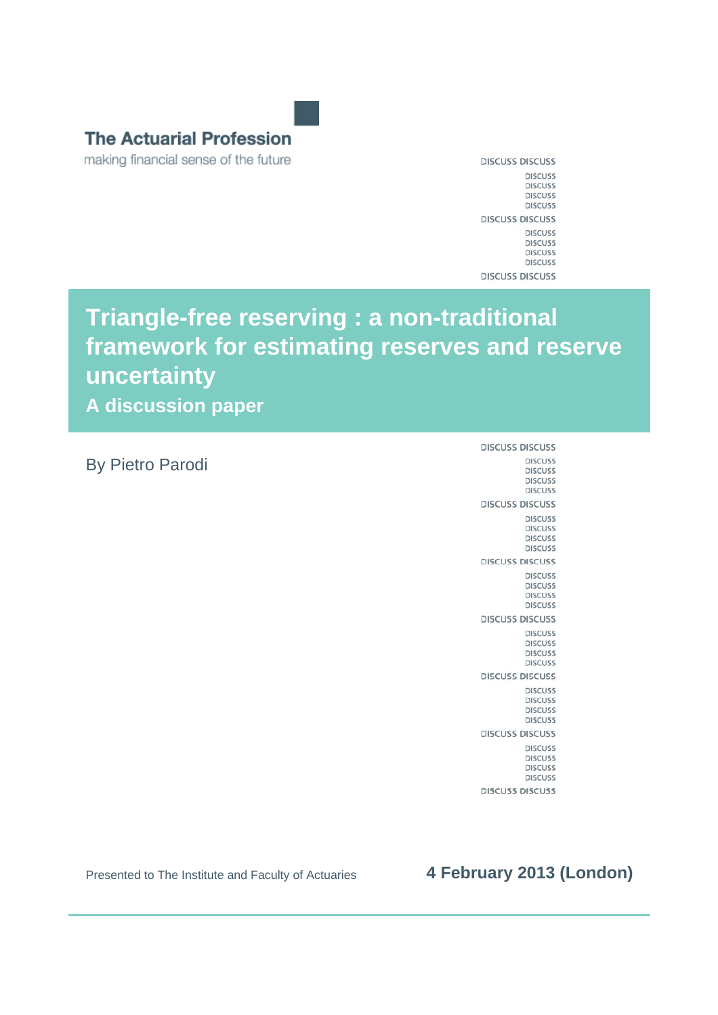## **The Actuarial Profession**

making financial sense of the future

**DISCUSS DISCUSS DISCUSS DISCUSS DISCUSS DISCUSS DISCUSS DISCUSS DISCUSS DISCUSS** DISCUSS DISCUSS **DISCUSS DISCUSS** 

# **Triangle-free reserving : a non-traditional framework for estimating reserves and reserve uncertainty**

**A discussion paper** 

By Pietro Parodi

**DISCUSS DISCUSS DISCUSS DISCUSS DISCUSS DISCUSS DISCUSS DISCUSS DISCUSS DISCUSS DISCUSS DISCUSS** DISCUSS DISCUSS **DISCUSS DISCUSS DISCUSS DISCUSS DISCUSS DISCUSS DISCUSS DISCUSS DISCUSS DISCUSS DISCUSS DISCUSS DISCUSS DISCUSS DISCUSS DISCUSS DISCUSS DISCUSS DISCUSS DISCUSS DISCUSS DISCUSS DISCUSS DISCUSS** 

## Presented to The Institute and Faculty of Actuaries **4 February 2013 (London)**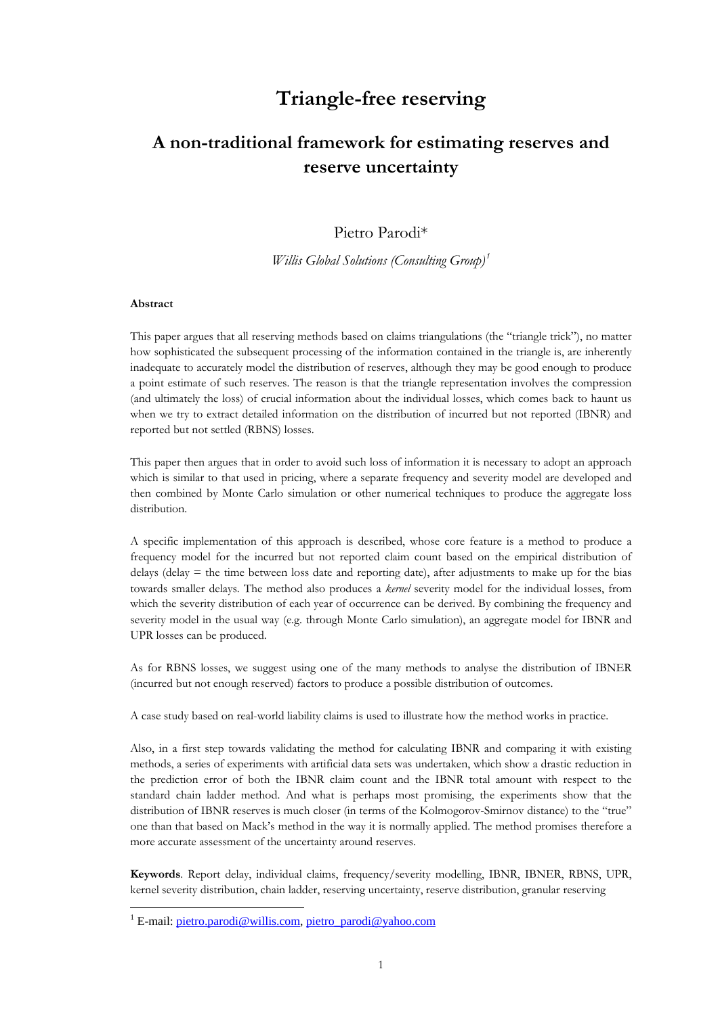## **A non-traditional framework for estimating reserves and reserve uncertainty**

Pietro Parodi\*

*Willis Global Solutions (Consulting Group)[1](#page-2-0)*

#### **Abstract**

 $\overline{a}$ 

This paper argues that all reserving methods based on claims triangulations (the "triangle trick"), no matter how sophisticated the subsequent processing of the information contained in the triangle is, are inherently inadequate to accurately model the distribution of reserves, although they may be good enough to produce a point estimate of such reserves. The reason is that the triangle representation involves the compression (and ultimately the loss) of crucial information about the individual losses, which comes back to haunt us when we try to extract detailed information on the distribution of incurred but not reported (IBNR) and reported but not settled (RBNS) losses.

This paper then argues that in order to avoid such loss of information it is necessary to adopt an approach which is similar to that used in pricing, where a separate frequency and severity model are developed and then combined by Monte Carlo simulation or other numerical techniques to produce the aggregate loss distribution.

A specific implementation of this approach is described, whose core feature is a method to produce a frequency model for the incurred but not reported claim count based on the empirical distribution of delays (delay = the time between loss date and reporting date), after adjustments to make up for the bias towards smaller delays. The method also produces a *kernel* severity model for the individual losses, from which the severity distribution of each year of occurrence can be derived. By combining the frequency and severity model in the usual way (e.g. through Monte Carlo simulation), an aggregate model for IBNR and UPR losses can be produced.

As for RBNS losses, we suggest using one of the many methods to analyse the distribution of IBNER (incurred but not enough reserved) factors to produce a possible distribution of outcomes.

A case study based on real-world liability claims is used to illustrate how the method works in practice.

Also, in a first step towards validating the method for calculating IBNR and comparing it with existing methods, a series of experiments with artificial data sets was undertaken, which show a drastic reduction in the prediction error of both the IBNR claim count and the IBNR total amount with respect to the standard chain ladder method. And what is perhaps most promising, the experiments show that the distribution of IBNR reserves is much closer (in terms of the Kolmogorov-Smirnov distance) to the "true" one than that based on Mack's method in the way it is normally applied. The method promises therefore a more accurate assessment of the uncertainty around reserves.

**Keywords**. Report delay, individual claims, frequency/severity modelling, IBNR, IBNER, RBNS, UPR, kernel severity distribution, chain ladder, reserving uncertainty, reserve distribution, granular reserving

<span id="page-2-0"></span><sup>&</sup>lt;sup>1</sup> E-mail: [pietro.parodi@willis.com,](mailto:pietro.parodi@willis.com) pietro\_parodi@yahoo.com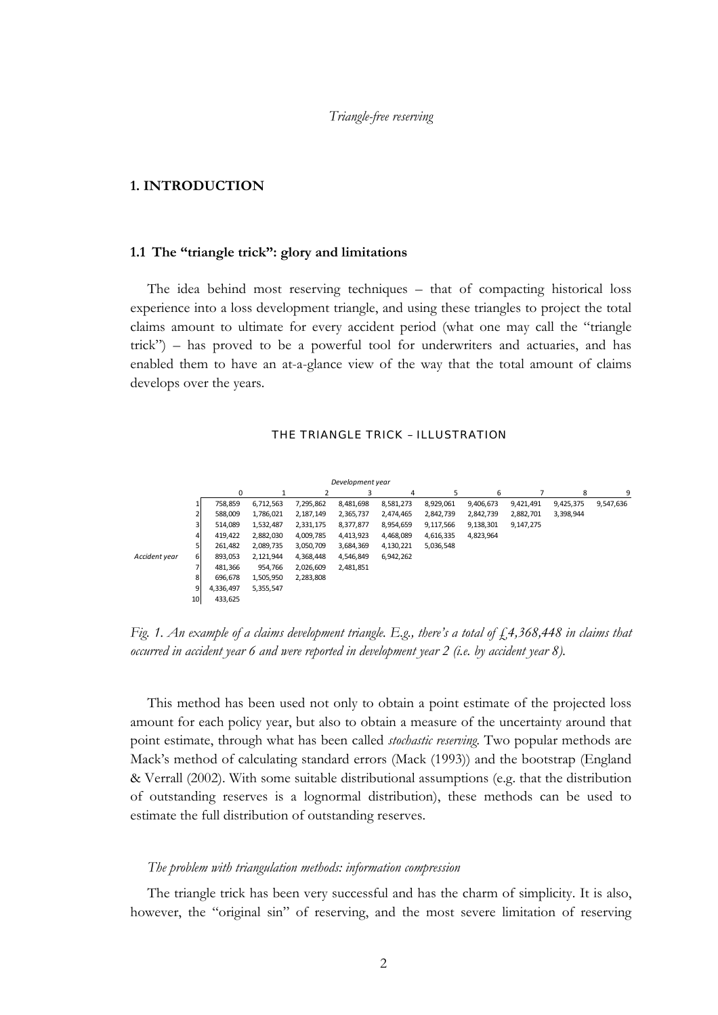### **1. INTRODUCTION**

#### **1.1 The "triangle trick": glory and limitations**

The idea behind most reserving techniques – that of compacting historical loss experience into a loss development triangle, and using these triangles to project the total claims amount to ultimate for every accident period (what one may call the "triangle trick") – has proved to be a powerful tool for underwriters and actuaries, and has enabled them to have an at-a-glance view of the way that the total amount of claims develops over the years.

#### THE TRIANGLE TRICK – ILLUSTRATION

|               | Development year        |           |           |           |           |           |           |           |           |           |           |
|---------------|-------------------------|-----------|-----------|-----------|-----------|-----------|-----------|-----------|-----------|-----------|-----------|
|               |                         | 0         |           |           | 3         | 4         | 5         | 6         |           | 8         | 9         |
|               |                         | 758,859   | 6,712,563 | 7,295,862 | 8,481,698 | 8,581,273 | 8,929,061 | 9,406,673 | 9,421,491 | 9,425,375 | 9,547,636 |
|               | $\overline{2}$          | 588.009   | 1,786,021 | 2,187,149 | 2,365,737 | 2,474,465 | 2,842,739 | 2,842,739 | 2,882,701 | 3,398,944 |           |
|               | $\overline{\mathbf{3}}$ | 514.089   | 1,532,487 | 2,331,175 | 8,377,877 | 8,954,659 | 9,117,566 | 9,138,301 | 9,147,275 |           |           |
|               | $\overline{4}$          | 419.422   | 2,882,030 | 4,009,785 | 4,413,923 | 4,468,089 | 4,616,335 | 4,823,964 |           |           |           |
|               | 5                       | 261,482   | 2,089,735 | 3,050,709 | 3,684,369 | 4,130,221 | 5,036,548 |           |           |           |           |
| Accident year | 6                       | 893,053   | 2,121,944 | 4,368,448 | 4,546,849 | 6,942,262 |           |           |           |           |           |
|               | ⇁                       | 481,366   | 954,766   | 2,026,609 | 2,481,851 |           |           |           |           |           |           |
|               | 8                       | 696.678   | 1,505,950 | 2,283,808 |           |           |           |           |           |           |           |
|               | $\overline{9}$          | 4,336,497 | 5,355,547 |           |           |           |           |           |           |           |           |
|               | 10 <sup>1</sup>         | 433,625   |           |           |           |           |           |           |           |           |           |

*Fig. 1. An example of a claims development triangle. E.g., there's a total of £4,368,448 in claims that occurred in accident year 6 and were reported in development year 2 (i.e. by accident year 8).* 

This method has been used not only to obtain a point estimate of the projected loss amount for each policy year, but also to obtain a measure of the uncertainty around that point estimate, through what has been called *stochastic reserving.* Two popular methods are Mack's method of calculating standard errors (Mack (1993)) and the bootstrap (England & Verrall (2002). With some suitable distributional assumptions (e.g. that the distribution of outstanding reserves is a lognormal distribution), these methods can be used to estimate the full distribution of outstanding reserves.

#### *The problem with triangulation methods: information compression*

The triangle trick has been very successful and has the charm of simplicity. It is also, however, the "original sin" of reserving, and the most severe limitation of reserving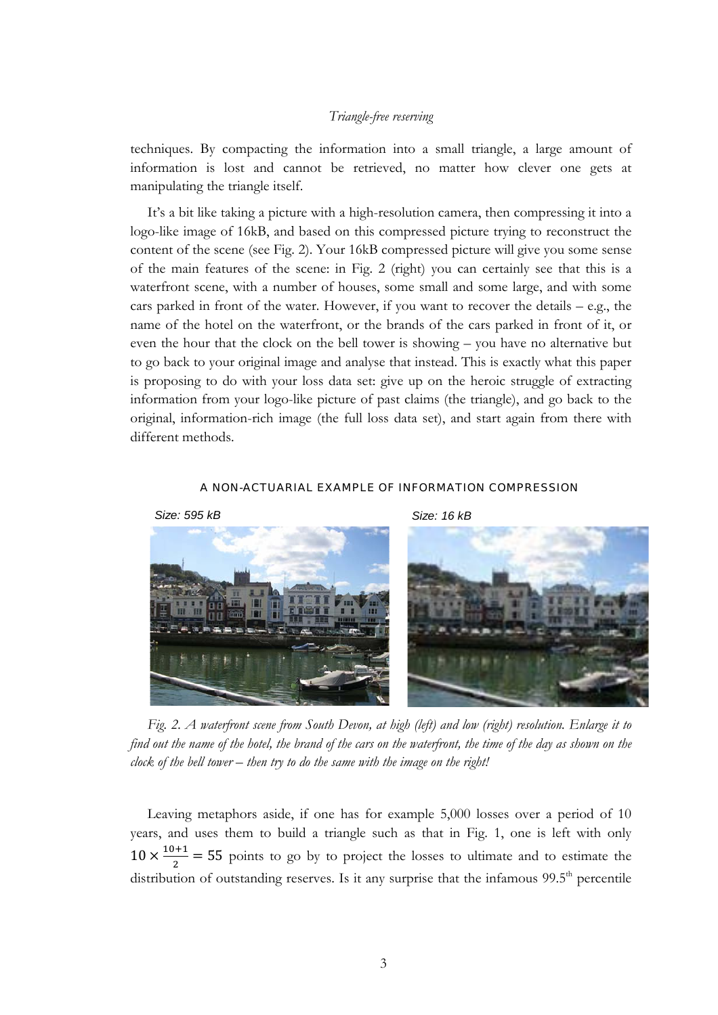techniques. By compacting the information into a small triangle, a large amount of information is lost and cannot be retrieved, no matter how clever one gets at manipulating the triangle itself.

It's a bit like taking a picture with a high-resolution camera, then compressing it into a logo-like image of 16kB, and based on this compressed picture trying to reconstruct the content of the scene (see Fig. 2). Your 16kB compressed picture will give you some sense of the main features of the scene: in Fig. 2 (right) you can certainly see that this is a waterfront scene, with a number of houses, some small and some large, and with some cars parked in front of the water. However, if you want to recover the details – e.g., the name of the hotel on the waterfront, or the brands of the cars parked in front of it, or even the hour that the clock on the bell tower is showing – you have no alternative but to go back to your original image and analyse that instead. This is exactly what this paper is proposing to do with your loss data set: give up on the heroic struggle of extracting information from your logo-like picture of past claims (the triangle), and go back to the original, information-rich image (the full loss data set), and start again from there with different methods.

#### A NON-ACTUARIAL EXAMPLE OF INFORMATION COMPRESSION



*Fig. 2. A waterfront scene from South Devon, at high (left) and low (right) resolution. Enlarge it to find out the name of the hotel, the brand of the cars on the waterfront, the time of the day as shown on the clock of the bell tower – then try to do the same with the image on the right!* 

 $10 \times \frac{10+1}{2} = 55$  points to go by to project the losses to ultimate and to estimate the Leaving metaphors aside, if one has for example 5,000 losses over a period of 10 years, and uses them to build a triangle such as that in Fig. 1, one is left with only distribution of outstanding reserves. Is it any surprise that the infamous  $99.5<sup>th</sup>$  percentile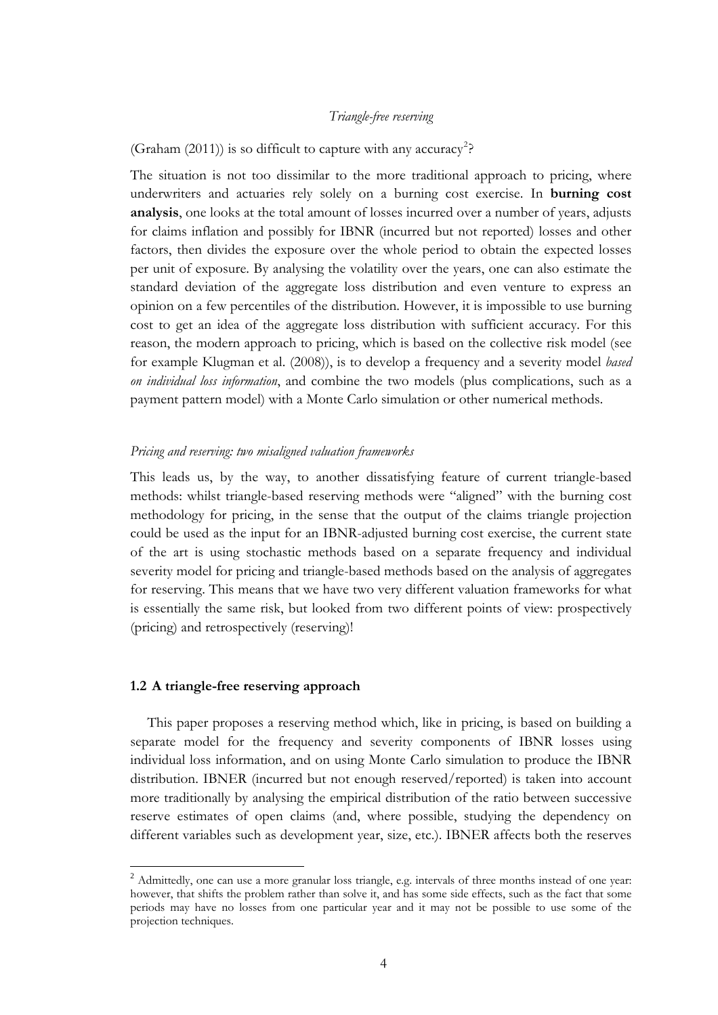(Graham ([2](#page-5-0)011)) is so difficult to capture with any accuracy<sup>2</sup>?

The situation is not too dissimilar to the more traditional approach to pricing, where underwriters and actuaries rely solely on a burning cost exercise. In **burning cost analysis**, one looks at the total amount of losses incurred over a number of years, adjusts for claims inflation and possibly for IBNR (incurred but not reported) losses and other factors, then divides the exposure over the whole period to obtain the expected losses per unit of exposure. By analysing the volatility over the years, one can also estimate the standard deviation of the aggregate loss distribution and even venture to express an opinion on a few percentiles of the distribution. However, it is impossible to use burning cost to get an idea of the aggregate loss distribution with sufficient accuracy. For this reason, the modern approach to pricing, which is based on the collective risk model (see for example Klugman et al. (2008)), is to develop a frequency and a severity model *based on individual loss information*, and combine the two models (plus complications, such as a payment pattern model) with a Monte Carlo simulation or other numerical methods.

#### *Pricing and reserving: two misaligned valuation frameworks*

This leads us, by the way, to another dissatisfying feature of current triangle-based methods: whilst triangle-based reserving methods were "aligned" with the burning cost methodology for pricing, in the sense that the output of the claims triangle projection could be used as the input for an IBNR-adjusted burning cost exercise, the current state of the art is using stochastic methods based on a separate frequency and individual severity model for pricing and triangle-based methods based on the analysis of aggregates for reserving. This means that we have two very different valuation frameworks for what is essentially the same risk, but looked from two different points of view: prospectively (pricing) and retrospectively (reserving)!

#### **1.2 A triangle-free reserving approach**

 $\overline{a}$ 

This paper proposes a reserving method which, like in pricing, is based on building a separate model for the frequency and severity components of IBNR losses using individual loss information, and on using Monte Carlo simulation to produce the IBNR distribution. IBNER (incurred but not enough reserved/reported) is taken into account more traditionally by analysing the empirical distribution of the ratio between successive reserve estimates of open claims (and, where possible, studying the dependency on different variables such as development year, size, etc.). IBNER affects both the reserves

<span id="page-5-0"></span><sup>&</sup>lt;sup>2</sup> Admittedly, one can use a more granular loss triangle, e.g. intervals of three months instead of one year: however, that shifts the problem rather than solve it, and has some side effects, such as the fact that some periods may have no losses from one particular year and it may not be possible to use some of the projection techniques.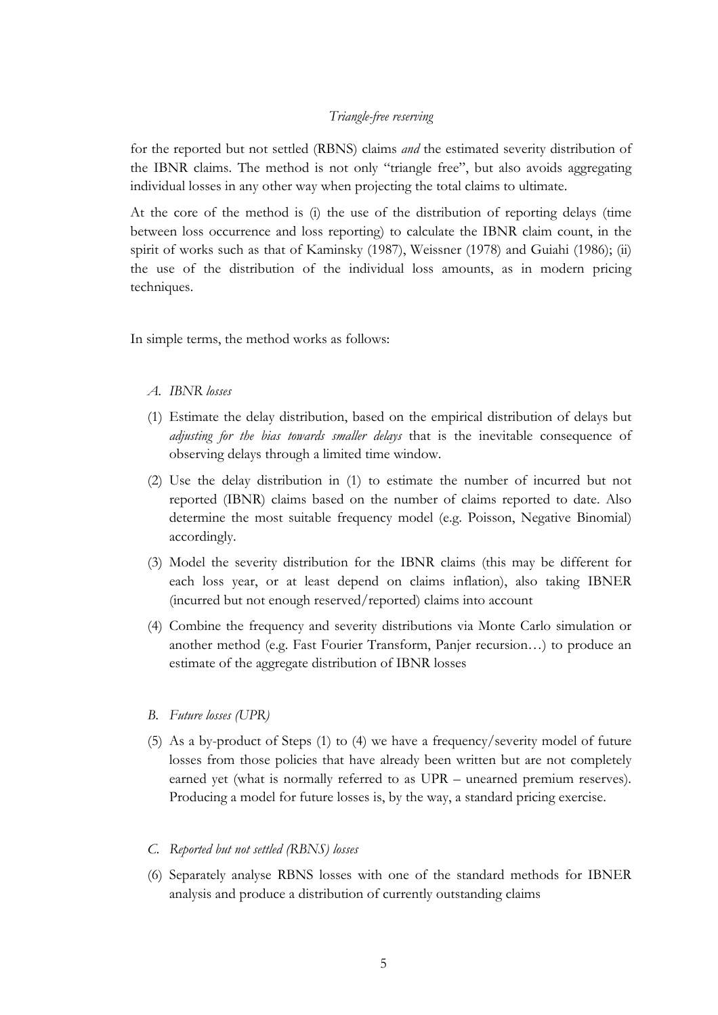for the reported but not settled (RBNS) claims *and* the estimated severity distribution of the IBNR claims. The method is not only "triangle free", but also avoids aggregating individual losses in any other way when projecting the total claims to ultimate.

At the core of the method is (i) the use of the distribution of reporting delays (time between loss occurrence and loss reporting) to calculate the IBNR claim count, in the spirit of works such as that of Kaminsky (1987), Weissner (1978) and Guiahi (1986); (ii) the use of the distribution of the individual loss amounts, as in modern pricing techniques.

In simple terms, the method works as follows:

- *A. IBNR losses*
- (1) Estimate the delay distribution, based on the empirical distribution of delays but *adjusting for the bias towards smaller delays* that is the inevitable consequence of observing delays through a limited time window.
- (2) Use the delay distribution in (1) to estimate the number of incurred but not reported (IBNR) claims based on the number of claims reported to date. Also determine the most suitable frequency model (e.g. Poisson, Negative Binomial) accordingly.
- (3) Model the severity distribution for the IBNR claims (this may be different for each loss year, or at least depend on claims inflation), also taking IBNER (incurred but not enough reserved/reported) claims into account
- (4) Combine the frequency and severity distributions via Monte Carlo simulation or another method (e.g. Fast Fourier Transform, Panjer recursion…) to produce an estimate of the aggregate distribution of IBNR losses
- *B. Future losses (UPR)*
- (5) As a by-product of Steps (1) to (4) we have a frequency/severity model of future losses from those policies that have already been written but are not completely earned yet (what is normally referred to as UPR – unearned premium reserves). Producing a model for future losses is, by the way, a standard pricing exercise.
- *C. Reported but not settled (RBNS) losses*
- (6) Separately analyse RBNS losses with one of the standard methods for IBNER analysis and produce a distribution of currently outstanding claims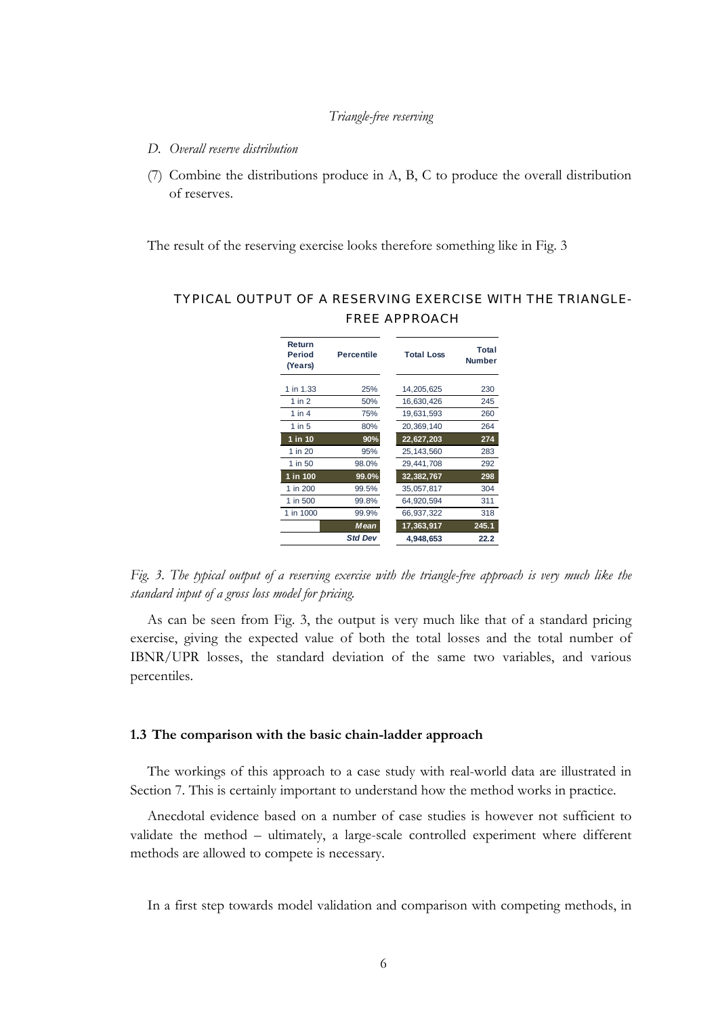- *D. Overall reserve distribution*
- (7) Combine the distributions produce in A, B, C to produce the overall distribution of reserves.

The result of the reserving exercise looks therefore something like in Fig. 3

|                             |                | FREE APPRUALM     |                        |
|-----------------------------|----------------|-------------------|------------------------|
| Return<br>Period<br>(Years) | Percentile     | <b>Total Loss</b> | Total<br><b>Number</b> |
| 1 in 1.33                   | 25%            | 14,205,625        | 230                    |
| $1$ in $2$                  | 50%            | 16,630,426        | 245                    |
| $1$ in $4$                  | 75%            | 19,631,593        | 260                    |
| $1$ in $5$                  | 80%            | 20,369,140        | 264                    |
| $1$ in 10                   | 90%            | 22,627,203        | 274                    |
| 1 in 20                     | 95%            | 25, 143, 560      | 283                    |
| 1 in 50                     | 98.0%          | 29,441,708        | 292                    |
| 1 in 100                    | 99.0%          | 32,382,767        | 298                    |
| 1 in 200                    | 99.5%          | 35,057,817        | 304                    |
| 1 in 500                    | 99.8%          | 64,920,594        | 311                    |
| 1 in 1000                   | 99.9%          | 66,937,322        | 318                    |
|                             | Mean           | 17,363,917        | 245.1                  |
|                             | <b>Std Dev</b> | 4,948,653         | 22.2                   |

## TYPICAL OUTPUT OF A RESERVING EXERCISE WITH THE TRIANGLE-FREE APPROACH

*Fig. 3. The typical output of a reserving exercise with the triangle-free approach is very much like the standard input of a gross loss model for pricing.* 

As can be seen from Fig. 3, the output is very much like that of a standard pricing exercise, giving the expected value of both the total losses and the total number of IBNR/UPR losses, the standard deviation of the same two variables, and various percentiles.

#### **1.3 The comparison with the basic chain-ladder approach**

The workings of this approach to a case study with real-world data are illustrated in Section 7. This is certainly important to understand how the method works in practice.

Anecdotal evidence based on a number of case studies is however not sufficient to validate the method – ultimately, a large-scale controlled experiment where different methods are allowed to compete is necessary.

In a first step towards model validation and comparison with competing methods, in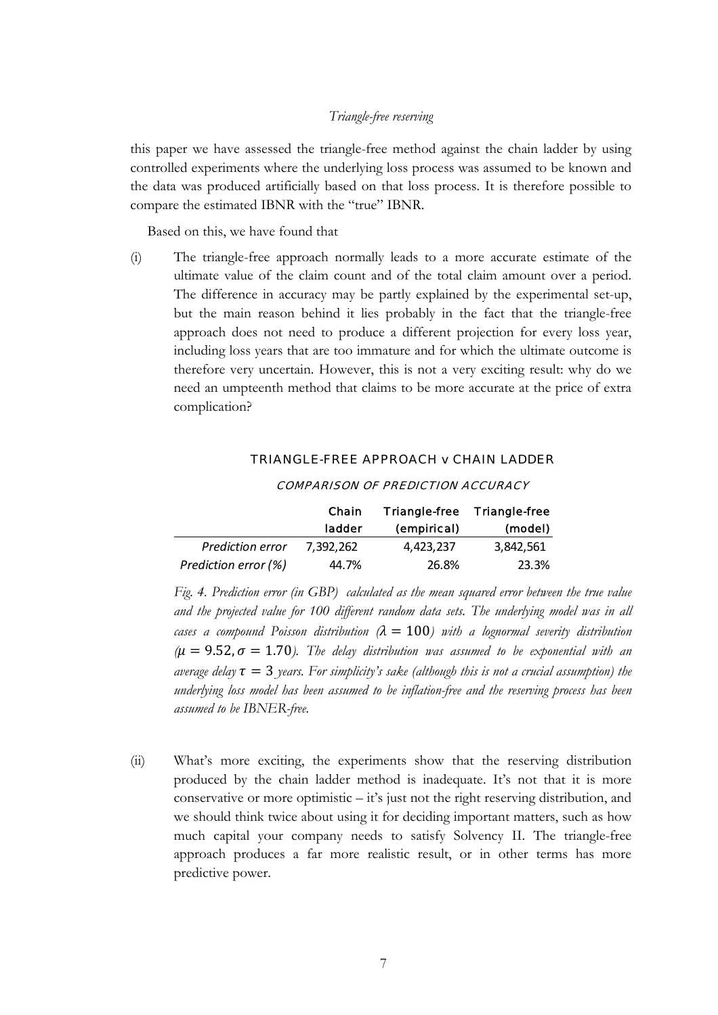this paper we have assessed the triangle-free method against the chain ladder by using controlled experiments where the underlying loss process was assumed to be known and the data was produced artificially based on that loss process. It is therefore possible to compare the estimated IBNR with the "true" IBNR.

Based on this, we have found that

(i) The triangle-free approach normally leads to a more accurate estimate of the ultimate value of the claim count and of the total claim amount over a period. The difference in accuracy may be partly explained by the experimental set-up, but the main reason behind it lies probably in the fact that the triangle-free approach does not need to produce a different projection for every loss year, including loss years that are too immature and for which the ultimate outcome is therefore very uncertain. However, this is not a very exciting result: why do we need an umpteenth method that claims to be more accurate at the price of extra complication?

#### TRIANGLE-FREE APPROACH v CHAIN LADDER

|                      | <b>Chain</b> | <b>Triangle-free</b> | <b>Triangle-free</b> |
|----------------------|--------------|----------------------|----------------------|
|                      | ladder       | (empirical)          | (model)              |
| Prediction error     | 7,392,262    | 4,423,237            | 3,842,561            |
| Prediction error (%) | 44.7%        | 26.8%                | 23.3%                |

COMPARISON OF PREDICTION ACCURACY

cases a compound Poisson distribution  $(A = 100)$  with a lognormal severity distribution  $(\mu = 9.52, \sigma = 1.70)$ . The delay distribution was assumed to be exponential with an average delay  $\tau = 3$  years. For simplicity's sake (although this is not a crucial assumption) the *Fig. 4. Prediction error (in GBP) calculated as the mean squared error between the true value*  and the projected value for 100 different random data sets. The underlying model was in all *underlying loss model has been assumed to be inflation-free and the reserving process has been assumed to be IBNER-free.* 

(ii) What's more exciting, the experiments show that the reserving distribution produced by the chain ladder method is inadequate. It's not that it is more conservative or more optimistic  $-i$  is just not the right reserving distribution, and we should think twice about using it for deciding important matters, such as how much capital your company needs to satisfy Solvency II. The triangle-free approach produces a far more realistic result, or in other terms has more predictive power.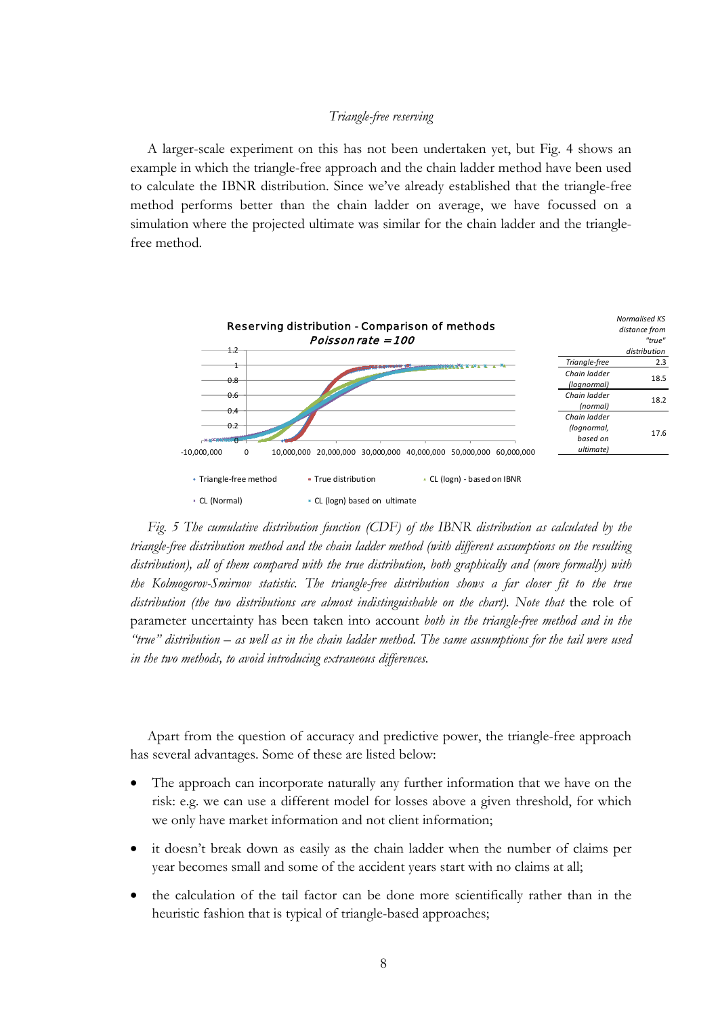A larger-scale experiment on this has not been undertaken yet, but Fig. 4 shows an example in which the triangle-free approach and the chain ladder method have been used to calculate the IBNR distribution. Since we've already established that the triangle-free method performs better than the chain ladder on average, we have focussed on a simulation where the projected ultimate was similar for the chain ladder and the trianglefree method.



*Fig. 5 The cumulative distribution function (CDF) of the IBNR distribution as calculated by the triangle-free distribution method and the chain ladder method (with different assumptions on the resulting distribution), all of them compared with the true distribution, both graphically and (more formally) with the Kolmogorov-Smirnov statistic. The triangle-free distribution shows a far closer fit to the true*  distribution (the two distributions are almost indistinguishable on the chart). Note that the role of parameter uncertainty has been taken into account *both in the triangle-free method and in the "true" distribution – as well as in the chain ladder method. The same assumptions for the tail were used in the two methods, to avoid introducing extraneous differences.* 

Apart from the question of accuracy and predictive power, the triangle-free approach has several advantages. Some of these are listed below:

- The approach can incorporate naturally any further information that we have on the risk: e.g. we can use a different model for losses above a given threshold, for which we only have market information and not client information;
- it doesn't break down as easily as the chain ladder when the number of claims per year becomes small and some of the accident years start with no claims at all;
- the calculation of the tail factor can be done more scientifically rather than in the heuristic fashion that is typical of triangle-based approaches;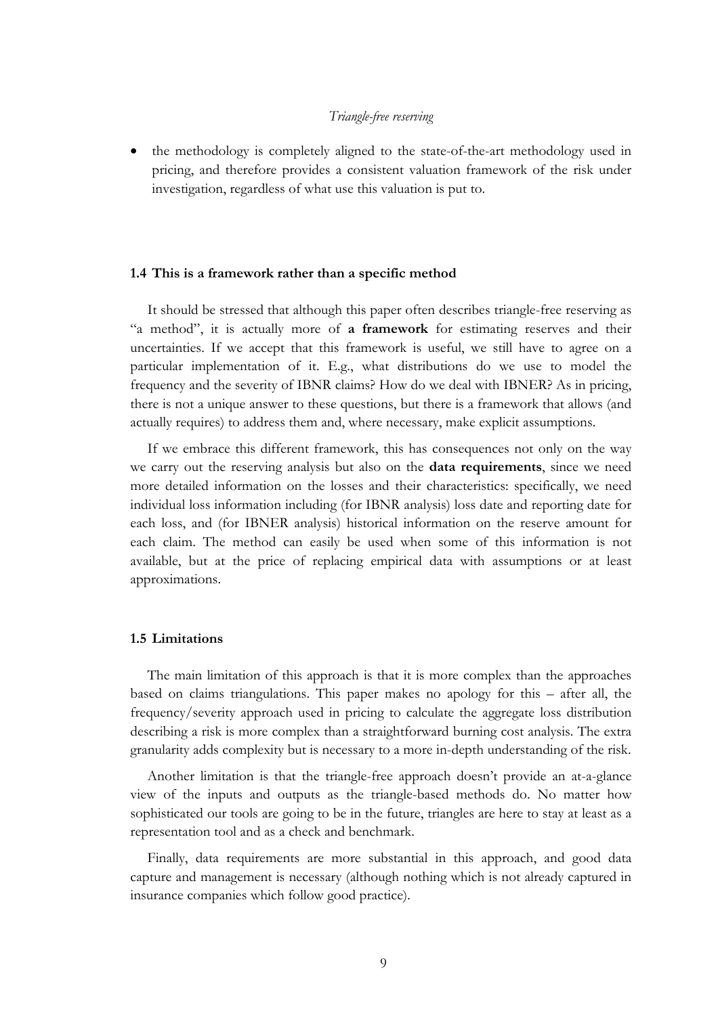• the methodology is completely aligned to the state-of-the-art methodology used in pricing, and therefore provides a consistent valuation framework of the risk under investigation, regardless of what use this valuation is put to.

#### **1.4 This is a framework rather than a specific method**

It should be stressed that although this paper often describes triangle-free reserving as "a method", it is actually more of **a framework** for estimating reserves and their uncertainties. If we accept that this framework is useful, we still have to agree on a particular implementation of it. E.g., what distributions do we use to model the frequency and the severity of IBNR claims? How do we deal with IBNER? As in pricing, there is not a unique answer to these questions, but there is a framework that allows (and actually requires) to address them and, where necessary, make explicit assumptions.

If we embrace this different framework, this has consequences not only on the way we carry out the reserving analysis but also on the **data requirements**, since we need more detailed information on the losses and their characteristics: specifically, we need individual loss information including (for IBNR analysis) loss date and reporting date for each loss, and (for IBNER analysis) historical information on the reserve amount for each claim. The method can easily be used when some of this information is not available, but at the price of replacing empirical data with assumptions or at least approximations.

## **1.5 Limitations**

The main limitation of this approach is that it is more complex than the approaches based on claims triangulations. This paper makes no apology for this – after all, the frequency/severity approach used in pricing to calculate the aggregate loss distribution describing a risk is more complex than a straightforward burning cost analysis. The extra granularity adds complexity but is necessary to a more in-depth understanding of the risk.

Another limitation is that the triangle-free approach doesn't provide an at-a-glance view of the inputs and outputs as the triangle-based methods do. No matter how sophisticated our tools are going to be in the future, triangles are here to stay at least as a representation tool and as a check and benchmark.

Finally, data requirements are more substantial in this approach, and good data capture and management is necessary (although nothing which is not already captured in insurance companies which follow good practice).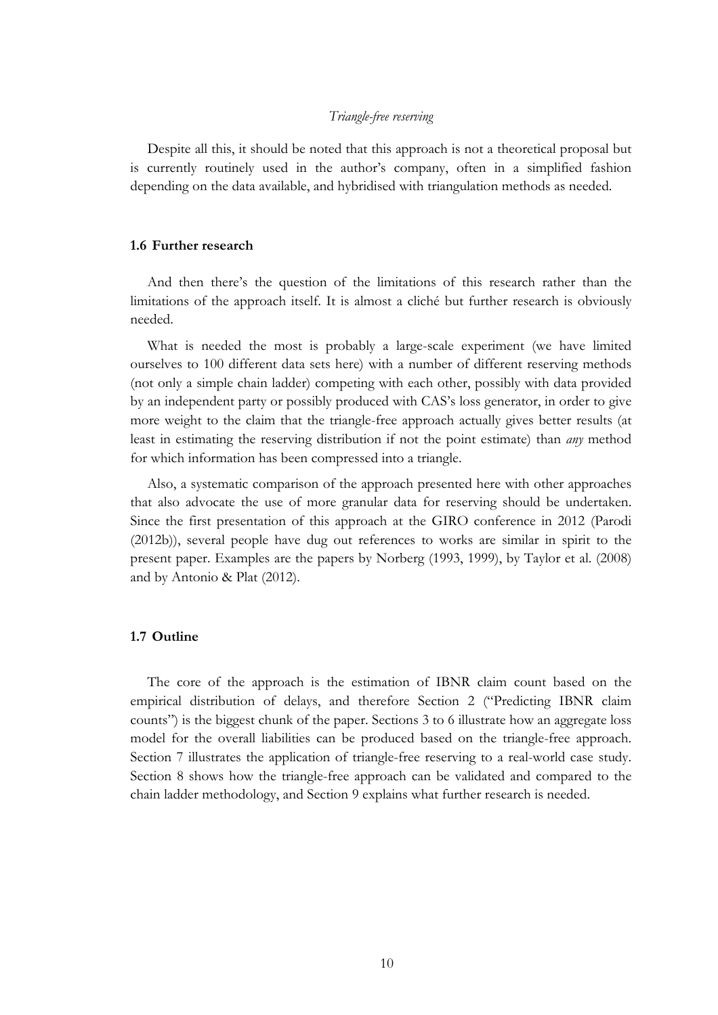Despite all this, it should be noted that this approach is not a theoretical proposal but is currently routinely used in the author's company, often in a simplified fashion depending on the data available, and hybridised with triangulation methods as needed.

## **1.6 Further research**

And then there's the question of the limitations of this research rather than the limitations of the approach itself. It is almost a cliché but further research is obviously needed.

What is needed the most is probably a large-scale experiment (we have limited ourselves to 100 different data sets here) with a number of different reserving methods (not only a simple chain ladder) competing with each other, possibly with data provided by an independent party or possibly produced with CAS's loss generator, in order to give more weight to the claim that the triangle-free approach actually gives better results (at least in estimating the reserving distribution if not the point estimate) than *any* method for which information has been compressed into a triangle.

Also, a systematic comparison of the approach presented here with other approaches that also advocate the use of more granular data for reserving should be undertaken. Since the first presentation of this approach at the GIRO conference in 2012 (Parodi (2012b)), several people have dug out references to works are similar in spirit to the present paper. Examples are the papers by Norberg (1993, 1999), by Taylor et al. (2008) and by Antonio & Plat (2012).

#### **1.7 Outline**

The core of the approach is the estimation of IBNR claim count based on the empirical distribution of delays, and therefore Section 2 ("Predicting IBNR claim counts") is the biggest chunk of the paper. Sections 3 to 6 illustrate how an aggregate loss model for the overall liabilities can be produced based on the triangle-free approach. Section 7 illustrates the application of triangle-free reserving to a real-world case study. Section 8 shows how the triangle-free approach can be validated and compared to the chain ladder methodology, and Section 9 explains what further research is needed.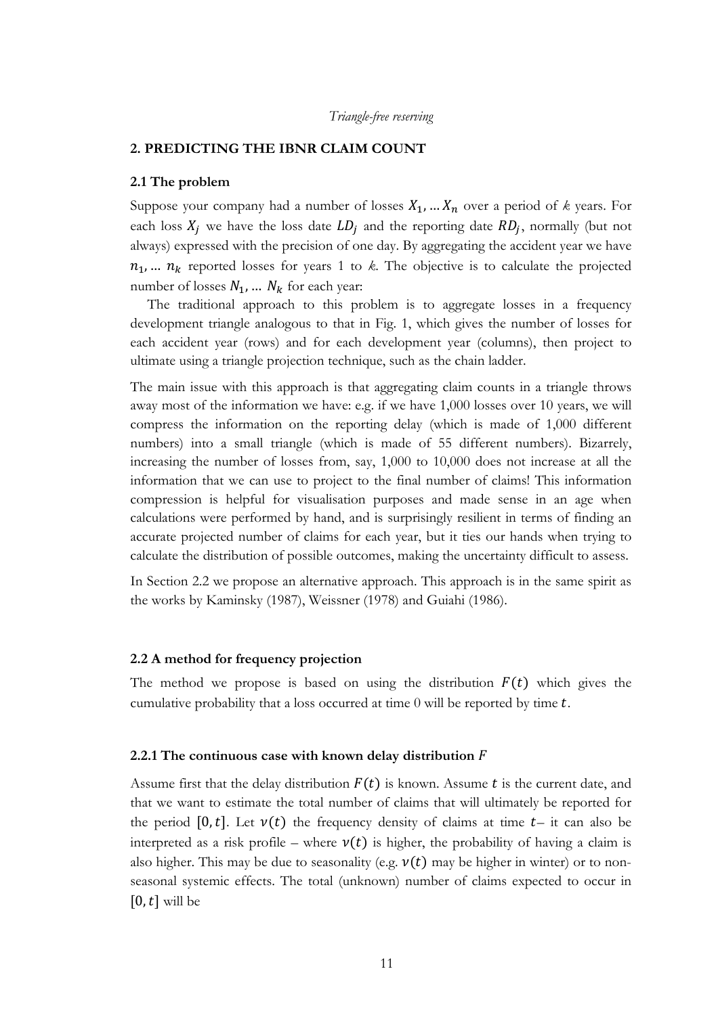#### **2. PREDICTING THE IBNR CLAIM COUNT**

#### **2.1 The problem**

Suppose your company had a number of losses  $X_1$ , ...  $X_n$  over a period of  $k$  years. For each loss  $X_j$  we have the loss date  $LD_j$  and the reporting date  $RD_j$ , normally (but not  $n_1$ , ...  $n_k$  reported losses for years 1 to  $k$ . The objective is to calculate the projected number of losses  $N_1$ , ...  $N_k$  for each year: always) expressed with the precision of one day. By aggregating the accident year we have

The traditional approach to this problem is to aggregate losses in a frequency development triangle analogous to that in Fig. 1, which gives the number of losses for each accident year (rows) and for each development year (columns), then project to ultimate using a triangle projection technique, such as the chain ladder.

The main issue with this approach is that aggregating claim counts in a triangle throws away most of the information we have: e.g. if we have 1,000 losses over 10 years, we will compress the information on the reporting delay (which is made of 1,000 different numbers) into a small triangle (which is made of 55 different numbers). Bizarrely, increasing the number of losses from, say, 1,000 to 10,000 does not increase at all the information that we can use to project to the final number of claims! This information compression is helpful for visualisation purposes and made sense in an age when calculations were performed by hand, and is surprisingly resilient in terms of finding an accurate projected number of claims for each year, but it ties our hands when trying to calculate the distribution of possible outcomes, making the uncertainty difficult to assess.

In Section 2.2 we propose an alternative approach. This approach is in the same spirit as the works by Kaminsky (1987), Weissner (1978) and Guiahi (1986).

#### **2.2 A method for frequency projection**

The method we propose is based on using the distribution  $F(t)$  which gives the cumulative probability that a loss occurred at time  $0$  will be reported by time  $t$ .

### **2.2.1 The continuous case with known delay distribution F**

Assume first that the delay distribution  $F(t)$  is known. Assume t is the current date, and interpreted as a risk profile – where  $v(t)$  is higher, the probability of having a claim is also higher. This may be due to seasonality (e.g.  $v(t)$  may be higher in winter) or to nonthat we want to estimate the total number of claims that will ultimately be reported for the period [0, t]. Let  $v(t)$  the frequency density of claims at time  $t-$  it can also be seasonal systemic effects. The total (unknown) number of claims expected to occur in  $[0, t]$  will be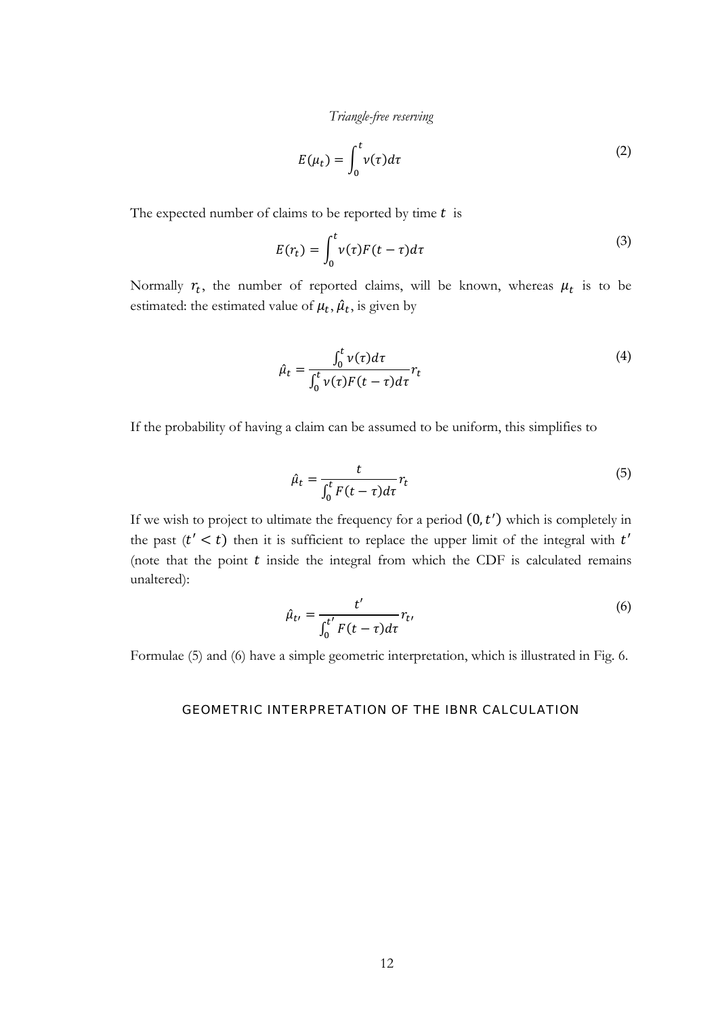$$
E(\mu_t) = \int_0^t v(\tau) d\tau
$$
 (2)

The expected number of claims to be reported by time  $t$  is

$$
E(r_t) = \int_0^t v(\tau)F(t-\tau)d\tau
$$
\n(3)

Normally  $r_t$ , the number of reported claims, will be known, whereas  $\mu_t$  is to be estimated: the estimated value of  $\mu_t$ ,  $\hat{\mu}_t$ , is given by

$$
\hat{\mu}_t = \frac{\int_0^t \nu(\tau) d\tau}{\int_0^t \nu(\tau) F(t-\tau) d\tau} r_t \tag{4}
$$

If the probability of having a claim can be assumed to be uniform, this simplifies to

$$
\hat{\mu}_t = \frac{t}{\int_0^t F(t-\tau)d\tau} r_t \tag{5}
$$

If we wish to project to ultimate the frequency for a period  $(0, t')$  which is completely in the past  $(t' < t)$  then it is sufficient to replace the upper limit of the integral with  $t'$ (note that the point  $t$  inside the integral from which the CDF is calculated remains unaltered):

$$
\hat{\mu}_{t'} = \frac{t'}{\int_0^{t'} F(t-\tau)d\tau} r_{t'},
$$
\n(6)

Formulae (5) and (6) have a simple geometric interpretation, which is illustrated in Fig. 6.

## **GEOMETRIC INTERPRETATION OF THE IBNR CALCULATION**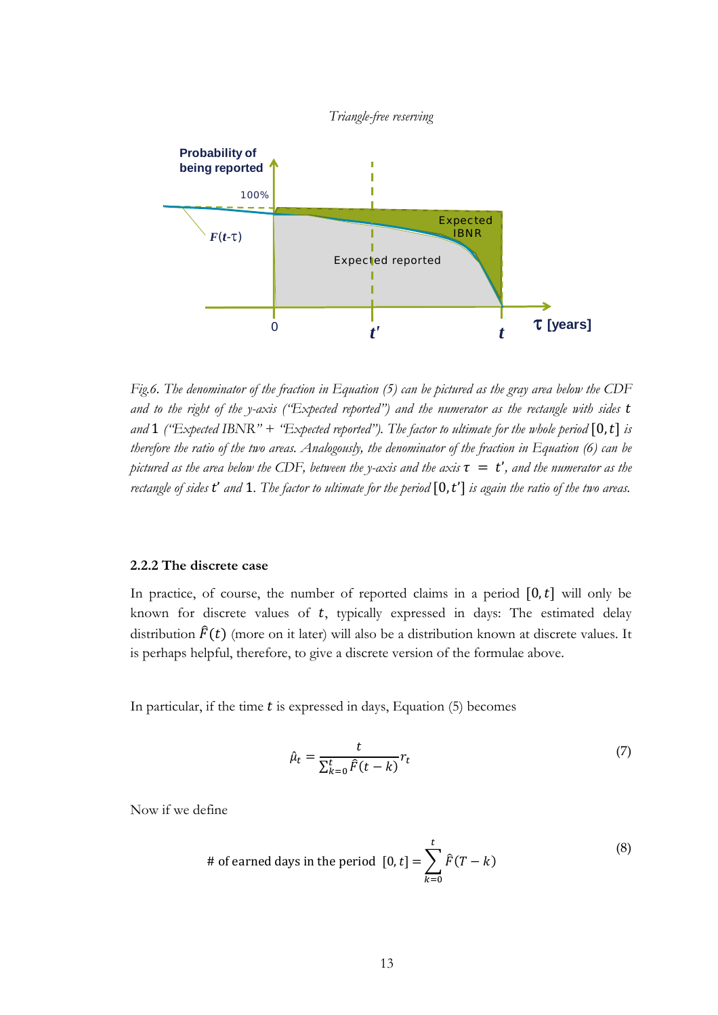

Fig.6. The denominator of the fraction in Equation  $(5)$  can be pictured as the gray area below the CDF and to the right of the y-axis ("Expected reported") and the numerator as the rectangle with sides  $t$ and 1 ("Expected IBNR" + "Expected reported"). The factor to ultimate for the whole period  $[0, t]$  is therefore the ratio of the two areas. Analogously, the denominator of the fraction in Equation (6) can be pictured as the area below the CDF, between the y-axis and the axis  $\tau = t'$ , and the numerator as the rectangle of sides  $t'$  and 1. The factor to ultimate for the period  $[0, t']$  is again the ratio of the two areas.

### 2.2.2 The discrete case

In practice, of course, the number of reported claims in a period  $[0, t]$  will only be known for discrete values of  $t$ , typically expressed in days: The estimated delay distribution  $\hat{F}(t)$  (more on it later) will also be a distribution known at discrete values. It is perhaps helpful, therefore, to give a discrete version of the formulae above.

In particular, if the time  $t$  is expressed in days, Equation (5) becomes

$$
\hat{\mu}_t = \frac{t}{\sum_{k=0}^t \hat{F}(t-k)} r_t \tag{7}
$$

Now if we define

# of earned days in the period 
$$
[0, t] = \sum_{k=0}^{t} \hat{F}(T - k)
$$
 (8)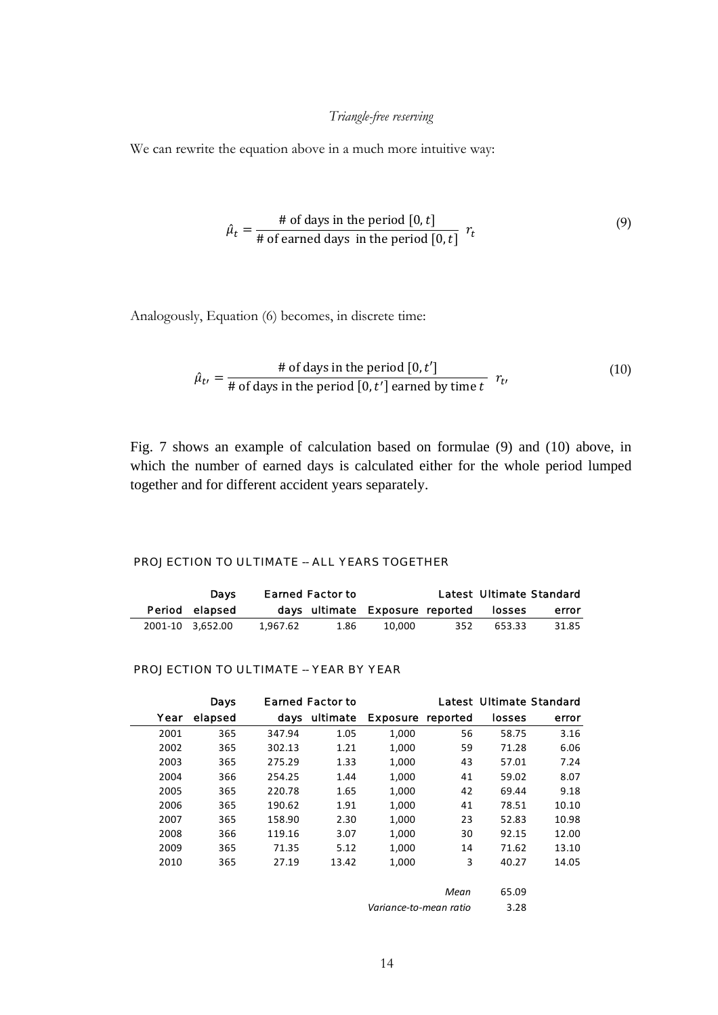We can rewrite the equation above in a much more intuitive way:

$$
\hat{\mu}_t = \frac{\text{# of days in the period } [0, t]}{\text{# of earned days in the period } [0, t]} \quad r_t \tag{9}
$$

Analogously, Equation (6) becomes, in discrete time:

$$
\hat{\mu}_{t'} = \frac{\text{\# of days in the period } [0, t']}{\text{\# of days in the period } [0, t'] \text{ earned by time } t} \quad r_{t'}
$$
\n(10)

Fig. 7 shows an example of calculation based on formulae (9) and (10) above, in which the number of earned days is calculated either for the whole period lumped together and for different accident years separately.

## PROJECTION TO ULTIMATE -- ALL YEARS TOGETHER

| <b>Davs</b>      |          | <b>Earned Factor to</b> |                                 |     |        | Latest Ultimate Standard |
|------------------|----------|-------------------------|---------------------------------|-----|--------|--------------------------|
| Period elapsed   |          |                         | days ultimate Exposure reported |     | losses | error                    |
| 2001-10 3.652.00 | 1.967.62 | 1.86                    | 10.000                          | 352 | 653.33 | 31.85                    |

## PROJECTION TO ULTIMATE -- YEAR BY YEAR

|      | <b>Days</b> | <b>Earned Factor to</b> |          |                        |          |               | <b>Latest Ultimate Standard</b> |  |
|------|-------------|-------------------------|----------|------------------------|----------|---------------|---------------------------------|--|
| Year | elapsed     | days                    | ultimate | <b>Exposure</b>        | reported | <b>losses</b> | error                           |  |
| 2001 | 365         | 347.94                  | 1.05     | 1,000                  | 56       | 58.75         | 3.16                            |  |
| 2002 | 365         | 302.13                  | 1.21     | 1,000                  | 59       | 71.28         | 6.06                            |  |
| 2003 | 365         | 275.29                  | 1.33     | 1,000                  | 43       | 57.01         | 7.24                            |  |
| 2004 | 366         | 254.25                  | 1.44     | 1,000                  | 41       | 59.02         | 8.07                            |  |
| 2005 | 365         | 220.78                  | 1.65     | 1,000                  | 42       | 69.44         | 9.18                            |  |
| 2006 | 365         | 190.62                  | 1.91     | 1,000                  | 41       | 78.51         | 10.10                           |  |
| 2007 | 365         | 158.90                  | 2.30     | 1,000                  | 23       | 52.83         | 10.98                           |  |
| 2008 | 366         | 119.16                  | 3.07     | 1,000                  | 30       | 92.15         | 12.00                           |  |
| 2009 | 365         | 71.35                   | 5.12     | 1,000                  | 14       | 71.62         | 13.10                           |  |
| 2010 | 365         | 27.19                   | 13.42    | 1,000                  | 3        | 40.27         | 14.05                           |  |
|      |             |                         |          |                        |          |               |                                 |  |
|      |             |                         |          |                        | Mean     | 65.09         |                                 |  |
|      |             |                         |          | Variance-to-mean ratio |          | 3.28          |                                 |  |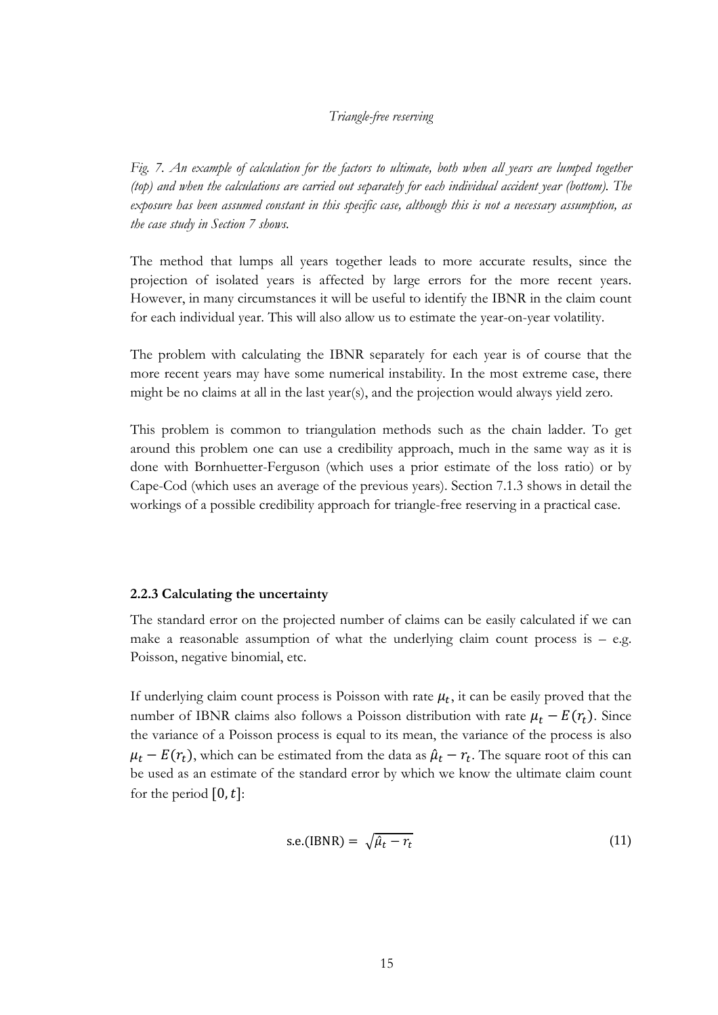(top) and when the calculations are carried out separately for each individual accident year (bottom). The *posure has been assumed constant in this specific case, although this is not a necessary assumption, as ex Fig. 7. An example of calculation for the factors to ultimate, both when all years are lumped together the case study in Section 7 shows.* 

However, in many circumstances it will be useful to identify the IBNR in the claim count for each individual year. This will also allow us to estimate the year-on-year volatility. The method that lumps all years together leads to more accurate results, since the projection of isolated years is affected by large errors for the more recent years.

The problem with calculating the IBNR separately for each year is of course that the more recent years may have some numerical instability. In the most extreme case, there might be no claims at all in the last year(s), and the projection would always yield zero.

around this problem one can use a credibility approach, much in the same way as it is done with Bornhuetter-Ferguson (which uses a prior estimate of the loss ratio) or by This problem is common to triangulation methods such as the chain ladder. To get Cape-Cod (which uses an average of the previous years). Section 7.1.3 shows in detail the workings of a possible credibility approach for triangle-free reserving in a practical case.

### 2.2.3 Calculating the uncertainty

The standard error on the projected number of claims can be easily calculated if we can make a reasonable assumption of what the underlying claim count process is  $-$  e.g. Poisson, negative binomial, etc.

the variance of a Poisson process is equal to its mean, the variance of the process is also  $\mu_t - E(r_t)$ , which can be estimated from the data as  $\hat{\mu}_t - r_t$ . The square root of this can If underlying claim count process is Poisson with rate  $\mu_t$ , it can be easily proved that the number of IBNR claims also follows a Poisson distribution with rate  $\mu_t - E(r_t)$ . Since be used as an estimate of the standard error by which we know the ultimate claim count for the period  $[0, t]$ :

$$
\text{s.e.}(\text{IBNR}) = \sqrt{\hat{\mu}_t - r_t} \tag{11}
$$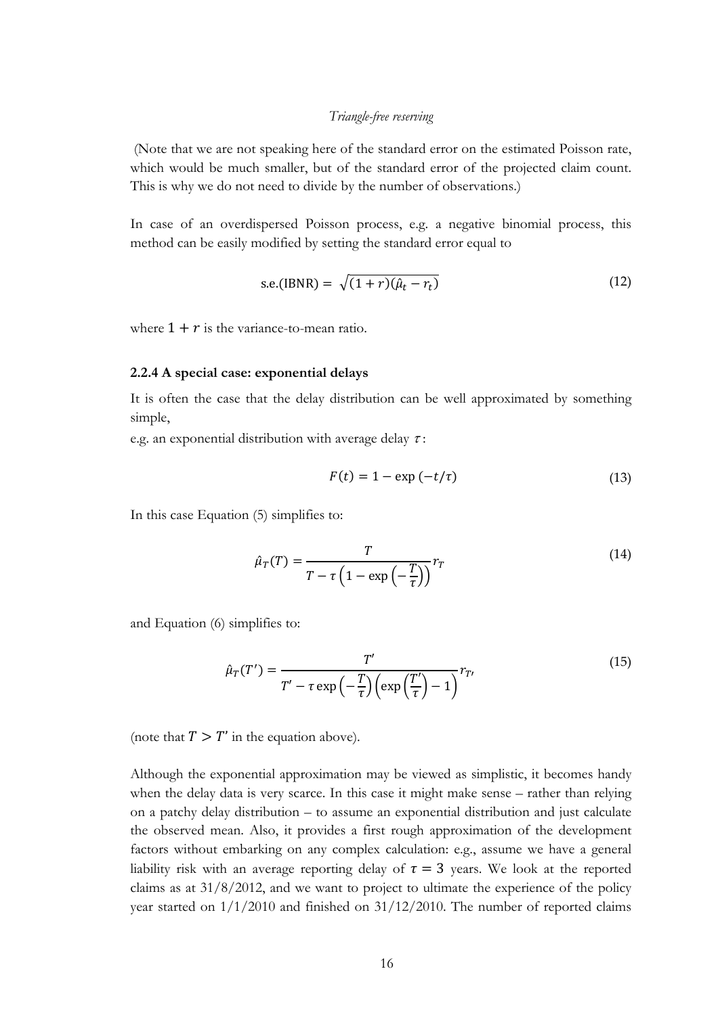(Note that we are not speaking here of the standard error on the estimated Poisson rate, which would be much smaller, but of the standard error of the projected claim count. This is why we do not need to divide by the number of observations.)

In case of an overdispersed Poisson process, e.g. a negative binomial process, this method can be easily modified by setting the standard error equal to

s.e.(IBNR) = 
$$
\sqrt{(1+r)(\hat{\mu}_t - r_t)}
$$
 (12)

where  $1 + r$  is the variance-to-mean ratio.

### 2.2.4 A special case: exponential delays

It is often the case that the delay distribution can be well approximated by something simple,

e.g. an exponential distribution with average delay  $\tau$ :

$$
F(t) = 1 - \exp(-t/\tau) \tag{13}
$$

In this case Equation (5) simplifies to:

$$
\hat{\mu}_T(T) = \frac{T}{T - \tau \left(1 - \exp\left(-\frac{T}{\tau}\right)\right)} r_T \tag{14}
$$

and Equation (6) simplifies to:

$$
\hat{\mu}_T(T') = \frac{T'}{T' - \tau \exp\left(-\frac{T}{\tau}\right) \left(\exp\left(\frac{T'}{\tau}\right) - 1\right)} r_T,\tag{15}
$$

(note that  $T > T'$  in the equation above).

Although the exponential approximation may be viewed as simplistic, it becomes handy when the delay data is very scarce. In this case it might make sense – rather than relying on a patchy delay distribution – to assume an exponential distribution and just calculate the observed mean. Also, it provides a first rough approximation of the development year started on 1/1/2010 and finished on 31/12/2010. The number of reported claims factors without embarking on any complex calculation: e.g., assume we have a general liability risk with an average reporting delay of  $\tau = 3$  years. We look at the reported claims as at  $31/8/2012$ , and we want to project to ultimate the experience of the policy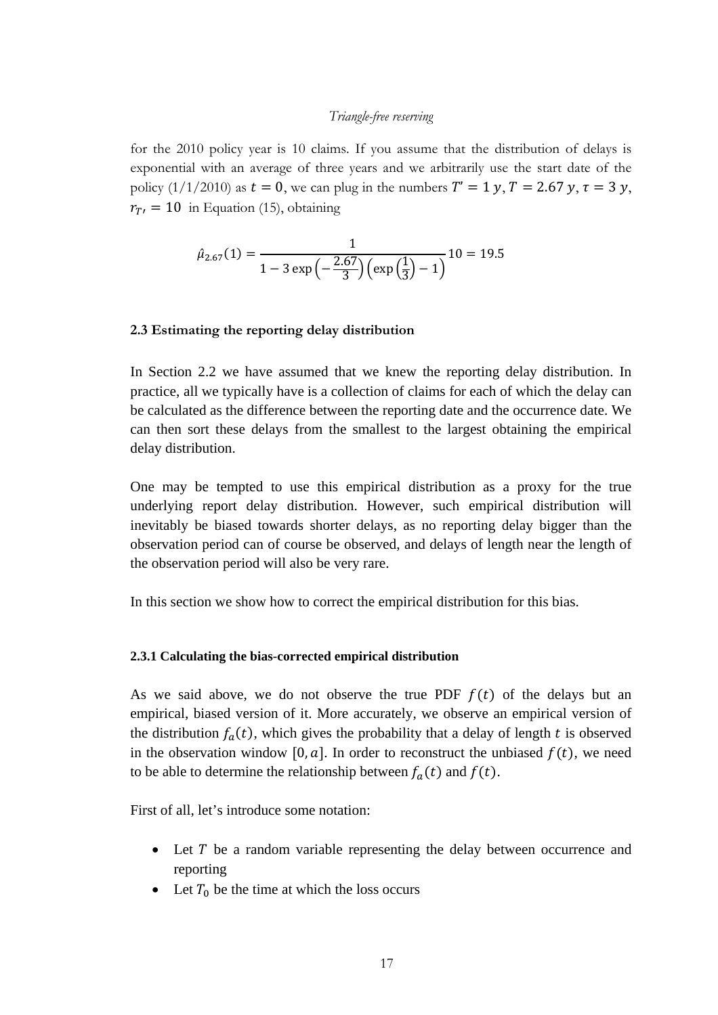exponential with an average of three years and we arbitrarily use the start date of the policy (1/1/2010) as  $t = 0$ , we can plug in the numbers  $T' = 1 y$ ,  $T = 2.67 y$ ,  $\tau = 3 y$ , for the 2010 policy year is 10 claims. If you assume that the distribution of delays is  $r_{T}$ , = 10 in Equation (15), obtaining

$$
\hat{\mu}_{2.67}(1) = \frac{1}{1 - 3\exp\left(-\frac{2.67}{3}\right)\left(\exp\left(\frac{1}{3}\right) - 1\right)} 10 = 19.5
$$

#### **2.3 Estimating the reporting delay distribution**

In Section 2.2 we have assumed that we knew the reporting delay distribution. In practice, all we typically have is a collection of claims for each of which the delay can be calculated as the difference between the reporting date and the occurrence date. We can then sort these delays from the smallest to the largest obtaining the empirical delay distribution.

One may be tempted to use this empirical distribution as a proxy for the true nderlying report delay distribution. However, such empirical distribution will u inevitably be biased towards shorter delays, as no reporting delay bigger than the observation period can of course be observed, and delays of length near the length of the observation period will also be very rare.

In this section we show how to correct the empirical distribution for this bias.

#### **2.3.1 Calculating the bias-corrected empirical distribution**

As we said above, we do not observe the true PDF  $f(t)$  of the delays but an empirical, biased version of it. More accurately, we observe an empirical version of the distribution  $f_a(t)$ , which gives the probability that a delay of length t is observed in the observation window [0,  $a$ ]. In order to reconstruct the unbiased  $f(t)$ , we need to be able to determine the relationship between  $f_a(t)$  and  $f(t)$ .

First of all, let's introduce some notation:

- Let  $T$  be a random variable representing the delay between occurrence and reporting
- Let  $T_0$  be the time at which the loss occurs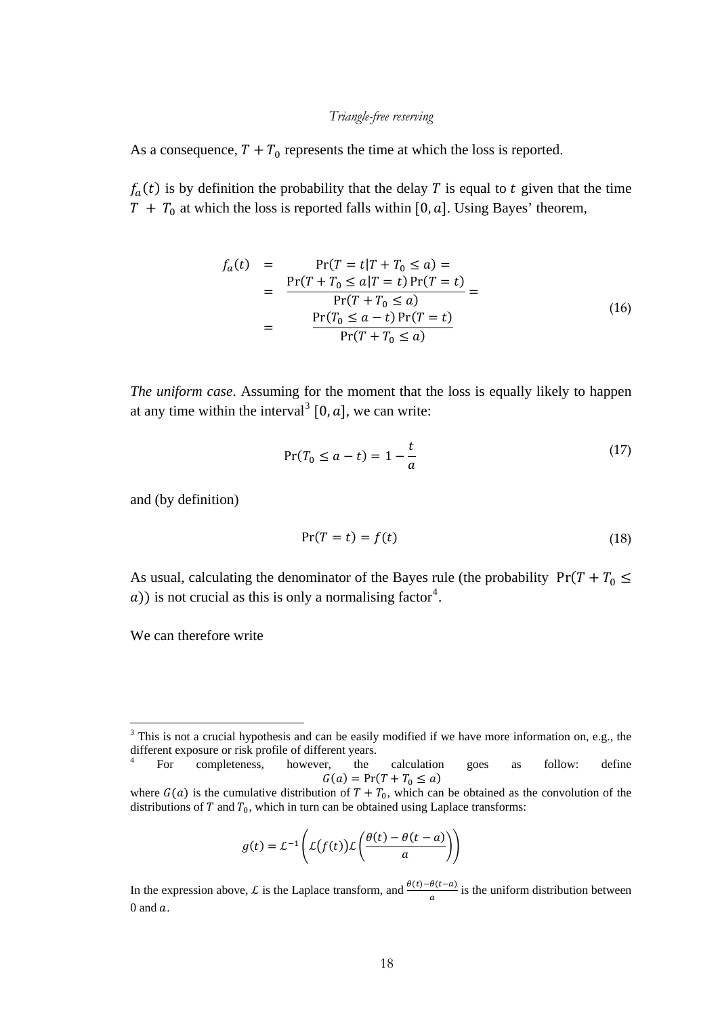As a consequence,  $T + T_0$  represents the time at which the loss is reported.

 $f_a(t)$  is by definition the probability that the delay T is equal to t given that the time  $T + T_0$  at which the loss is reported falls within [0, a]. Using Bayes' theorem,

$$
f_a(t) = \Pr(T = t | T + T_0 \le a) =
$$
  
= 
$$
\frac{\Pr(T + T_0 \le a | T = t) \Pr(T = t)}{\Pr(T + T_0 \le a)} =
$$
  
= 
$$
\frac{\Pr(T_0 \le a - t) \Pr(T = t)}{\Pr(T + T_0 \le a)}
$$
(16)

The uniform case. Assuming for the moment that the loss is equally likely to happen at any time within the interval<sup>3</sup> [0, a], we can write:

$$
\Pr(T_0 \le a - t) = 1 - \frac{t}{a} \tag{17}
$$

and (by definition)

$$
\Pr(T = t) = f(t) \tag{18}
$$

As usual, calculating the denominator of the Bayes rule (the probability  $Pr(T + T_0 \leq$ a) is not crucial as this is only a normalising factor<sup>4</sup>.

We can therefore write

$$
g(t) = \mathcal{L}^{-1}\left(\mathcal{L}(f(t))\mathcal{L}\left(\frac{\theta(t) - \theta(t-a)}{a}\right)\right)
$$

In the expression above, L is the Laplace transform, and  $\frac{\theta(t)-\theta(t-a)}{a}$  is the uniform distribution between  $0$  and  $a$ .

 $3$  This is not a crucial hypothesis and can be easily modified if we have more information on, e.g., the different exposure or risk profile of different years.

For completeness, however, the calculation follow: define goes as  $G(a) = Pr(T + T_0 \le a)$ 

where  $G(a)$  is the cumulative distribution of  $T + T_0$ , which can be obtained as the convolution of the distributions of  $T$  and  $T_0$ , which in turn can be obtained using Laplace transforms: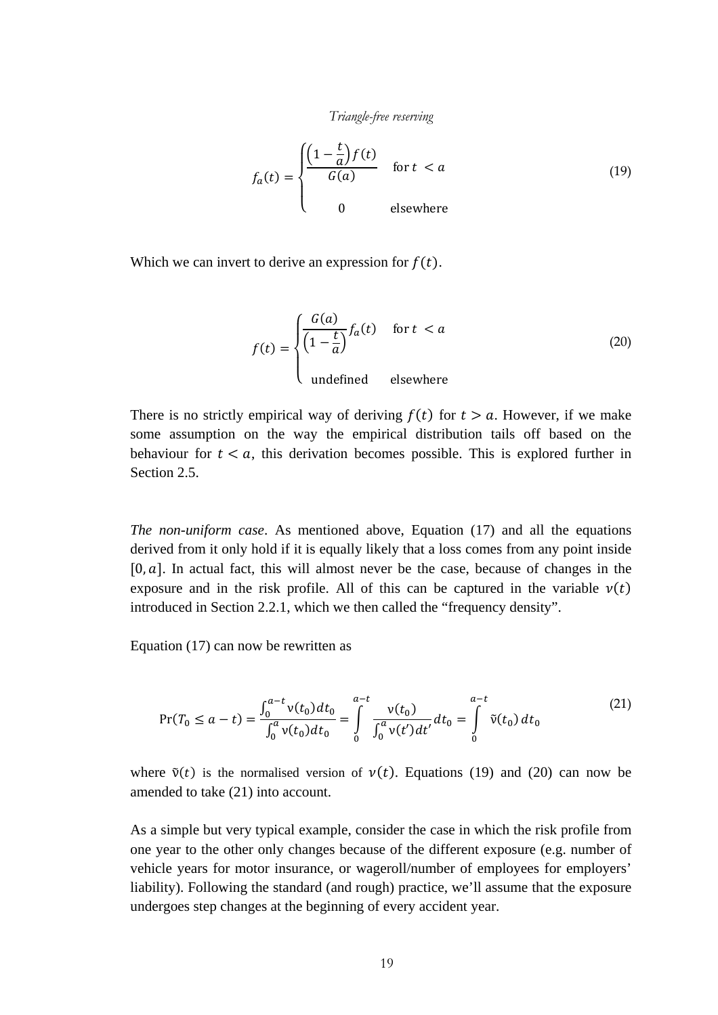$$
f_a(t) = \begin{cases} \left(\frac{1 - \frac{t}{a}}{f(a)}\right) & \text{for } t < a\\ G(a) & \text{elsewhere} \end{cases}
$$
 (19)

Which we can invert to derive an expression for  $f(t)$ .

$$
f(t) = \begin{cases} \frac{G(a)}{\left(1 - \frac{t}{a}\right)} f_a(t) & \text{for } t < a\\ \text{undefined} & \text{elsewhere} \end{cases} \tag{20}
$$

There is no strictly empirical way of deriving  $f(t)$  for  $t > a$ . However, if we make some assumption on the way the empirical distribution tails off based on the behaviour for  $t < a$ , this derivation becomes possible. This is explored further in Section 2.5.

*The non-uniform case.* As mentioned above, Equation (17) and all the equations derived from it only hold if it is equally likely that a loss comes from any point inside  $[0, a]$ . In actual fact, this will almost never be the case, because of changes in the exposure and in the risk profile. All of this can be captured in the variable  $v(t)$ introduced in Section 2.2.1, which we then called the "frequency density".

Equation  $(17)$  can now be rewritten as

$$
\Pr(T_0 \le a - t) = \frac{\int_0^{a - t} v(t_0) dt_0}{\int_0^a v(t_0) dt_0} = \int_0^{a - t} \frac{v(t_0)}{\int_0^a v(t') dt'} dt_0 = \int_0^{a - t} \tilde{v}(t_0) dt_0
$$
\n(21)

where  $\tilde{v}(t)$  is the normalised version of  $v(t)$ . Equations (19) and (20) can now be amended to take (21) into account.

As a simple but very typical example, consider the case in which the risk profile from one year to the other only changes because of the different exposure (e.g. number of vehicle years for motor insurance, or wageroll/number of employees for employers' liability). Following the standard (and rough) practice, we'll assume that the exposure undergoes step changes at the beginning of every accident year.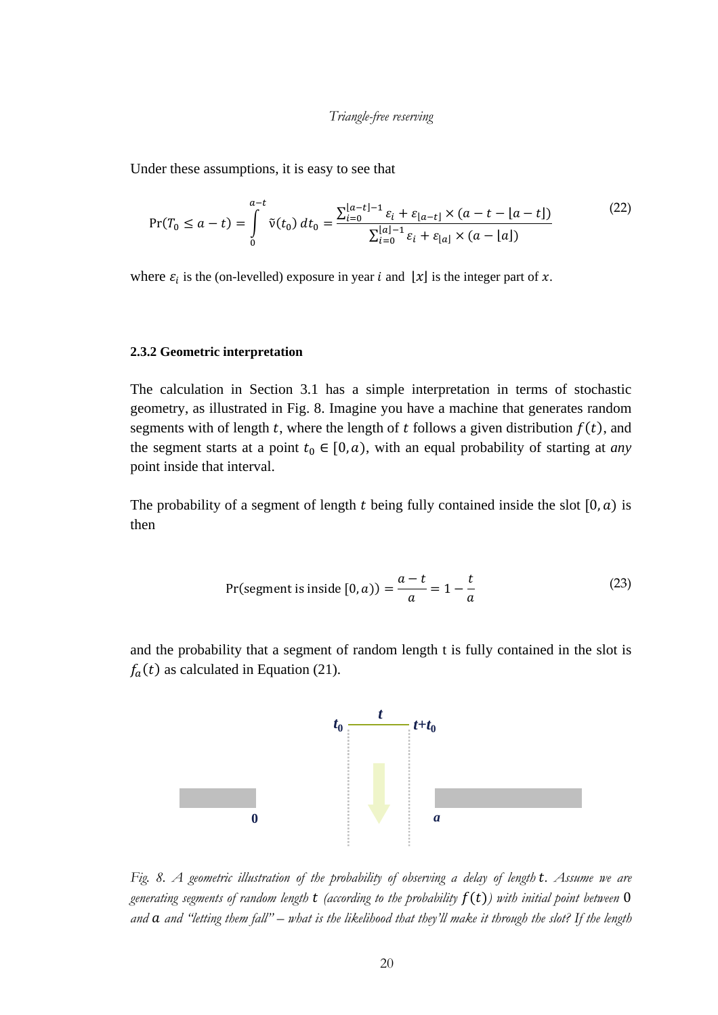Under these assumptions, it is easy to see that

$$
\Pr(T_0 \le a - t) = \int_0^{a - t} \tilde{v}(t_0) \, dt_0 = \frac{\sum_{i=0}^{\lfloor a - t \rfloor - 1} \varepsilon_i + \varepsilon_{\lfloor a - t \rfloor} \times (a - t - \lfloor a - t \rfloor)}{\sum_{i=0}^{\lfloor a \rfloor - 1} \varepsilon_i + \varepsilon_{\lfloor a \rfloor} \times (a - \lfloor a \rfloor)}\tag{22}
$$

where  $\varepsilon_i$  is the (on-levelled) exposure in year *i* and  $\lfloor x \rfloor$  is the integer part of *x*.

#### 2.3.2 Geometric interpretation

The calculation in Section 3.1 has a simple interpretation in terms of stochastic geometry, as illustrated in Fig. 8. Imagine you have a machine that generates random segments with of length t, where the length of t follows a given distribution  $f(t)$ , and the segment starts at a point  $t_0 \in [0, a)$ , with an equal probability of starting at any point inside that interval.

The probability of a segment of length t being fully contained inside the slot  $[0, a)$  is then

$$
Pr(\text{segment is inside } [0, a)) = \frac{a - t}{a} = 1 - \frac{t}{a}
$$
\n
$$
(23)
$$

and the probability that a segment of random length t is fully contained in the slot is  $f_a(t)$  as calculated in Equation (21).



Fig. 8. A geometric illustration of the probability of observing a delay of length t. Assume we are generating segments of random length  $t$  (according to the probability  $f(t)$ ) with initial point between  $0$ and  $\alpha$  and "letting them fall" – what is the likelihood that they'll make it through the slot? If the length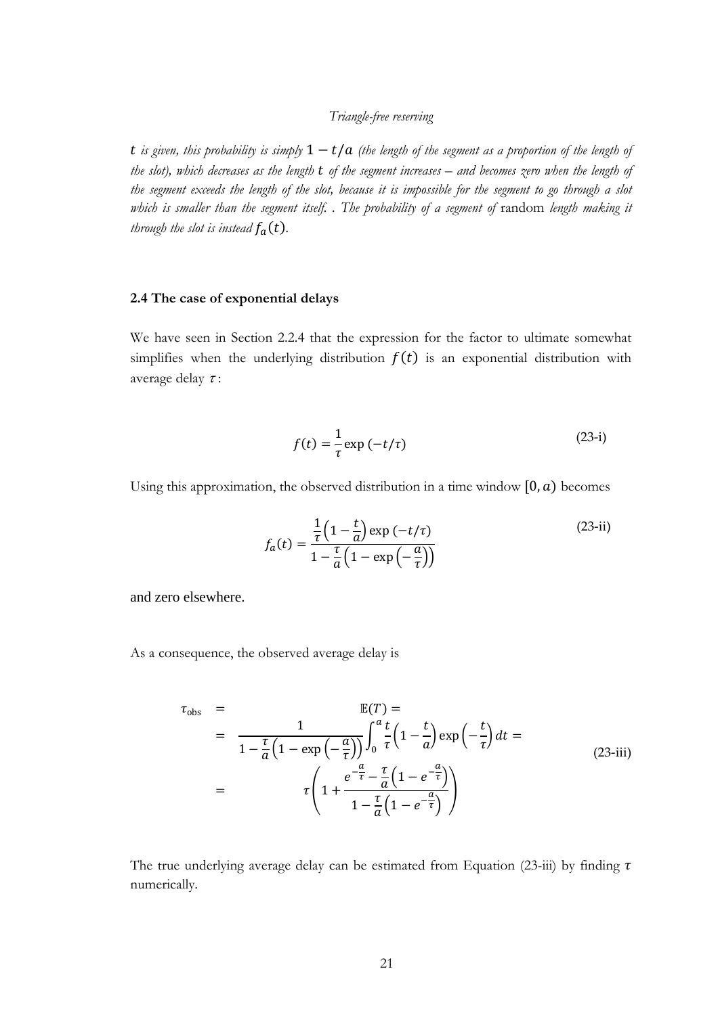the segment exceeds the length of the slot, because it is impossible for the segment to go through a slot which is smaller than the segment itself. . The probability of a segment of random length making it *through the slot is instead*  $f_a(t)$ . **t** is given, this probability is simply  $1 - t/a$  (the length of the segment as a proportion of the length of *the slot), which decreases as the length* **t** of the segment increases – and becomes zero when the length of

## **2.4 The case of exponential delays**

We have seen in Section 2.2.4 that the expression for the factor to ultimate somewhat simplifies when the underlying distribution  $f(t)$  is an exponential distribution with average delay  $\tau$ :

$$
f(t) = \frac{1}{\tau} \exp\left(-t/\tau\right) \tag{23-i}
$$

Using this approximation, the observed distribution in a time window  $[0, a)$  becomes

$$
f_a(t) = \frac{\frac{1}{\tau} \left( 1 - \frac{t}{a} \right) \exp\left(-t/\tau\right)}{1 - \frac{\tau}{a} \left( 1 - \exp\left(-\frac{a}{\tau}\right) \right)}
$$
(23-ii)

and zero elsewhere.

As a consequence, the observed average delay is

$$
\tau_{\text{obs}} = \frac{\mathbb{E}(T)}{1 - \frac{\tau}{a} \left(1 - \exp\left(-\frac{a}{\tau}\right)\right)} \int_0^a \frac{t}{\tau} \left(1 - \frac{t}{a}\right) \exp\left(-\frac{t}{\tau}\right) dt =
$$
\n
$$
= \tau \left(1 + \frac{e^{-\frac{a}{\tau}} - \frac{\tau}{a} \left(1 - e^{-\frac{a}{\tau}}\right)}{1 - \frac{\tau}{a} \left(1 - e^{-\frac{a}{\tau}}\right)}\right)
$$
\n(23-iii)

The true underlying average delay can be estimated from Equation (23-iii) by finding  $\tau$ numerically.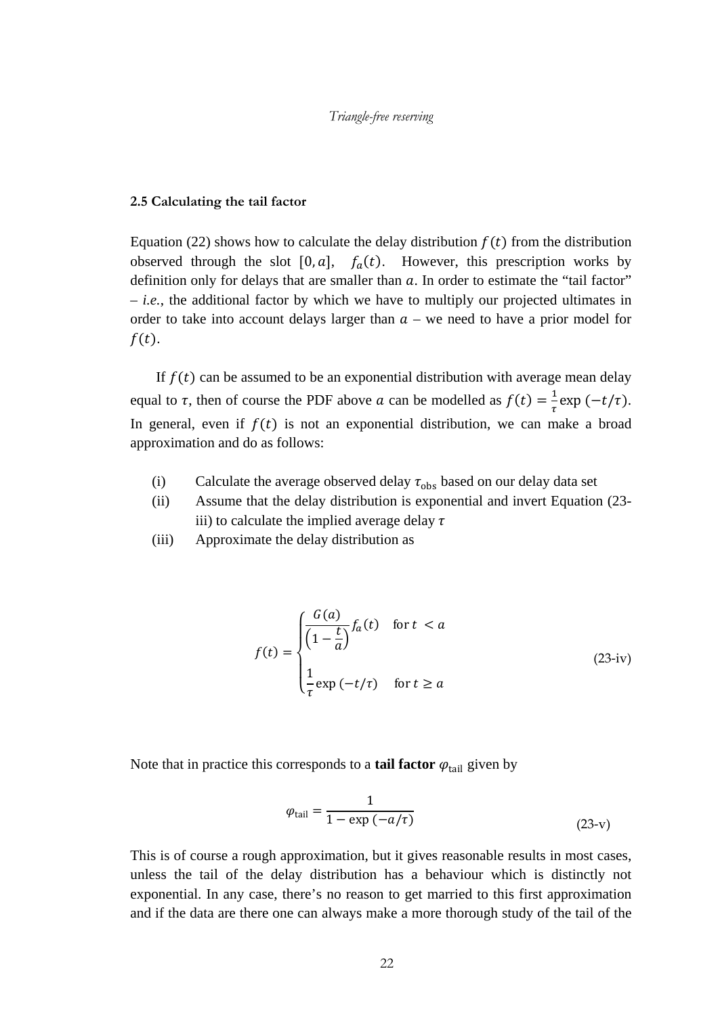#### 2.5 Calculating the tail factor

Equation (22) shows how to calculate the delay distribution  $f(t)$  from the distribution observed through the slot  $[0, a]$ ,  $f_a(t)$ . However, this prescription works by definition only for delays that are smaller than  $a$ . In order to estimate the "tail factor"  $-$  *i.e.*, the additional factor by which we have to multiply our projected ultimates in order to take into account delays larger than  $a$  – we need to have a prior model for  $f(t)$ .

If  $f(t)$  can be assumed to be an exponential distribution with average mean delay equal to  $\tau$ , then of course the PDF above  $\alpha$  can be modelled as  $f(t) = \frac{1}{\tau} \exp(-t/\tau)$ . In general, even if  $f(t)$  is not an exponential distribution, we can make a broad approximation and do as follows:

- Calculate the average observed delay  $\tau_{obs}$  based on our delay data set  $(i)$
- Assume that the delay distribution is exponential and invert Equation (23- $(ii)$ iii) to calculate the implied average delay  $\tau$
- $(iii)$ Approximate the delay distribution as

$$
f(t) = \begin{cases} \frac{G(a)}{\left(1 - \frac{t}{a}\right)} f_a(t) & \text{for } t < a \\ \frac{1}{\tau} \exp\left(-t/\tau\right) & \text{for } t \ge a \end{cases} \tag{23-iv}
$$

Note that in practice this corresponds to a **tail factor**  $\varphi_{\text{tail}}$  given by

$$
\varphi_{\text{tail}} = \frac{1}{1 - \exp(-a/\tau)}
$$
\n(23-v)

This is of course a rough approximation, but it gives reasonable results in most cases, unless the tail of the delay distribution has a behaviour which is distinctly not exponential. In any case, there's no reason to get married to this first approximation and if the data are there one can always make a more thorough study of the tail of the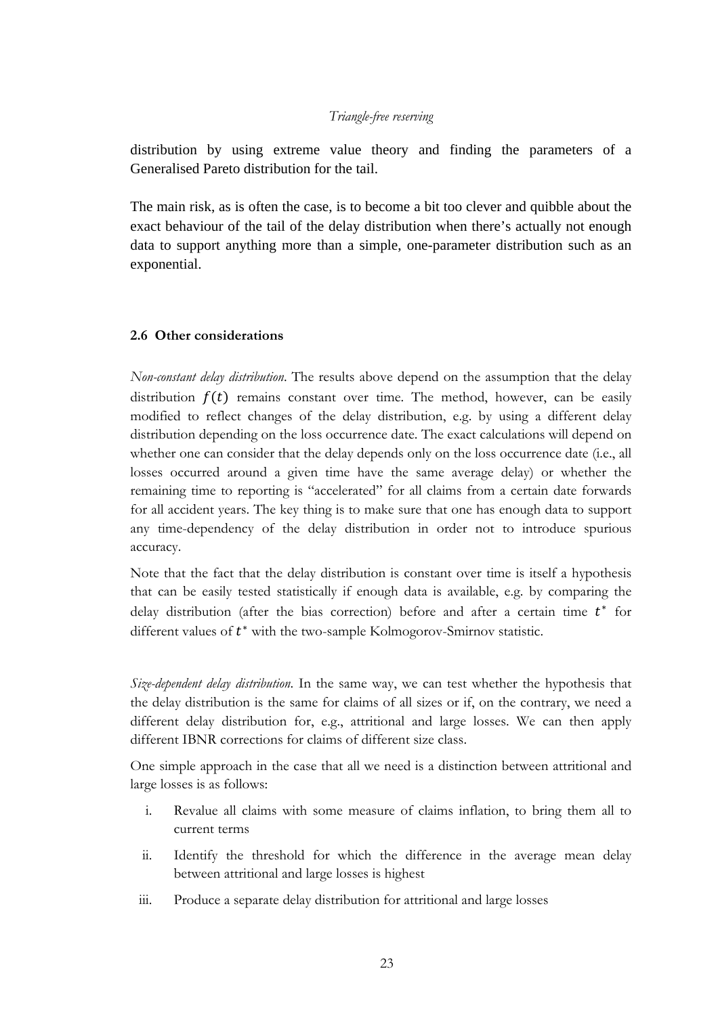distribution by using extreme value theory and finding the parameters of a Generalised Pareto distribution for the tail.

The main risk, as is often the case, is to become a bit too clever and quibble about the exact behaviour of the tail of the delay distribution when there's actually not enough data to support anything more than a simple, one-parameter distribution such as an exponential.

## **2.6 Other considerations**

distribution  $f(t)$  remains constant over time. The method, however, can be easily remaining time to reporting is "accelerated" for all claims from a certain date forwards for all accident years. The key thing is to make sure that one has enough data to support ny time-dependency of the delay distribution in order not to introduce spurious a *Non-constant delay distribution*. The results above depend on the assumption that the delay modified to reflect changes of the delay distribution, e.g. by using a different delay distribution depending on the loss occurrence date. The exact calculations will depend on whether one can consider that the delay depends only on the loss occurrence date (i.e., all losses occurred around a given time have the same average delay) or whether the accuracy.

delay distribution (after the bias correction) before and after a certain time  $t^*$  for Note that the fact that the delay distribution is constant over time is itself a hypothesis that can be easily tested statistically if enough data is available, e.g. by comparing the different values of  $t^*$  with the two-sample Kolmogorov-Smirnov statistic.

Size-dependent delay distribution. In the same way, we can test whether the hypothesis that the delay distribution is the same for claims of all sizes or if, on the contrary, we need a different delay distribution for, e.g., attritional and large losses. We can then apply different IBNR corrections for claims of different size class.

One simple approach in the case that all we need is a distinction between attritional and large losses is as follows:

- i. Revalue all claims with some measure of claims inflation, to bring them all to current terms
- ii. Identify the threshold for which the difference in the average mean delay between attritional and large losses is highest
- iii. Produce a separate delay distribution for attritional and large losses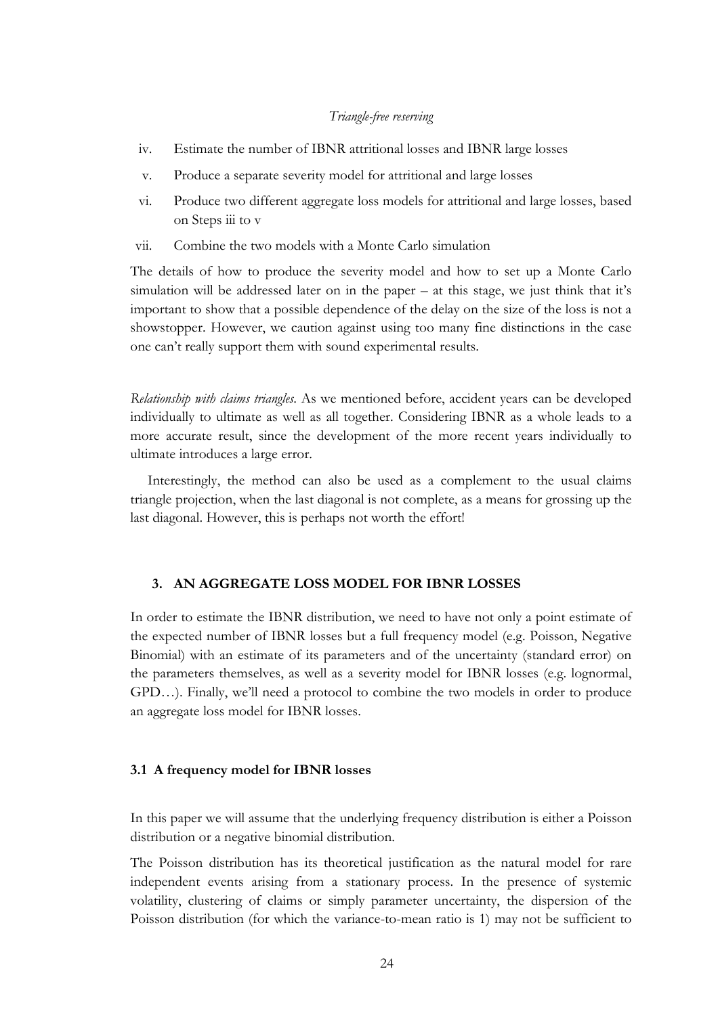- iv. Estimate the number of IBNR attritional losses and IBNR large losses
- v. Produce a separate severity model for attritional and large losses
- vi. Produce two different aggregate loss models for attritional and large losses, based on Steps iii to v
- vii. Combine the two models with a Monte Carlo simulation

important to show that a possible dependence of the delay on the size of the loss is not a showstopper . However, we caution against using too many fine distinctions in the case The details of how to produce the severity model and how to set up a Monte Carlo simulation will be addressed later on in the paper – at this stage, we just think that it's one can't really support them with sound experimental results.

Relationship with claims triangles. As we mentioned before, accident years can be developed individually to ultimate as well as all together. Considering IBNR as a whole leads to a more accurate result, since the development of the more recent years individually to ultimate intr oduces a large error.

Interestingly, the method can also be used as a complement to the usual claims triangle projection, when the last diagonal is not complete, as a means for grossing up the last diagonal. However, this is perhaps not worth the effort!

## **3. AN AGGREGATE LOSS MODEL FOR IBNR LOSSES**

In order to estimate the IBNR distribution, we need to have not only a point estimate of the expected number of IBNR losses but a full frequency model (e.g. Poisson, Negative Binomial) with an estimate of its parameters and of the uncertainty (standard error) on GPD...). Finally, we'll need a protocol to combine the two models in order to produce the parameters themselves, as well as a severity model for IBNR losses (e.g. lognormal, an aggregate loss model for IBNR losses.

#### **3.1 A frequency model for IBNR losses**

In this paper we will assume that the underlying frequency distribution is either a Poisson distribution or a negative binomial distribution.

volatility, clustering of claims or simply parameter uncertainty, the dispersion of the Poisson distribution (for which the variance-to-mean ratio is 1) may not be sufficient to The Poisson distribution has its theoretical justification as the natural model for rare independent events arising from a stationary process. In the presence of systemic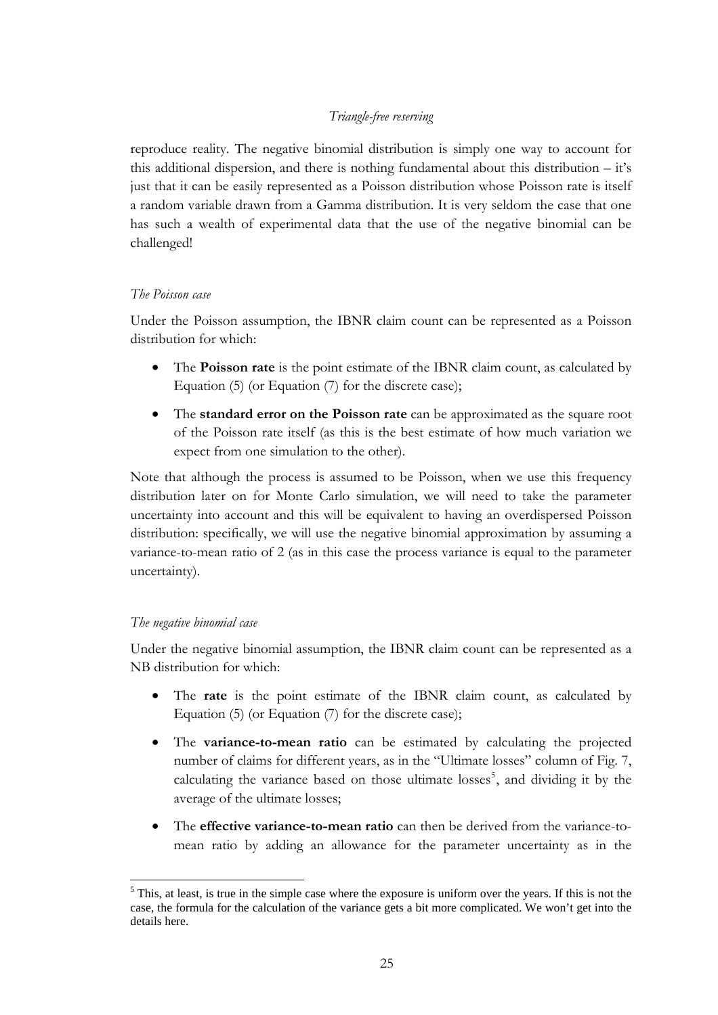reproduce reality. The negative binomial distribution is simply one way to account for a random variable drawn from a Gamma distribution. It is very seldom the case that one this additional dispersion, and there is nothing fundamental about this distribution  $-i\mathbf{t}'s$ just that it can be easily represented as a Poisson distribution whose Poisson rate is itself has such a wealth of experimental data that the use of the negative binomial can be challenged!

## *The Poisson case*

Under the Poisson assumption, the IBNR claim count can be represented as a Poisson distribution for which:

- The **Poisson rate** is the point estimate of the IBNR claim count, as calculated by Equation (5) (or Equation (7) for the discrete case);
- of the Poisson rate itself (as this is the best estimate of how much variation we expect from one simulation to the other). • The **standard error on the Poisson rate** can be approximated as the square root

Note that although the process is assumed to be Poisson, when we use this frequency distribution: specifically, we will use the negative binomial approximation by assuming a variance-to-mean ratio of 2 (as in this case the process variance is equal to the parameter uncerta inty). distribution later on for Monte Carlo simulation, we will need to take the parameter uncertainty into account and this will be equivalent to having an overdispersed Poisson

## *The nega tive binomial case*

 $\overline{a}$ 

Under the negative binomial assumption, the IBNR claim count can be represented as a NB distribution for which:

- The **rate** is the point estimate of the IBNR claim count, as calculated by Equation (5) (or Equation (7) for the discrete case);
- number of claims for different years, as in the "Ultimate losses" column of Fig. 7, The **variance-to-mean ratio** can be estimated by calculating the projected calculating the variance based on those ultimate  $losses<sup>5</sup>$ , and dividing it by the average of the ultimate losses;
- The **effective variance-to-mean ratio** can then be derived from the variance-tomean ratio by adding an allowance for the parameter uncertainty as in the

<sup>&</sup>lt;sup>5</sup> This, at least, is true in the simple case where the exposure is uniform over the years. If this is not the case, the formula for the calculation of the variance gets a bit more complicated. We won't get into the details here.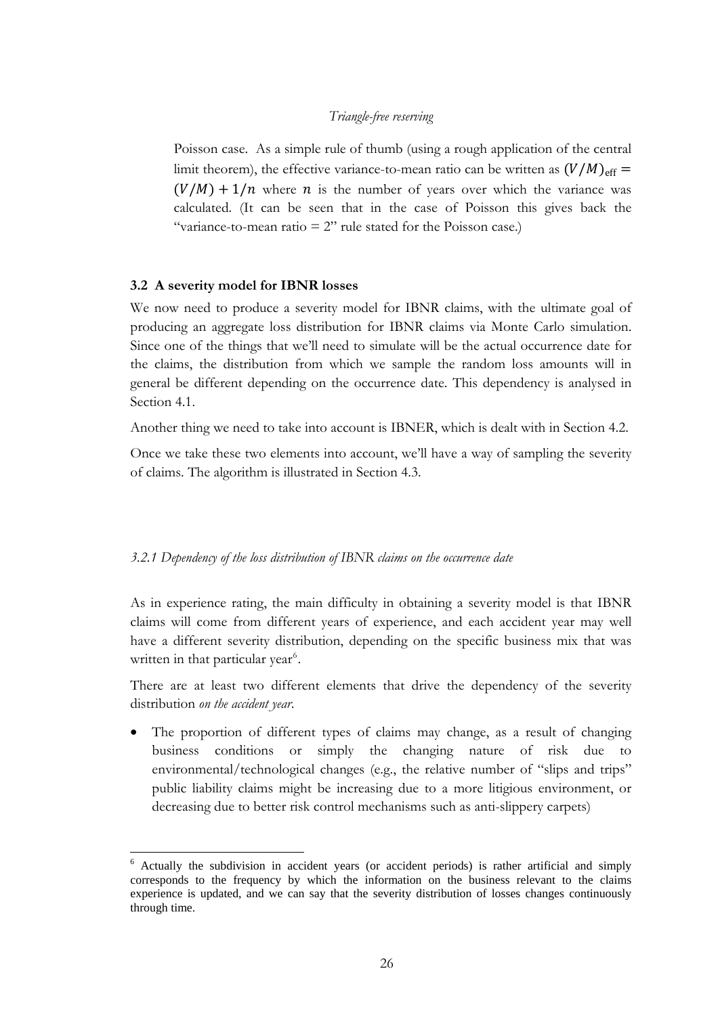Poisson case. As a simple rule of thumb (using a rough application of the central limit theorem), the effective variance-to-mean ratio can be written as  $(V/M)_{\text{eff}} =$  $(V/M) + 1/n$  where *n* is the number of years over which the variance was calculated. (It can be seen that in the case of Poisson this gives back the "variance-to-mean ratio  $= 2$ " rule stated for the Poisson case.)

#### **3.2 A severity model for IBNR losses**

 $\overline{a}$ 

Since one of the things that we'll need to simulate will be the actual occurrence date for the claims, the distribution from which we sample the random loss amounts will in general be different depending on the occurrence date. This dependency is analysed in Section 4.1. We now need to produce a severity model for IBNR claims, with the ultimate goal of producing an aggregate loss distribution for IBNR claims via Monte Carlo simulation.

Another thing we need to take into account is IBNER, which is dealt with in Section 4.2.

Once we take these two elements into account, we'll have a way of sampling the severity of claims. The algorithm is illustrated in Section 4.3.

#### *3.2.1 Dependency of the loss distribution of IBNR claims on the occurrence date*

clai ms will come from different years of experience, and each accident year may well hav e a different severity distribution, depending on the specific business mix that was written in that particular year<sup>6</sup>. As in experience rating, the main difficulty in obtaining a severity model is that IBNR

There are at least two different elements that drive the dependency of the severity distribution *on the accident year*.

• The proportion of different types of claims may change, as a result of changing business conditions or simply the changing nature of risk due environmental/technological changes (e.g., the relative number of "slips and trips" public liability claims might be increasing due to a more litigious environment, or decreasing due to better risk control mechanisms such as anti-slippery carpets)

<sup>6</sup> Actually the subdivision in accident years (or accident periods) is rather artificial and simply corresponds to the frequency by which the information on the business relevant to the claims experience is updated, and we can say that the severity distribution of losses changes continuously through time.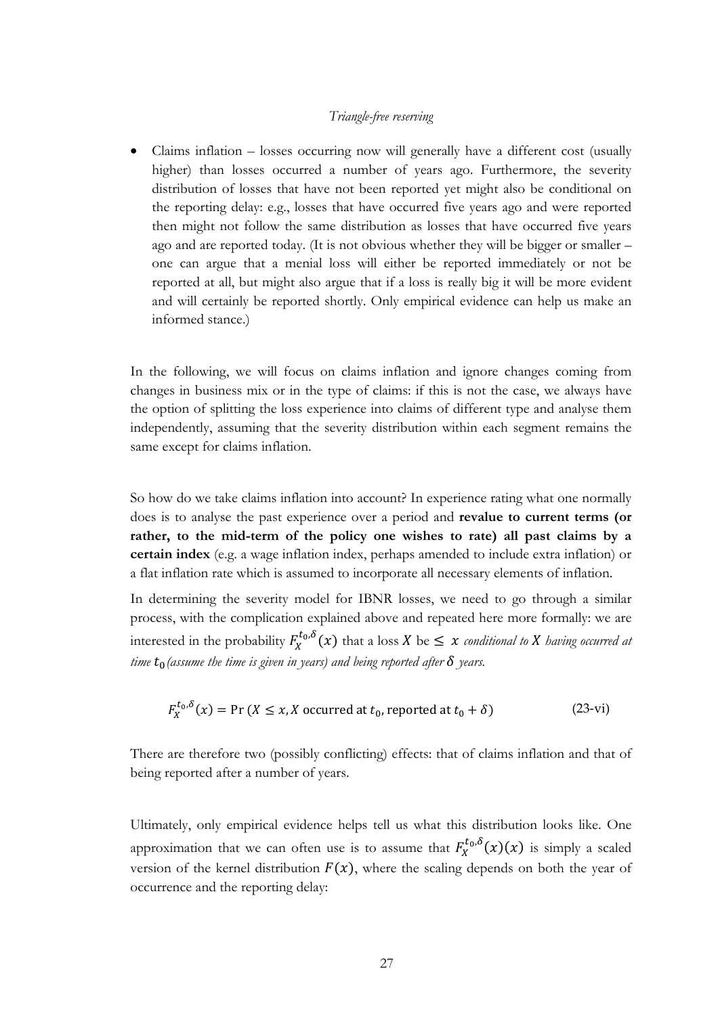• higher) than losses occurred a number of years ago. Furthermore, the severity distribution of losses that have not been reported yet might also be conditional on and will certainly be reported shortly. Only empirical evidence can help us make an informed stance.) Claims inflation – losses occurring now will generally have a different cost (usually the reporting delay: e.g., losses that have occurred five years ago and were reported then might not follow the same distribution as losses that have occurred five years ago and are reported today. (It is not obvious whether they will be bigger or smaller – one can argue that a menial loss will either be reported immediately or not be reported at all, but might also argue that if a loss is really big it will be more evident

independently, assuming that the severity distribution within each segment remains the In the following, we will focus on claims inflation and ignore changes coming from changes in business mix or in the type of claims: if this is not the case, we always have the option of splitting the loss experience into claims of different type and analyse them same except for claims inflation.

So how do we take claims inflation into account? In experience rating what one normally does is to analyse the past experience over a period and **revalue to current terms (or** rather, to the mid-term of the policy one wishes to rate) all past claims by a certain index (e.g. a wage inflation index, perhaps amended to include extra inflation) or a flat inflation rate which is assumed to incorporate all necessary elements of inflation.

interested in the probability  $F_X^{t_0,\delta}(x)$  that a loss  $X$  be  $\leq x$  conditional to  $X$  having occurred at time  $t_0$  (assume the time is given in years) and being reported after  $\delta$  years. In determining the severity model for IBNR losses, we need to go through a similar process, with the complication explained above and repeated here more formally: we are

$$
F_X^{t_0, \delta}(x) = \Pr(X \le x, X \text{ occurred at } t_0, \text{ reported at } t_0 + \delta)
$$
 (23-vi)

There are therefore two (possibly conflicting) effects: that of claims inflation and that of being reported after a number of years.

Ultimately, only empirical evidence helps tell us what this distribution looks like. One approximation that we can often use is to assume that  $F_X^{t_0,\delta}(x)(x)$  is simply a scaled version of the kernel distribution  $F(x)$ , where the scaling depends on both the year of occurrence and the reporting delay: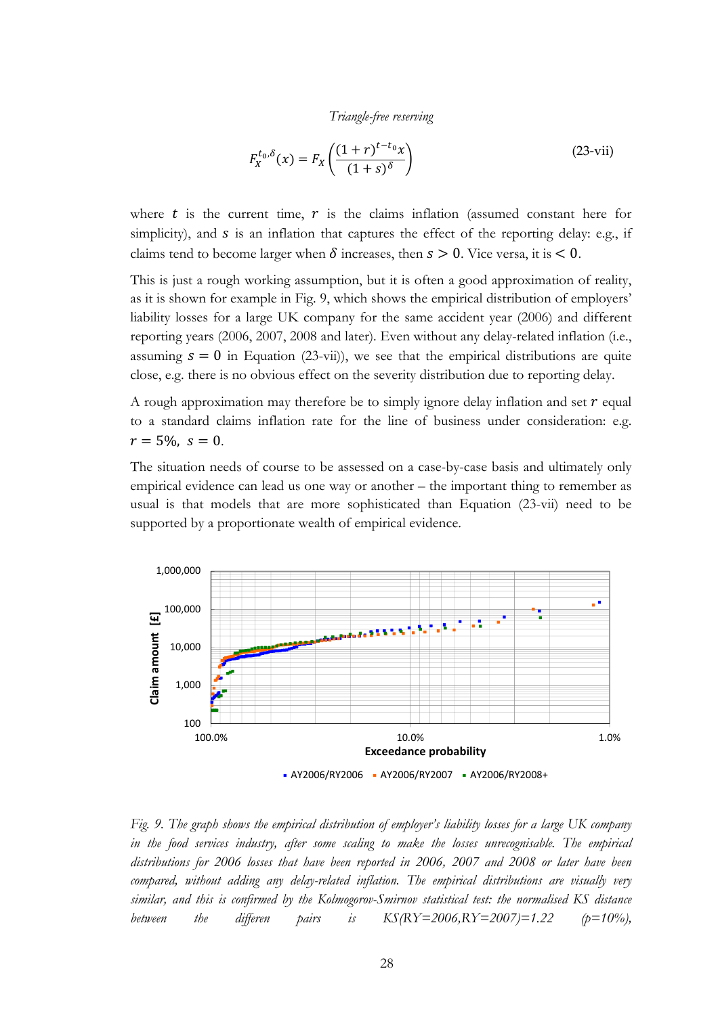$$
F_X^{t_0, \delta}(x) = F_X \left( \frac{(1+r)^{t-t_0} x}{(1+s)^{\delta}} \right)
$$
 (23-vii)

where  $t$  is the current time,  $r$  is the claims inflation (assumed constant here for simplicity), and  $s$  is an inflation that captures the effect of the reporting delay: e.g., if claims tend to become larger when  $\delta$  increases, then  $s > 0$ . Vice versa, it is < 0.

liability losses for a large UK company for the same accident year (2006) and different reporting years (2006, 2007, 2008 and later). Even without any delay-related inflation (i.e., This is just a rough working assumption, but it is often a good approximation of reality, as it is shown for example in Fig. 9, which shows the empirical distribution of employers' assuming  $s = 0$  in Equation (23-vii)), we see that the empirical distributions are quite close, e.g. there is no obvious effect on the severity distribution due to reporting delay.

A rough approximation may therefore be to simply ignore delay inflation and set  $r$  equal to a standard claims inflation rate for the line of business under consideration: e.g.  $r = 5\%, s = 0.$ 

The situation needs of course to be assessed on a case-by-case basis and ultimately only empirical evidence can lead us one way or another – the important thing to remember as usual is that models that are more sophisticated than Equation (23-vii) need to be supported by a proportionate wealth of empirical evidence.



Fig. 9. The graph shows the empirical distribution of employer's liability losses for a large UK company in the food services industry, after some scaling to make the losses unrecognisable. The empirical distributions for 2006 losses that have been reported in 2006, 2007 and 2008 or later have been compared, without adding any delay-related inflation. The empirical distributions are visually very *milar, and this is confirmed by the Kolmogorov-Smirnov statistical test: the normalised KS distance sibetween the differen pairs is*  $KS(RY=2006, RY=2007)=1.22$  *(p=10%),*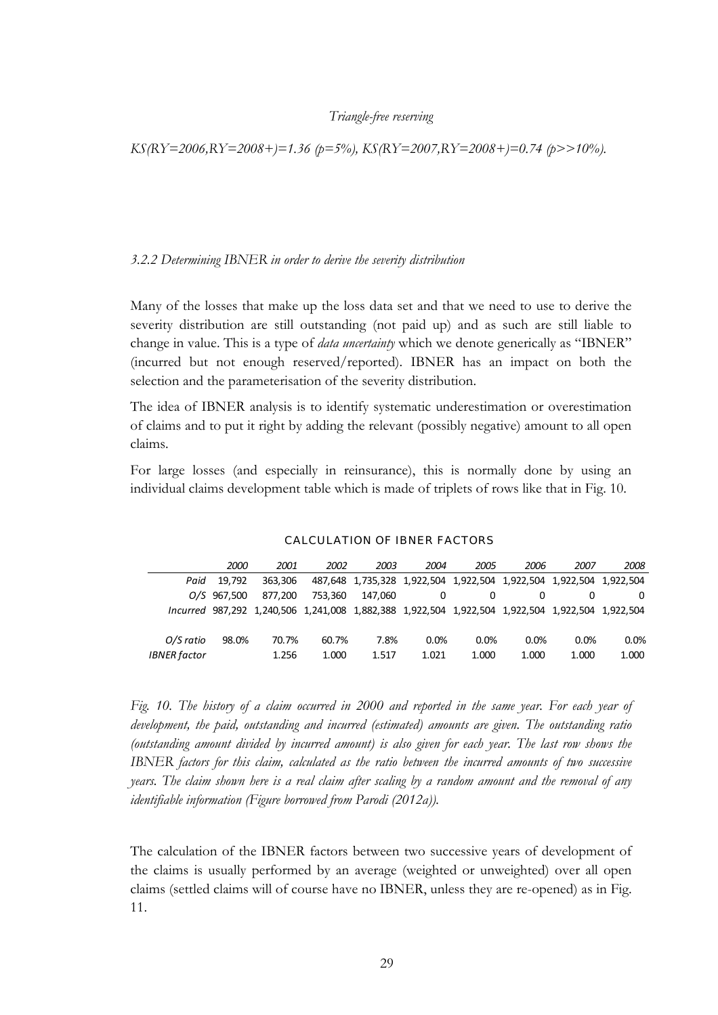*008+)=0.74 (p>>10%). KS(RY=2006,RY=2008+)=1.36 (p=5%), KS(RY=2007,RY=2*

### *3.2.2 Determining IBNER in order to derive the severity distribution*

change in value. This is a type of *data uncertainty* which we denote generically as "IBNER" Many of the losses that make up the loss data set and that we need to use to derive the severity distribution are still outstanding (not paid up) and as such are still liable to (incurred but not enough reserved/reported). IBNER has an impact on both the selection and the parameterisation of the severity distribution.

The idea of IBNER analysis is to identify systematic underestimation or overestimation of claims and to put it right by adding the relevant (possibly negative) amount to all open claims.

For large losses (and especially in reinsurance), this is normally done by using an individual claims development table which is made of triplets of rows like that in Fig. 10.

|                     | 2000          | 2001    | 2002                                                                                             | 2003    | 2004                                                                | 2005  | 2006  | 2007  | 2008     |
|---------------------|---------------|---------|--------------------------------------------------------------------------------------------------|---------|---------------------------------------------------------------------|-------|-------|-------|----------|
| Paid                | 19.792        | 363.306 |                                                                                                  |         | 487,648 1,735,328 1,922,504 1,922,504 1,922,504 1,922,504 1,922,504 |       |       |       |          |
|                     | $O/S$ 967.500 | 877.200 | 753.360                                                                                          | 147.060 | 0                                                                   | 0     |       |       | $\Omega$ |
|                     |               |         | Incurred 987,292 1,240,506 1,241,008 1,882,388 1,922,504 1,922,504 1,922,504 1,922,504 1,922,504 |         |                                                                     |       |       |       |          |
|                     |               |         |                                                                                                  |         |                                                                     |       |       |       |          |
| O/S ratio           | 98.0%         | 70.7%   | 60.7%                                                                                            | 7.8%    | 0.0%                                                                | 0.0%  | 0.0%  | 0.0%  | 0.0%     |
| <b>IBNER</b> factor |               | 1.256   | 1.000                                                                                            | 1.517   | 1.021                                                               | 1.000 | 1.000 | 1.000 | 1.000    |
|                     |               |         |                                                                                                  |         |                                                                     |       |       |       |          |

## CALCULATION OF IBNER FACTORS

Fig. 10. The history of a claim occurred in 2000 and reported in the same year. For each year of development, the paid, outstanding and incurred (estimated) amounts are given. The outstanding ratio *fiable information (Figure borrowed from Parodi (2012a)). identi (outstanding amount divided by incurred amount) is also given for each year. The last row shows the IBNER factors for this claim, calculated as the ratio between the incurred amounts of two successive years. The claim shown here is a real claim after scaling by a random amount and the removal of any* 

The calculation of the IBNER factors between two successive years of development of the claims is usually performed by an average (weighted or unweighted) over all open claims (settled claims will of course have no IBNER, unless they are re-opened) as in Fig. 11.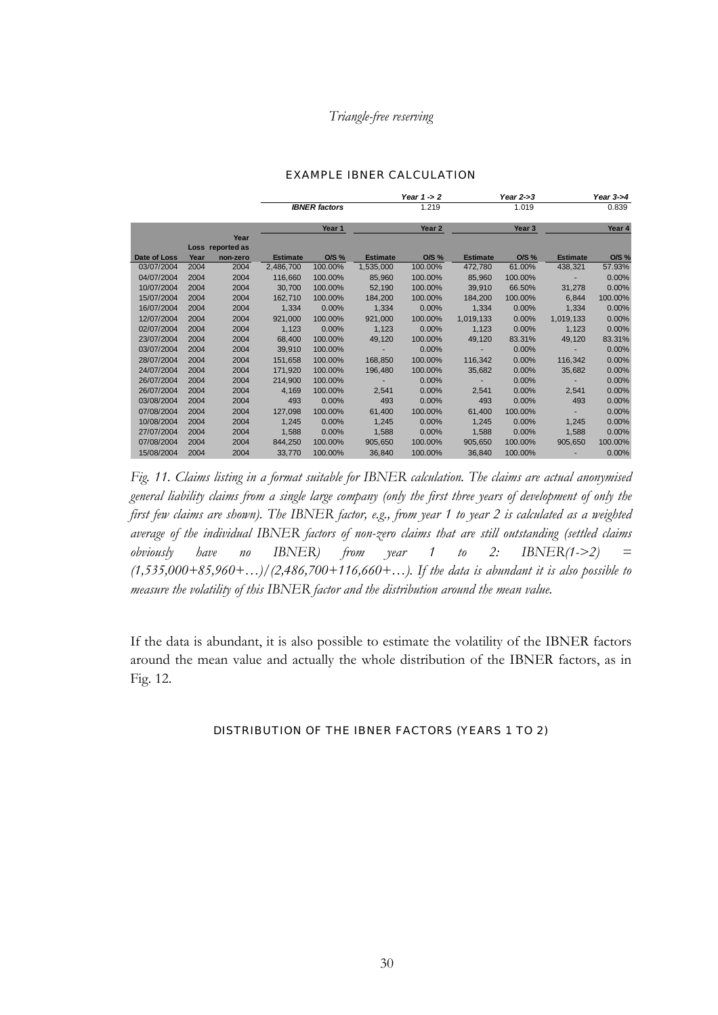#### EXAMPLE IBNER CALCULATION

|              |      |                  |                 |                      |                 | Year $1 \rightarrow 2$ |                 | Year $2 - 3$ |                          | Year $3 - 4$ |
|--------------|------|------------------|-----------------|----------------------|-----------------|------------------------|-----------------|--------------|--------------------------|--------------|
|              |      |                  |                 | <b>IBNER</b> factors |                 | 1.219                  |                 | 1.019        |                          | 0.839        |
|              |      |                  |                 |                      |                 |                        |                 |              |                          |              |
|              |      |                  |                 | Year 1               |                 | Year 2                 |                 | Year 3       |                          | Year 4       |
|              |      | Year             |                 |                      |                 |                        |                 |              |                          |              |
|              |      | Loss reported as |                 |                      |                 |                        |                 |              |                          |              |
| Date of Loss | Year | non-zero         | <b>Estimate</b> | O/S%                 | <b>Estimate</b> | O/S%                   | <b>Estimate</b> | O/S%         | <b>Estimate</b>          | O/S%         |
| 03/07/2004   | 2004 | 2004             | 2,486,700       | 100.00%              | 1,535,000       | 100.00%                | 472,780         | 61.00%       | 438,321                  | 57.93%       |
| 04/07/2004   | 2004 | 2004             | 116,660         | 100.00%              | 85.960          | 100.00%                | 85.960          | 100.00%      | $\overline{\phantom{a}}$ | 0.00%        |
| 10/07/2004   | 2004 | 2004             | 30,700          | 100.00%              | 52,190          | 100.00%                | 39,910          | 66.50%       | 31,278                   | 0.00%        |
| 15/07/2004   | 2004 | 2004             | 162,710         | 100.00%              | 184,200         | 100.00%                | 184,200         | 100.00%      | 6.844                    | 100.00%      |
| 16/07/2004   | 2004 | 2004             | 1,334           | 0.00%                | 1,334           | 0.00%                  | 1,334           | 0.00%        | 1,334                    | 0.00%        |
| 12/07/2004   | 2004 | 2004             | 921,000         | 100.00%              | 921,000         | 100.00%                | 1,019,133       | 0.00%        | 1,019,133                | 0.00%        |
| 02/07/2004   | 2004 | 2004             | 1,123           | 0.00%                | 1,123           | 0.00%                  | 1,123           | 0.00%        | 1,123                    | 0.00%        |
| 23/07/2004   | 2004 | 2004             | 68,400          | 100.00%              | 49,120          | 100.00%                | 49,120          | 83.31%       | 49,120                   | 83.31%       |
| 03/07/2004   | 2004 | 2004             | 39,910          | 100.00%              |                 | 0.00%                  |                 | 0.00%        | ٠                        | 0.00%        |
| 28/07/2004   | 2004 | 2004             | 151,658         | 100.00%              | 168,850         | 100.00%                | 116,342         | 0.00%        | 116,342                  | 0.00%        |
| 24/07/2004   | 2004 | 2004             | 171,920         | 100.00%              | 196,480         | 100.00%                | 35,682          | 0.00%        | 35,682                   | 0.00%        |
| 26/07/2004   | 2004 | 2004             | 214,900         | 100.00%              |                 | 0.00%                  |                 | 0.00%        | $\blacksquare$           | 0.00%        |
| 26/07/2004   | 2004 | 2004             | 4.169           | 100.00%              | 2,541           | 0.00%                  | 2,541           | 0.00%        | 2,541                    | 0.00%        |
| 03/08/2004   | 2004 | 2004             | 493             | 0.00%                | 493             | 0.00%                  | 493             | 0.00%        | 493                      | 0.00%        |
| 07/08/2004   | 2004 | 2004             | 127,098         | 100.00%              | 61,400          | 100.00%                | 61,400          | 100.00%      | $\sim$                   | 0.00%        |
| 10/08/2004   | 2004 | 2004             | 1,245           | 0.00%                | 1,245           | 0.00%                  | 1,245           | $0.00\%$     | 1,245                    | 0.00%        |
| 27/07/2004   | 2004 | 2004             | 1,588           | 0.00%                | 1,588           | 0.00%                  | 1,588           | 0.00%        | 1,588                    | 0.00%        |
| 07/08/2004   | 2004 | 2004             | 844,250         | 100.00%              | 905,650         | 100.00%                | 905,650         | 100.00%      | 905,650                  | 100.00%      |
| 15/08/2004   | 2004 | 2004             | 33,770          | 100.00%              | 36,840          | 100.00%                | 36,840          | 100.00%      |                          | 0.00%        |
|              |      |                  |                 |                      |                 |                        |                 |              |                          |              |

average of the individual IBNER factors of non-zero claims that are still outstanding (settled claims  *year 1 to 2: IBNER(1->2) = ,535,000+85,960+…)/(2,486,700+116,660+…). If the data is abundant it is also possible to (1 Fig. 11. Claims listing in a format suitable for IBNER calculation. The claims are actual anonymised general liability claims from a single large company (only the first three years of development of only the first few claims are shown). The IBNER factor, e.g., from year 1 to year 2 is calculated as a weighted obviously have no IBNER*) *measure the volatility of this IBNER factor and the distribution around the mean value.*

If the data is abundant, it is also possible to estimate the volatility of the IBNER factors around the mean value and actually the whole distribution of the IBNER factors, as in Fig. 12.

#### DISTRIBUTION OF THE IBNER FACTORS (YEARS 1 TO 2)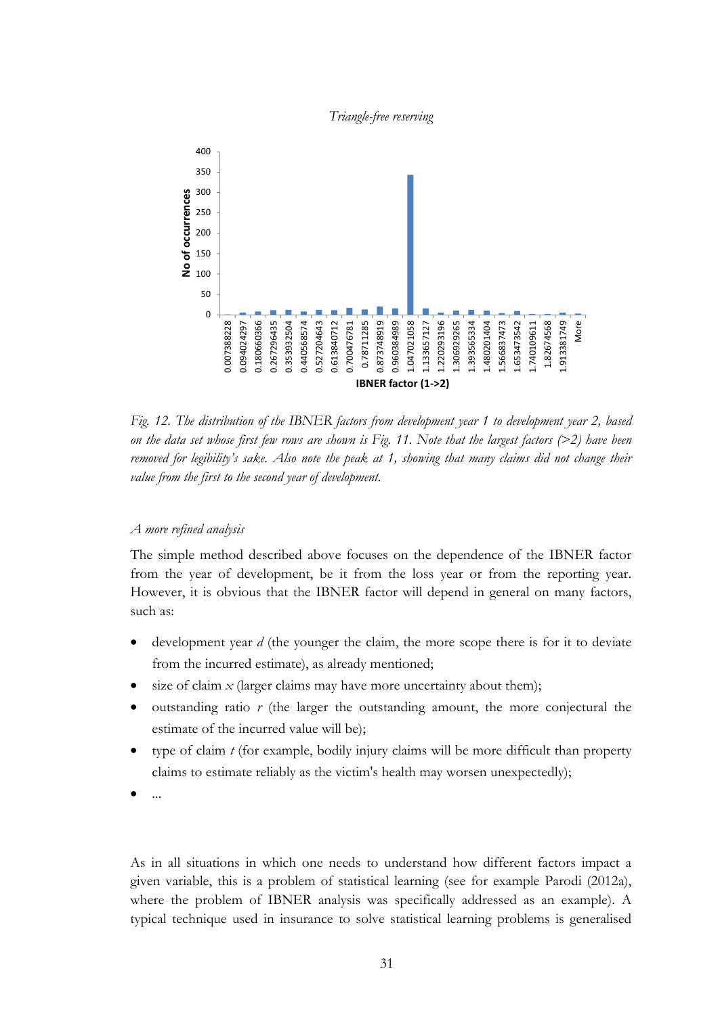

*Fig. 12. The distribution of the IBNER factors from development year 1 to development year 2, based on the data set whose first few rows are shown is Fig. 11. Note that the largest factors (>2) have been removed for legibility's sake. Also note the peak at 1, showing that many claims did not change their value from the first to the second year of development.* 

## *A more refined analysis*

The simple method described above focuses on the dependence of the IBNER factor from the year of development, be it from the loss year or from the reporting year. However, it is obvious that the IBNER factor will depend in general on many factors, such as:

- development year *d* (the younger the claim, the more scope there is for it to deviate from the incurred estimate), as already mentioned;
- size of claim  $x$  (larger claims may have more uncertainty about them);
- outstanding ratio *r* (the larger the outstanding amount, the more conjectural the estimate of the incurred value will be);
- type of claim *t* (for example, bodily injury claims will be more difficult than property claims to estimate reliably as the victim's health may worsen unexpectedly);
- ...

As in all situations in which one needs to understand how different factors impact a given variable, this is a problem of statistical learning (see for example Parodi (2012a), where the problem of IBNER analysis was specifically addressed as an example). A typical technique used in insurance to solve statistical learning problems is generalised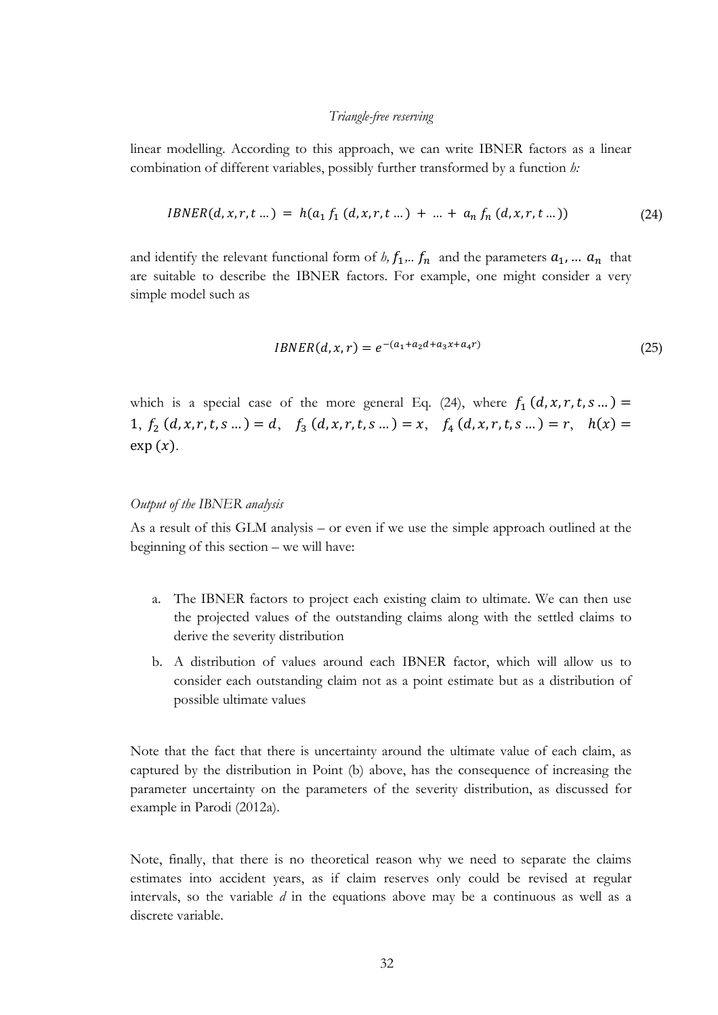linear modelling. According to this approach, we can write IBNER factors as a linear combination of different variables, possibly further transformed by a function *h:*

$$
IBNER(d, x, r, t ... ) = h(a_1 f_1(d, x, r, t ... ) + ... + a_n f_n(d, x, r, t ...))
$$
\n(24)

and identify the relevant functional form of *h*,  $f_1$ ...  $f_n$  and the parameters  $a_1$ , ...  $a_n$  that are suitable to describe the IBNER factors. For example, one might consider a very simple model such as

$$
IBNER(d, x, r) = e^{-(a_1 + a_2d + a_3x + a_4r)}
$$
\n(25)

which is a special case of the more general Eq. (24), where  $f_1(d, x, r, t, s ...)$  $exp(x)$ .  $T_1, f_2(d, x, r, t, s ...)=d, f_3(d, x, r, t, s ...)=x, f_4(d, x, r, t, s ...)=r, h(x)$ 

#### *Output of the IBNER analysis*

As a result of this GLM analysis  $-$  or even if we use the simple approach outlined at the beginning of this section – we will have:

- a. The IBNER factors to project each existing claim to ultimate. We can then use the projected values of the outstanding claims along with the settled claims to derive the severity distribution
- b. A distribution of values around each IBNER factor, which will allow us to consider each outstanding claim not as a point estimate but as a distribution of possible ultimate values

Note that the fact that there is uncertainty around the ultimate value of each claim, as captured by the distribution in Point (b) above, has the consequence of increasing the parameter uncertainty on the parameters of the severity distribution, as discussed for example in Parodi (2012a).

Note, finally, that there is no theoretical reason why we need to separate the claims estimates into accident years, as if claim reserves only could be revised at regular intervals, so the variable *d* in the equations above may be a continuous as well as a discrete variable.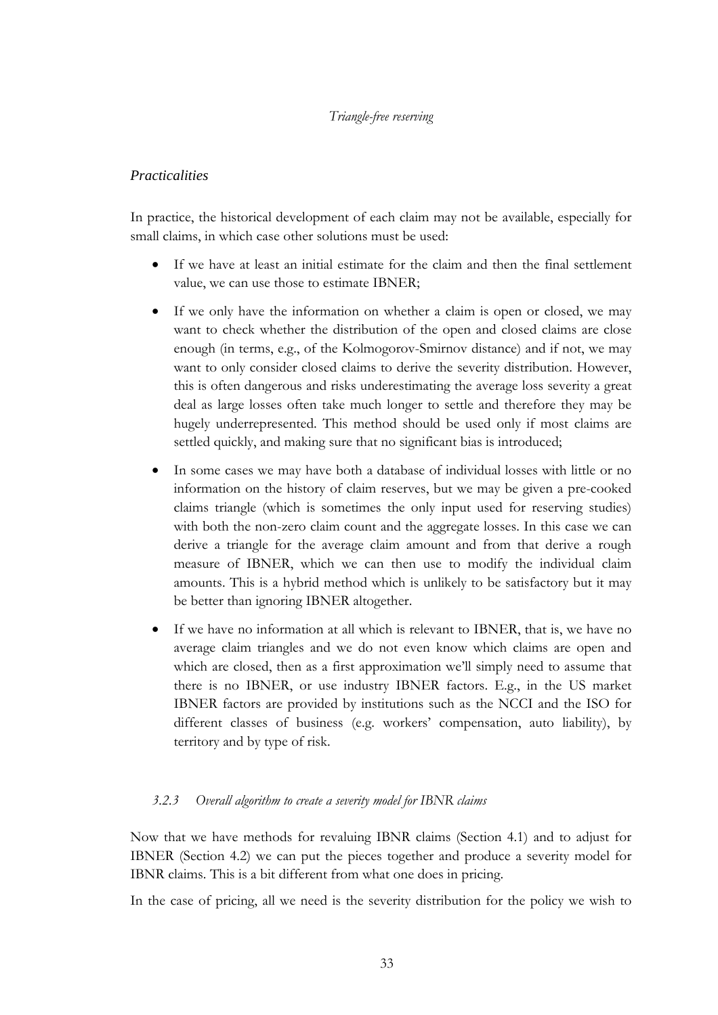## *racticalities P*

In practice, the historical development of each claim may not be available, especially for small claims, in which case other solutions must be used:

- If we have at least an initial estimate for the claim and then the final settlement value, we can use those to estimate IBNER;
- If we only have the information on whether a claim is open or closed, we may want to check whether the distribution of the open and closed claims are close enough (in terms, e.g., of the Kolmogorov-Smirnov distance) and if not, we may want to only consider closed claims to derive the severity distribution. However, this is often dangerous and risks underestimating the average loss severity a great deal as large losses often take much longer to settle and therefore they may be hugely underrepresented. This method should be used only if most claims are settled quickly, and making sure that no significant bias is introduced;
- In some cases we may have both a database of individual losses with little or no information on the history of claim reserves, but we may be given a pre-cooked claims triangle (which is sometimes the only input used for reserving studies) with both the non-zero claim count and the aggregate losses. In this case we can derive a triangle for the average claim amount and from that derive a rough measure of IBNER, which we can then use to modify the individual claim amounts. This is a hybrid method which is unlikely to be satisfactory but it may be better than ignoring IBNER altogether.
- If we have no information at all which is relevant to IBNER, that is, we have no average claim triangles and we do not even know which claims are open and which are closed, then as a first approximation we'll simply need to assume that there is no IBNER, or use industry IBNER factors. E.g., in the US market IBNER factors are provided by institutions such as the NCCI and the ISO for different classes of business (e.g. workers' compensation, auto liability), by territory and by type of risk.

## *3.2.3 Overall algorithm to create a severity model for IBNR claims*

Now that we have methods for revaluing IBNR claims (Section 4.1) and to adjust for IBNER (Section 4.2) we can put the pieces together and produce a severity model for IBNR claims. This is a bit different from what one does in pricing.

In the case of pricing, all we need is the severity distribution for the policy we wish to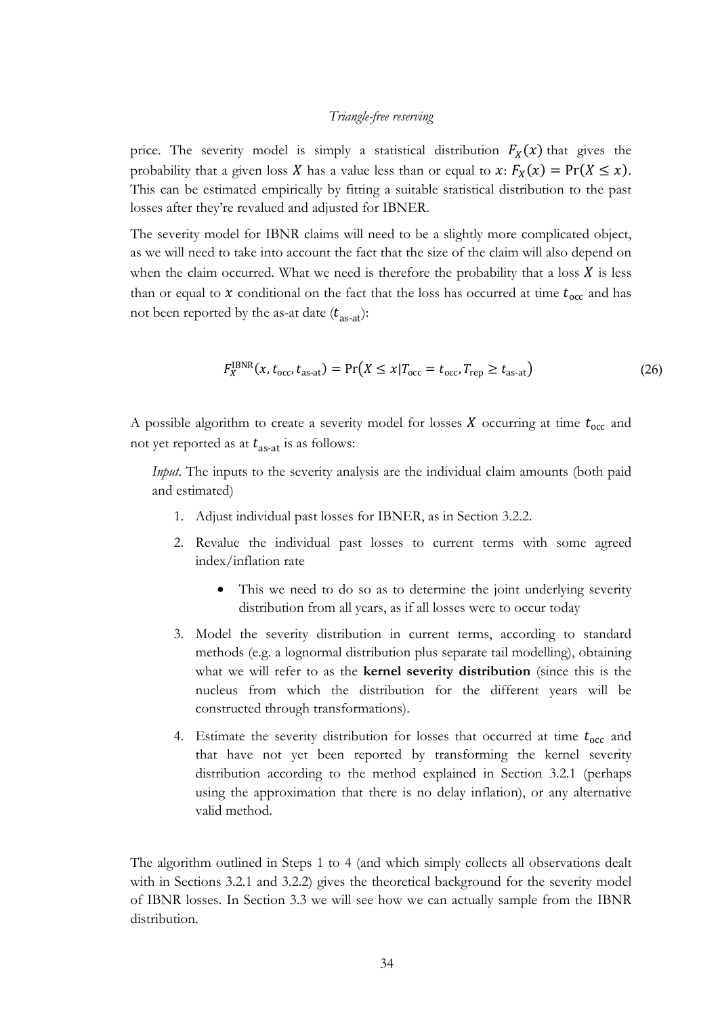This can be estimated empirically by fitting a suitable statistical distribution to the past price. The severity model is simply a statistical distribution  $F_X(x)$  that gives the probability that a given loss X has a value less than or equal to  $x: F_X(x) = Pr(X \leq x)$ . losses after they're revalued and adjusted for IBNER.

The severity model for IBNR claims will need to be a slightly more complicated object, as we will need to take into account the fact that the size of the claim will also depend on when the claim occurred. What we need is therefore the probability that a loss  $X$  is less than or equal to x conditional on the fact that the loss has occurred at time  $t_{\rm occ}$  and has not been reported by the as-at date  $(t_{\text{as-at}})$ :

$$
F_X^{\text{IBNR}}(x, t_{\text{occ}}, t_{\text{as-at}}) = \Pr(X \le x | T_{\text{occ}} = t_{\text{occ}}, T_{\text{rep}} \ge t_{\text{as-at}})
$$
(26)

A possible algorithm to create a severity model for losses  $X$  occurring at time  $t_{\rm occ}$  and not yet reported as at  $t_{\rm as\text{-}at}$  is as follows:

*Input*. The inputs to the severity analysis are the individual claim amounts (both paid and estimated)

- 1. Adjust individual past losses for IBNER, as in Section 3.2.2.
- 2. Revalue the individual past losses to current terms with some agreed index/inflation rate
	- distribution from all years, as if all losses were to occur today • This we need to do so as to determine the joint underlying severity
- 3. Model the severity distribution in current terms, according to standard methods (e.g. a lognormal distribution plus separate tail modelling), obtaining what we will refer to as the **kernel severity distribution** (since this is the nucleus from which the distribution for the different years will be constructed through transformations).
- 4. Estimate the severity distribution for losses that occurred at time  $t_{\rm occ}$  and that have not yet been reported by transforming the kernel severity distribution according to the method explained in Section 3.2.1 (perhaps using the approximation that there is no delay inflation), or any alternative valid method.

The algorithm outlined in Steps 1 to 4 (and which simply collects all observations dealt with in Sections 3.2.1 and 3.2.2) gives the theoretical background for the severity model of IBNR losses. In Section 3.3 we will see how we can actually sample from the IBNR distribution.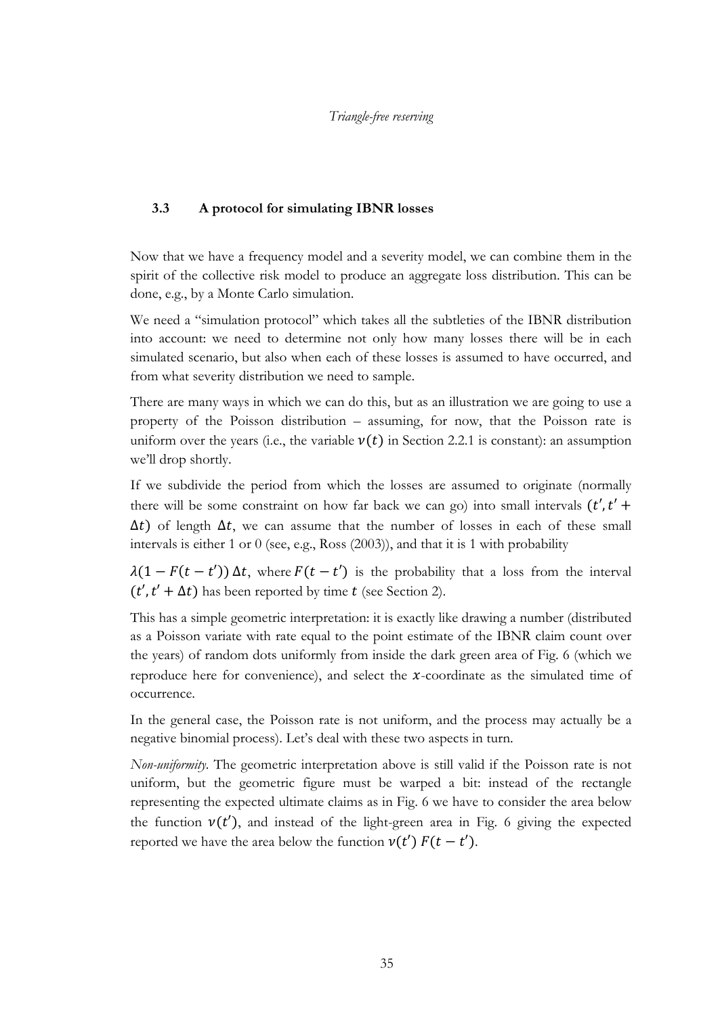# **3.3 A protocol for simulating IBNR losses**

Now that we have a frequency model and a severity model, we can combine them in the spirit of the collective risk model to produce an aggregate loss distribution. This can be done, e.g., by a Monte Carlo simulation.

simulated scenario, but also when each of these losses is assumed to have occurred, and We need a "simulation protocol" which takes all the subtleties of the IBNR distribution into account: we need to determine not only how many losses there will be in each from what severity distribution we need to sample.

uniform over the years (i.e., the variable  $v(t)$  in Section 2.2.1 is constant): an assumption There are many ways in which we can do this, but as an illustration we are going to use a property of the Poisson distribution – assuming, for now, that the Poisson rate is we'll drop shortly.

there will be some constraint on how far back we can go) into small intervals  $(t', t' +$  $\Delta t$ ) of length  $\Delta t$ , we can assume that the number of losses in each of these small If we subdivide the period from which the losses are assumed to originate (normally intervals is either 1 or 0 (see, e.g., Ross (2003)), and that it is 1 with probability

 $(t', t' + \Delta t)$  has been reported by time t (see Section 2).  $\lambda(1 - F(t - t')) \Delta t$ , where  $F(t - t')$  is the probability that a loss from the interval

This has a simple geometric interpretation: it is exactly like drawing a number (distributed as a Poisson variate with rate equal to the point estimate of the IBNR claim count over the years) of random dots uniformly from inside the dark green area of Fig. 6 (which we reproduce here for convenience), and select the  $x$ -coordinate as the simulated time of occurrence.

In the general case, the Poisson rate is not uniform, and the process may actually be a negative binomial process). Let's deal with these two aspects in turn.

uniform, but the geometric figure must be warped a bit: instead of the rectangle the function  $v(t')$ , and instead of the light-green area in Fig. 6 giving the expected *Non-uniformity.* The geometric interpretation above is still valid if the Poisson rate is not representing the expected ultimate claims as in Fig. 6 we have to consider the area below reported we have the area below the function  $v(t') F(t-t')$ .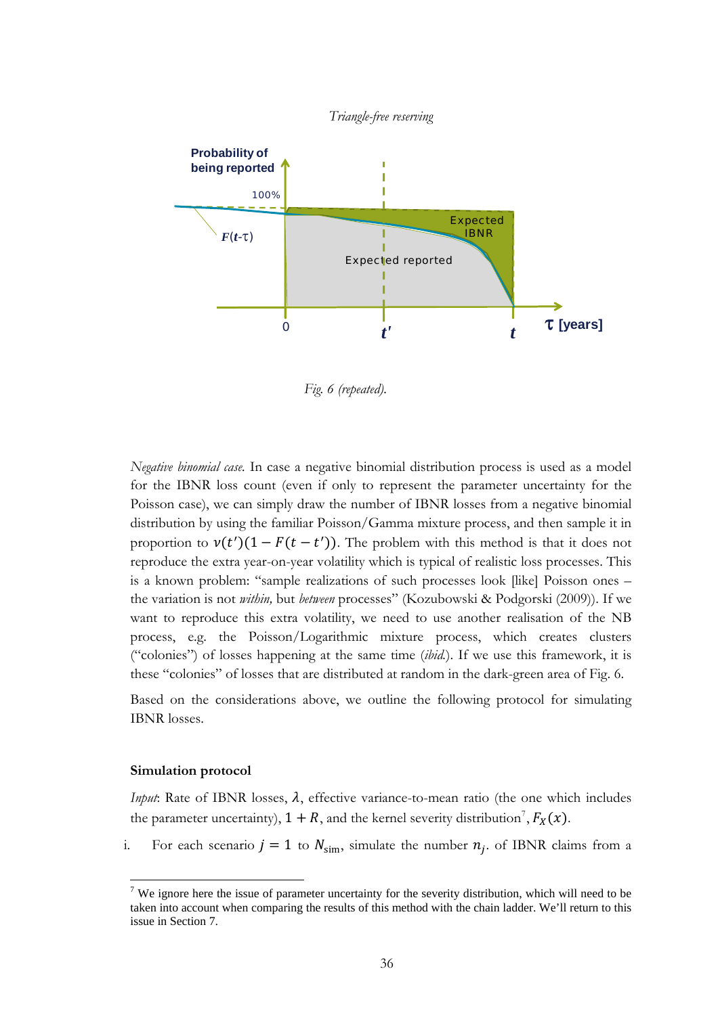

*Fig. 6 (repeated).* 

Negative binomial case. In case a negative binomial distribution process is used as a model for the IBNR loss count (even if only to represent the parameter uncertainty for the Poisson case), we can simply draw the number of IBNR losses from a negative binomial the variation is not *within*, but *between* processes" (Kozubowski & Podgorski (2009)). If we distribution by using the familiar Poisson/Gamma mixture process, and then sample it in proportion to  $v(t')(1 - F(t - t'))$ . The problem with this method is that it does not reproduce the extra year-on-year volatility which is typical of realistic loss processes. This is a known problem: "sample realizations of such processes look [like] Poisson ones – want to reproduce this extra volatility, we need to use another realisation of the NB process, e.g. the Poisson/Logarithmic mixture process, which creates clusters ("colonies") of losses happening at the same time (*ibid.*). If we use this framework, it is these "colonies" of losses that are distributed at random in the dark-green area of Fig. 6.

Based on the considerations above, we outline the following protocol for simulating IBNR losses.

#### **Simulation protocol**

 $\overline{a}$ 

*Input*: Rate of IBNR losses,  $\lambda$ , effective variance-to-mean ratio (the one which includes the parameter uncertainty),  $1 + R$ , and the kernel severity distribution<sup>7</sup>,  $F_X(x)$ .

i. For each scenario  $j = 1$  to  $N_{\text{sim}}$ , simulate the number  $n_j$ . of IBNR claims from a

<sup>&</sup>lt;sup>7</sup> We ignore here the issue of parameter uncertainty for the severity distribution, which will need to be taken into account when comparing the results of this method with the chain ladder. We'll return to this issue in Section 7.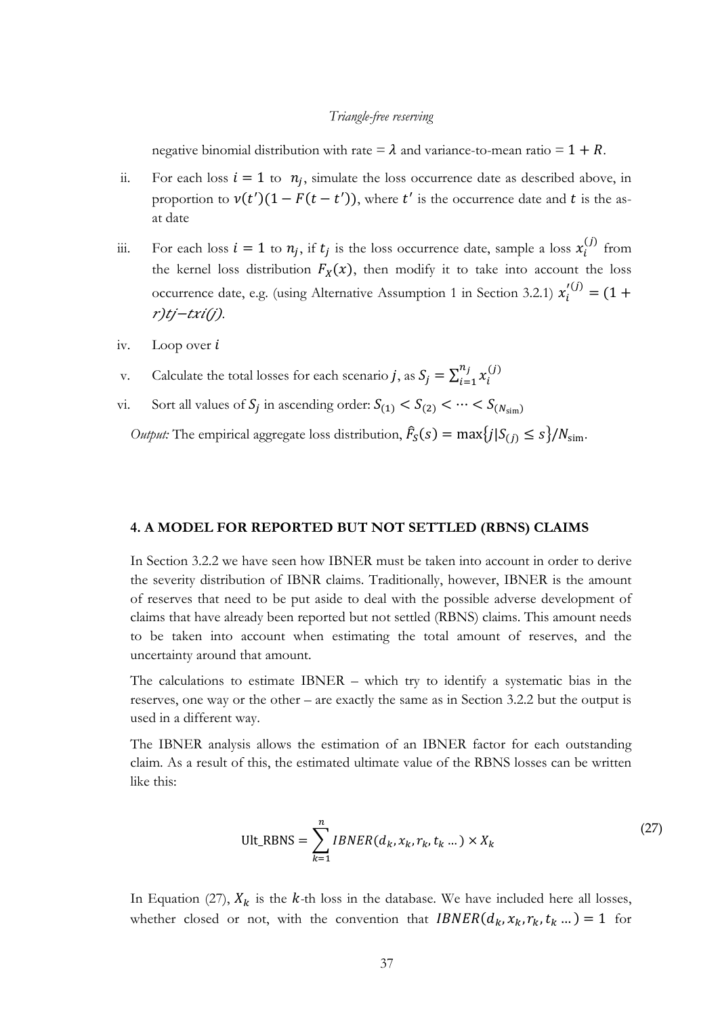negative binomial distribution with rate =  $\lambda$  and variance-to-mean ratio =  $1 + R$ .

- ii. For each loss  $i = 1$  to  $n_j$ , simulate the loss occurrence date as described above, in proportion to  $v(t')(1 - F(t - t'))$ , where t' is the occurrence date and t is the asat date
- iii. For each loss  $i = 1$  to  $n_j$ , if  $t_j$  is the loss occurrence date, sample a loss  $x_i^{(j)}$  from the kernel loss distribution  $F_X(x)$ , then modify it to take into account the loss occurrence date, e.g. (using Alternative Assumption 1 in Section 3.2.1)  $x_i^{(j)} = (1 +$  $r$ ) $t$  $j$  $-txi(j)$ .
- iv. Loop over  $$
- v. Calculate the total losses for each scenario *j*, as  $S_j = \sum_{i=1}^{n_j} x_i^{(j)}$
- vi. Sort all values of  $S_j$  in ascending order:  $S_{(1)} < S_{(2)} < \cdots < S_{(N_{\text{sim}})}$

*Output:* The empirical aggregate loss distribution,  $\hat{F}_s(s) = \max\{j | S_{(j)} \leq s\}/N_{\text{sim}}$ .

### **. A MODEL FOR REPORTED BUT NOT SETTLED (RBNS) CLAIMS 4**

In Section 3.2.2 we have seen how IBNER must be taken into account in order to derive the severity distribution of IBNR claims. Traditionally, however, IBNER is the amount of reserves that need to be put aside to deal with the possible adverse development of claims that have already been reported but not settled (RBNS) claims. This amount needs to be taken into account when estimating the total amount of reserves, and the uncertainty around that amount.

The calculations to estimate IBNER – which try to identify a systematic bias in the reserves, one way or the other – are exactly the same as in Section 3.2.2 but the output is used in a different way.

The IBNER analysis allows the estimation of an IBNER factor for each outstanding claim. As a result of this, the estimated ultimate value of the RBNS losses can be written like this:

$$
Ult_RBNS = \sum_{k=1}^{n} IBNER(d_k, x_k, r_k, t_k \dots) \times X_k
$$
\n(27)

whether closed or not, with the convention that  $IBNER(d_k, x_k, r_k, t_k ...) = 1$  for In Equation (27),  $X_k$  is the  $k$ -th loss in the database. We have included here all losses,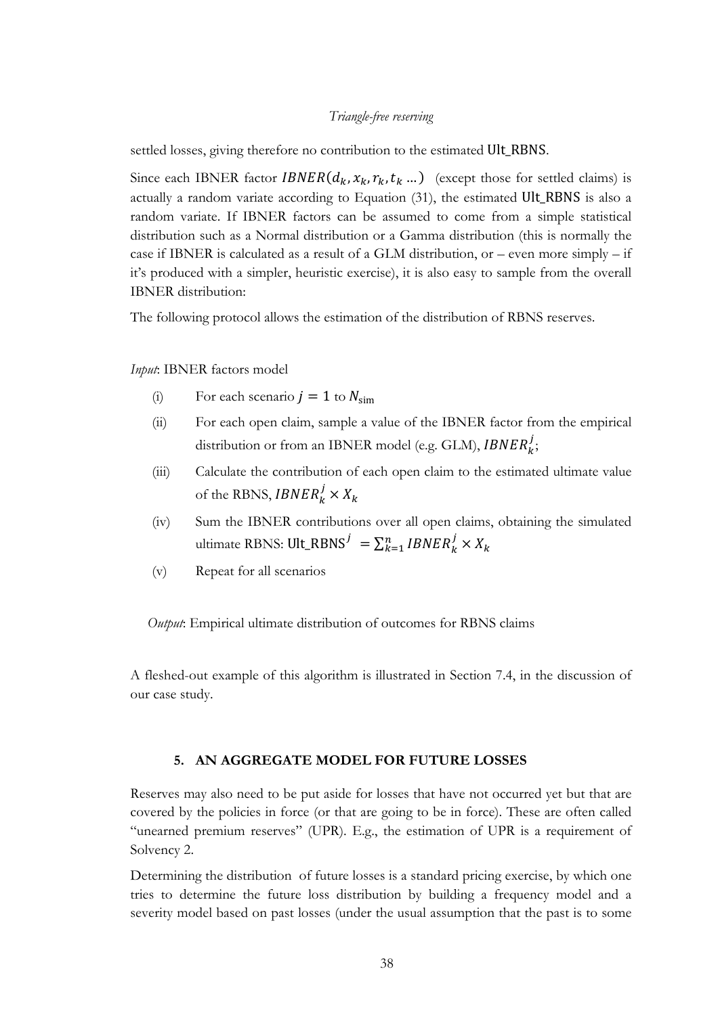settled losses, giving therefore no contribution to the estimated Ult\_RBNS.

Since each IBNER factor  $IBNER(d_k, x_k, r_k, t_k ...)$  (except those for settled claims) is actually a random variate according to Equation (31), the estimated Ult\_RBNS is also a it's produced with a simpler, heuristic exercise), it is also easy to sample from the overall random variate. If IBNER factors can be assumed to come from a simple statistical distribution such as a Normal distribution or a Gamma distribution (this is normally the case if IBNER is calculated as a result of a GLM distribution, or – even more simply – if IBNER distribution:

The following protocol allows the estimation of the distribution of RBNS reserves.

*Input*: IBNER factors model

- (i) For each scenario  $j = 1$  to  $N_{sim}$
- (ii) For each open claim, sample a value of the IBNER factor from the empirical distribution or from an IBNER model (e.g. GLM),  $IBNER_{k}^{j}$ ;
- (iii) Calculate the contribution of each open claim to the estimated ultimate value of the RBNS, *IBNER*<sup> $j$ </sup>  $\times$   $X_k$
- ultimate RBNS: Ult\_RBNS $^{j}$  =  $\sum_{k=1}^{n}$  IBNE $R_{k}^{j} \times X_{k}$ (iv) Sum the IBNER contributions over all open claims, obtaining the simulated
- (v) Repeat for all scenarios

Output: Empirical ultimate distribution of outcomes for RBNS claims

A fleshed-out example of this algorithm is illustrated in Section 7.4, in the discussion of our case study.

## **5. AN AGGREGATE MODEL FOR FUTURE LOSSES**

Reserves may also need to be put aside for losses that have not occurred yet but that are "unearned premium reserves" (UPR). E.g., the estimation of UPR is a requirement of Solvency 2. covered by the policies in force (or that are going to be in force). These are often called

Determining the distribution of future losses is a standard pricing exercise, by which one tries to determine the future loss distribution by building a frequency model and a severity model based on past losses (under the usual assumption that the past is to some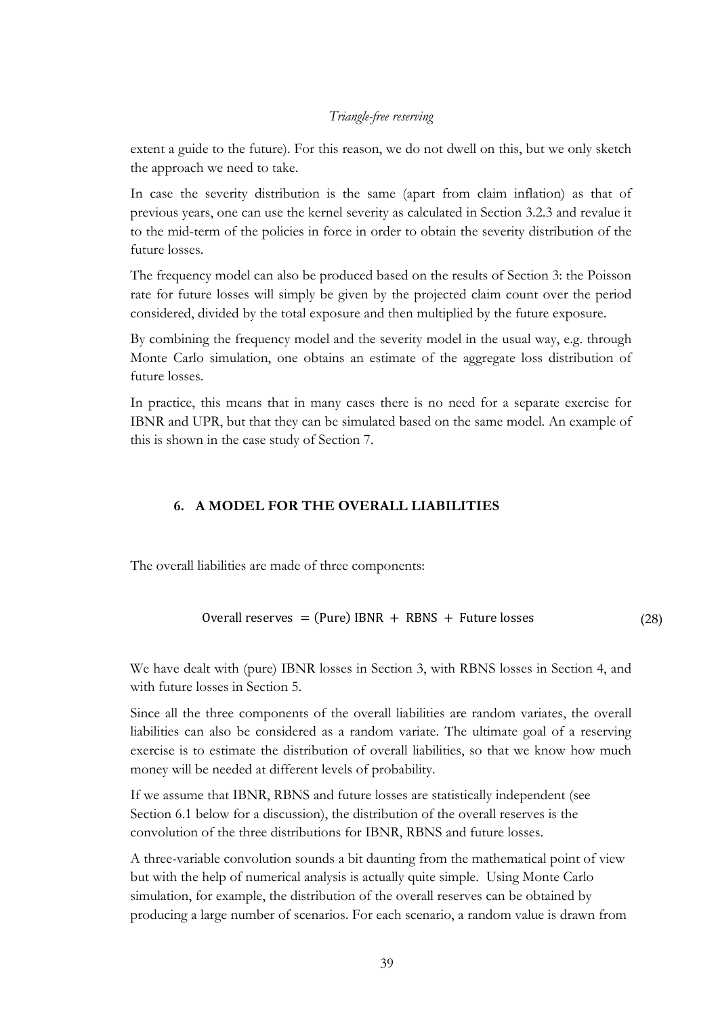extent a guide to the future). For this reason, we do not dwell on this, but we only sketch the approach we need to take.

In case the severity distribution is the same (apart from claim inflation) as that of previous years, one can use the kernel severity as calculated in Section 3.2.3 and revalue it to the mid-term of the policies in force in order to obtain the severity distribution of the future losses.

The frequency model can also be produced based on the results of Section 3: the Poisson rate for future losses will simply be given by the projected claim count over the period considered, divided by the total exposure and then multiplied by the future exposure.

By combining the frequency model and the severity model in the usual way, e.g. through Monte Carlo simulation, one obtains an estimate of the aggregate loss distribution of future losses.

IBNR and UPR, but that they can be simulated based on the same model. An example of In practice, this means that in many cases there is no need for a separate exercise for this is shown in the case study of Section 7.

## **6. A MODEL FOR THE OVERALL LIABILITIES**

The overall liabilities are made of three components:

Overall reserves = (Pure) IBNR + RBNS + Future losses 
$$
(28)
$$

We have dealt with (pure) IBNR losses in Section 3, with RBNS losses in Section 4, and with future losses in Secti on 5.

Since all the three components of the overall liabilities are random variates, the overall liabilities can also be considered as a random variate. The ultimate goal of a reserving exercise is to estimate the distribution of overall liabilities, so that we know how much money will be needed at different levels of probability.

If we assume that IBNR, RBNS and future losses are statistically independent (see Section 6.1 below for a discussion), the distribution of the overall reserves is the convolution of the three distributions for IBNR, RBNS and future losses.

but with the help of numerical analysis is actually quite simple. Using Monte Carlo A three-variable convolution sounds a bit daunting from the mathematical point of view simulation, for example, the distribution of the overall reserves can be obtained by producing a large number of scenarios. For each scenario, a random value is drawn from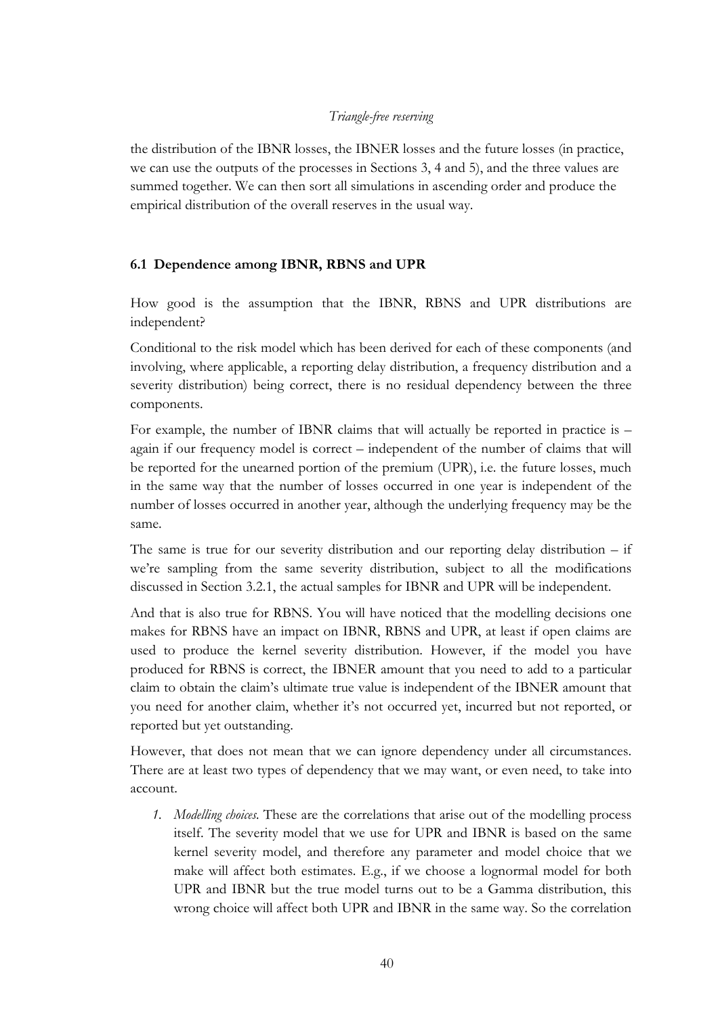we can use the outputs of the processes in Sections 3, 4 and 5), and the three values are summed together. We can then sort all simulations in ascending order and produce the the distribution of the IBNR losses, the IBNER losses and the future losses (in practice, empirical distribution of the overall reserves in the usual way.

# **6.1 Dependence among IBNR, RBNS and UPR**

How good is the assumption that the IBNR, RBNS and UPR distributions are independent?

Conditional to the risk model which has been derived for each of these components (and involving, where applicable, a reporting delay distribution, a frequency distribution and a severity distribution) being correct, there is no residual dependency between the three components.

For example, the number of IBNR claims that will actually be reported in practice is – again if our frequency model is correct – independent of the number of claims that will be reported for the unearned portion of the premium (UPR), i.e. the future losses, much number of losses occurred in another year, although the underlying frequency may be the in the same way that the number of losses occurred in one year is independent of the same.

discussed in Section 3.2.1, the actual samples for IBNR and UPR will be independent. The same is true for our severity distribution and our reporting delay distribution – if we're sampling from the same severity distribution, subject to all the modifications

you need for another claim, whether it's not occurred yet, incurred but not reported, or And that is also true for RBNS. You will have noticed that the modelling decisions one makes for RBNS have an impact on IBNR, RBNS and UPR, at least if open claims are used to produce the kernel severity distribution. However, if the model you have produced for RBNS is correct, the IBNER amount that you need to add to a particular claim to obtain the claim's ultimate true value is independent of the IBNER amount that reported but yet outstanding.

There are at least two types of dependency that we may want, or even need, to take into However, that does not mean that we can ignore dependency under all circumstances. account.

wrong choice will affect both UPR and IBNR in the same way. So the correlation *1. Modelling choices.* These are the correlations that arise out of the modelling process itself. The severity model that we use for UPR and IBNR is based on the same kernel severity model, and therefore any parameter and model choice that we make will affect both estimates. E.g., if we choose a lognormal model for both UPR and IBNR but the true model turns out to be a Gamma distribution, this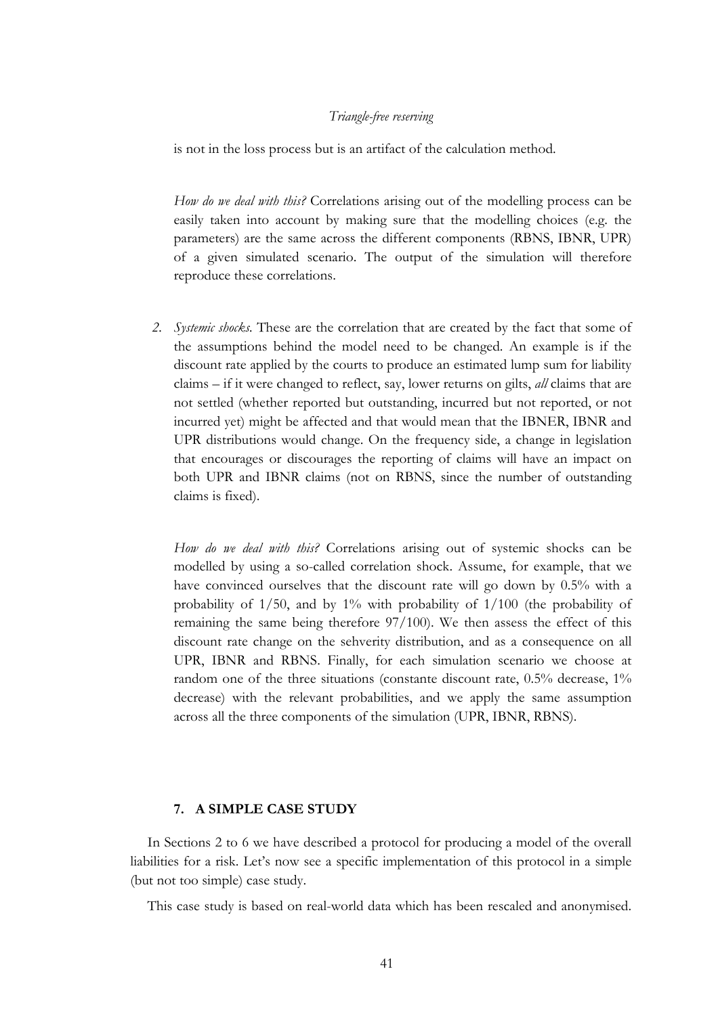is not in the loss process but is an artifact of the calculation method.

*How do we deal with this?* Correlations arising out of the modelling process can be easily taken into account by making sure that the modelling choices (e.g. the parameters) are the same across the different components (RBNS, IBNR, UPR) of a given simulated scenario. The output of the simulation will therefore reproduce these correlations.

2. Systemic shocks. These are the correlation that are created by the fact that some of the assumptions behind the model need to be changed. An example is if the that encourages or discourages the reporting of claims will have an impact on both UPR and IBNR claims (not on RBNS, since the number of outstanding discount rate applied by the courts to produce an estimated lump sum for liability claims – if it were changed to reflect, say, lower returns on gilts, *all* claims that are not settled (whether reported but outstanding, incurred but not reported, or not incurred yet) might be affected and that would mean that the IBNER, IBNR and UPR distributions would change. On the frequency side, a change in legislation claims is fixed).

random one of the three situations (constante discount rate,  $0.5\%$  decrease,  $1\%$ decrease) with the relevant probabilities, and we apply the same assumption *How do we deal with this?* Correlations arising out of systemic shocks can be modelled by using a so-called correlation shock. Assume, for example, that we have convinced ourselves that the discount rate will go down by 0.5% with a probability of  $1/50$ , and by  $1\%$  with probability of  $1/100$  (the probability of remaining the same being therefore 97/100). We then assess the effect of this discount rate change on the sehverity distribution, and as a consequence on all UPR, IBNR and RBNS. Finally, for each simulation scenario we choose at across all the three components of the simulation (UPR, IBNR, RBNS).

## **7. A SIMPLE CASE STUDY**

In Sections 2 to 6 we have described a protocol for producing a model of the overall liabilities for a risk. Let's now see a specific implementation of this protocol in a simple (but not too simple) case study.

This case study is based on real-world data which has been rescaled and anonymised.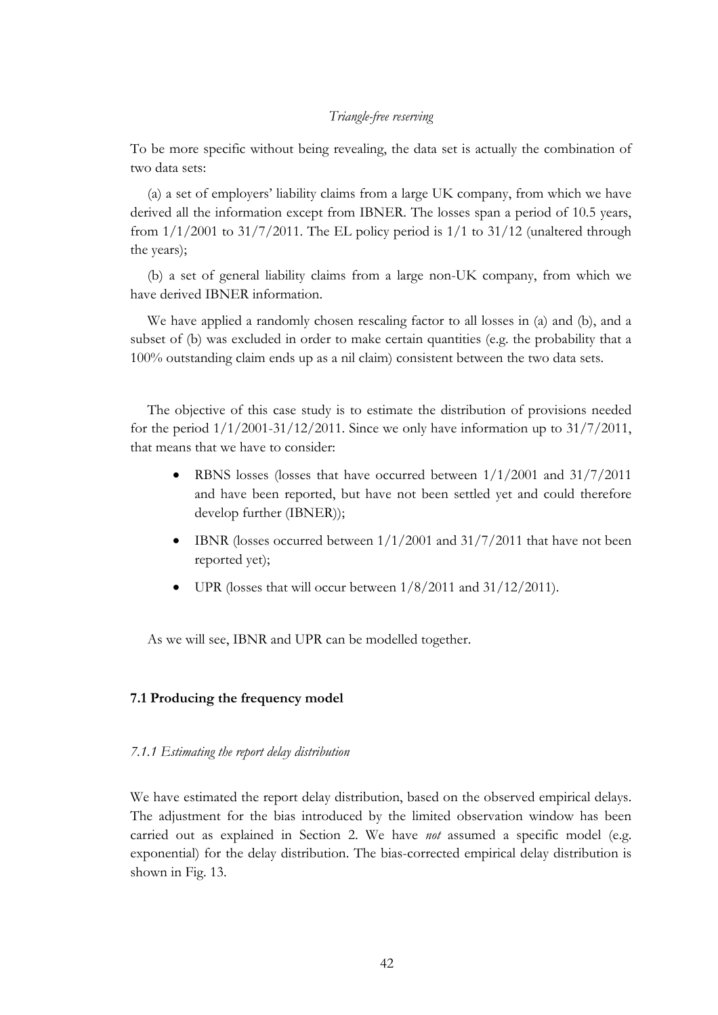To be more specific without being revealing, the data set is actually the combination of two data sets:

(a) a set of employers' liability claims from a large UK company, from which we have derived all the information except from IBNER. The losses span a period of 10.5 years, from  $1/1/2001$  to  $31/7/2011$ . The EL policy period is  $1/1$  to  $31/12$  (unaltered through the years);

(b) a set of general liability claims from a large non-UK company, from which we have derived IBNER information.

We have applied a randomly chosen rescaling factor to all losses in (a) and (b), and a subset of (b) was excluded in order to make certain quantities (e.g. the probability that a 100% outstanding claim ends up as a nil claim) consistent between the two data sets.

The objective of this case study is to estimate the distribution of provisions needed for the period 1/1/2001-31/12/2011. Since we only have information up to 31/7/2011, that means that we have to consider:

- RBNS losses (losses that have occurred between 1/1/2001 and 31/7/2011 and have been reported, but have not been settled yet and could therefore develop further (IBNER));
- IBNR (losses occurred between  $1/1/2001$  and  $31/7/2011$  that have not been reported yet);
- UPR (losses that will occur between  $1/8/2011$  and  $31/12/2011$ ).

As w e will see, IBNR and UPR can be modelled together.

## **7.1 Producing the frequency model**

### *7.1.1 E stimating the report delay distribution*

We have estimated the report delay distribution, based on the observed empirical delays. The adjustment for the bias introduced by the limited observation window has been carried out as explained in Section 2. We have *not* assumed a specific model (e.g. exponential) for the delay distribution. The bias-corrected empirical delay distribution is shown in Fig. 13.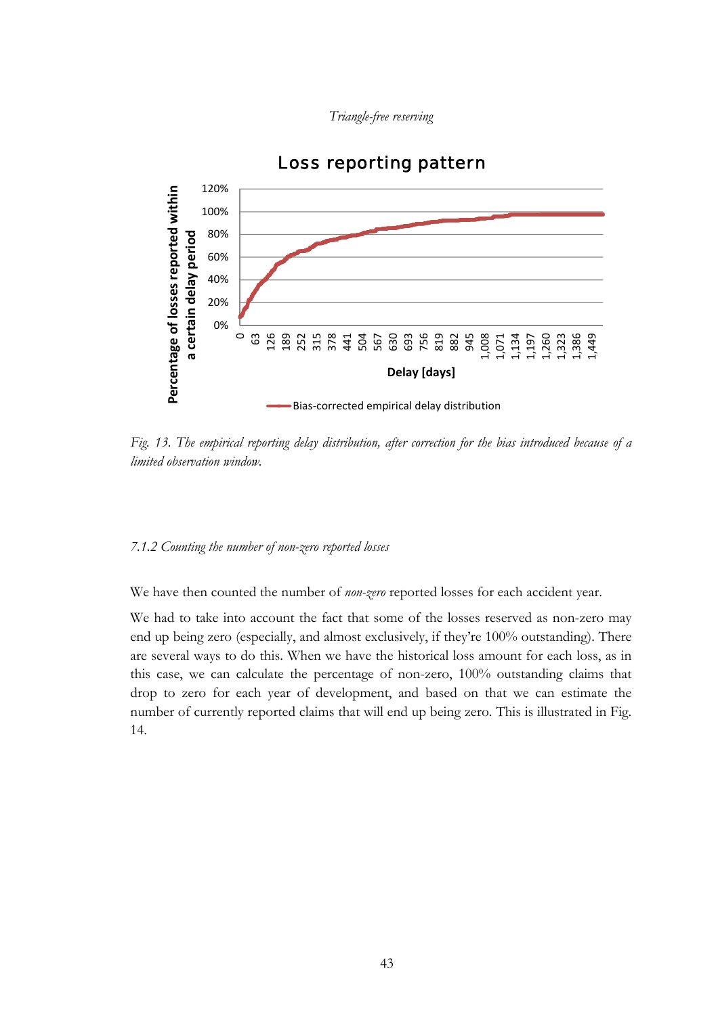*Triangle-free reserving* 



*Fig. 13. The empirical reporting delay distribution, after correction for the bias introduced because of a limited observation window.* 

#### *7.1.2 Counting the number of non-zero reported losses*

We have then counted the number of *non-zero* reported losses for each accident year.

end up being zero (especially, and almost exclusively, if they're 100% outstanding). There are several ways to do this. When we have the historical loss amount for each loss, as in this case, we can calculate the percentage of non-zero, 100% outstanding claims that drop to zero for each year of development, and based on that we can estimate the number of currently reported claims that will end up being zero. This is illustrated in Fig. We had to take into account the fact that some of the losses reserved as non-zero may 14.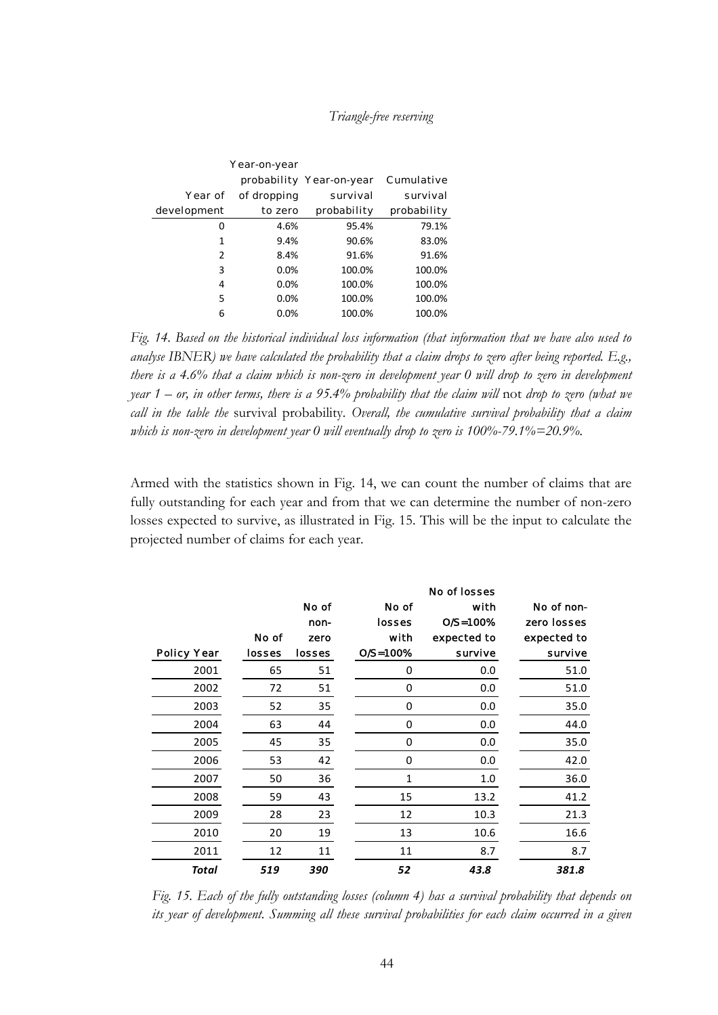|             | Year-on-year |                          |             |
|-------------|--------------|--------------------------|-------------|
|             |              | probability Year-on-year | Cumulative  |
| Year of     | of dropping  | survival                 | survival    |
| development | to zero      | probability              | probability |
| 0           | 4.6%         | 95.4%                    | 79.1%       |
| 1           | 9.4%         | 90.6%                    | 83.0%       |
| 2           | 8.4%         | 91.6%                    | 91.6%       |
| 3           | 0.0%         | 100.0%                   | 100.0%      |
| 4           | 0.0%         | 100.0%                   | 100.0%      |
| 5           | 0.0%         | 100.0%                   | 100.0%      |
| 6           | 0.0%         | 100.0%                   | 100.0%      |

*Fig. 14. Based on the historical individual loss information (that information that we have also used to analyse IBNER) we have calculated the probability that a claim drops to zero after being reported. E.g., there is a 4.6% that a claim which is non-zero in development year 0 will drop to zero in development year 1 – or, in other terms, there is a 95.4% probability that the claim will not drop to zero (what we call in the table the* survival probability*. Overall, the cumulative survival probability that a claim which is non-zero in development year 0 will eventually drop to zero is 100%-79.1%=20.9%.* 

Armed with the statistics shown in Fig. 14, we can count the number of claims that are fully outstanding for each year and from that we can determine the number of non-zero losses expected to survive, as illustrated in Fig. 15. This will be the input to calculate the projected number of claims for each year.

|                    |        |        |          | <b>No of losses</b> |             |
|--------------------|--------|--------|----------|---------------------|-------------|
|                    |        | No of  | No of    | with                | No of non-  |
|                    |        | non-   | losses   | $O/S = 100%$        | zero losses |
|                    | No of  | zero   | with     | expected to         | expected to |
| <b>Policy Year</b> | losses | losses | O/S=100% | survive             | survive     |
| 2001               | 65     | 51     | 0        | 0.0                 | 51.0        |
| 2002               | 72     | 51     | 0        | 0.0                 | 51.0        |
| 2003               | 52     | 35     | $\Omega$ | 0.0                 | 35.0        |
| 2004               | 63     | 44     | 0        | 0.0                 | 44.0        |
| 2005               | 45     | 35     | $\Omega$ | 0.0                 | 35.0        |
| 2006               | 53     | 42     | 0        | 0.0                 | 42.0        |
| 2007               | 50     | 36     | 1        | 1.0                 | 36.0        |
| 2008               | 59     | 43     | 15       | 13.2                | 41.2        |
| 2009               | 28     | 23     | 12       | 10.3                | 21.3        |
| 2010               | 20     | 19     | 13       | 10.6                | 16.6        |
| 2011               | 12     | 11     | 11       | 8.7                 | 8.7         |
| <b>Total</b>       | 519    | 390    | 52       | 43.8                | 381.8       |

*Fig. 15. Each of the fully outstanding losses (column 4) has a survival probability that depends on its year of development. Summing all these survival probabilities for each claim occurred in a given*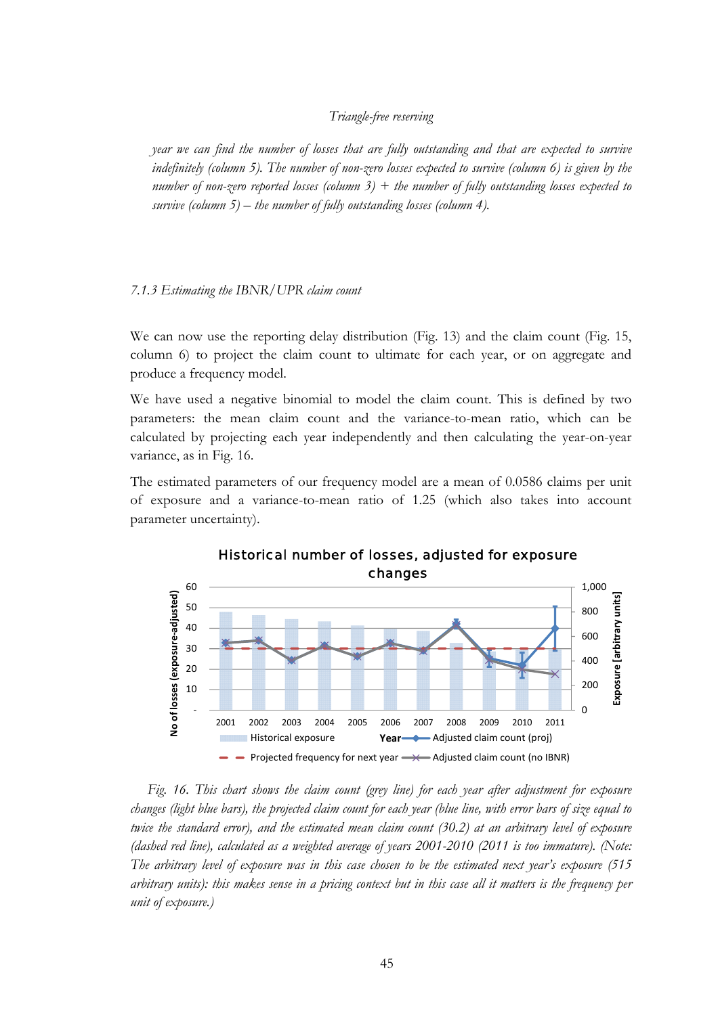*year we can find the number of losses that are fully outstanding and that are expected to survive indefinitely (column 5). The number of non-zero losses expected to survive (column 6) is given by the number of non-zero reported losses (column 3) + the number of fully outstanding losses expected to survive (column 5) – the number of fully outstanding losses (column 4).* 

### *.1.3 Estimating the IBNR/UPR claim count 7*

We can now use the reporting delay distribution (Fig. 13) and the claim count (Fig. 15, column 6) to project the claim count to ultimate for each year, or on aggregate and produce a frequency model.

parameters: the mean claim count and the variance-to-mean ratio, which can be We have used a negative binomial to model the claim count. This is defined by two calculated by projecting each year independently and then calculating the year-on-year variance, as in Fig. 16.

of exposure and a variance-to-mean ratio of 1.25 (which also takes into account The estimated parameters of our frequency model are a mean of 0.0586 claims per unit parameter uncertainty).



*Fig. 16. This chart shows the claim count (grey line) for each year after adjustment for exposure changes (light blue bars), the projected claim count for each year (blue line, with error bars of size equal to twi ce the standard error), and the estimated mean claim count (30.2) at an arbitrary level of exposure (dashed red line), calculated as a weighted average of years 2001-2010 (2011 is too immature). (Note: The arbitrary level of exposure was in this case chosen to be the estimated next year's exposure (515 arbitrary units): this makes sense in a pricing context but in this case all it matters is the frequency per unit of exposure.)*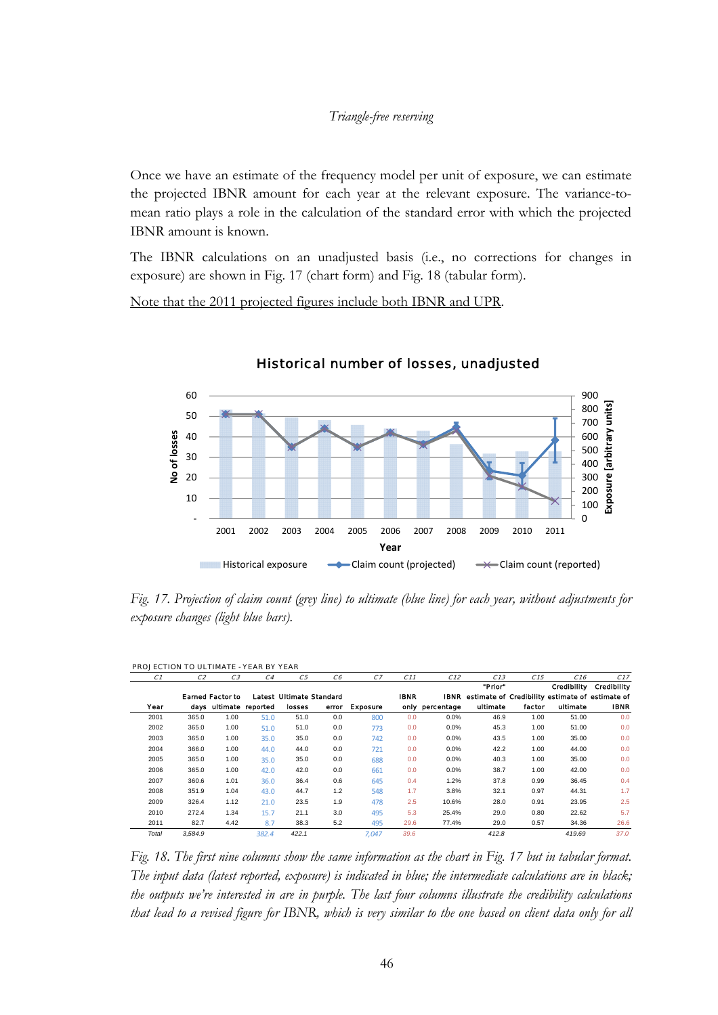Once we have an estimate of the frequency model per unit of exposure, we can estimate the projected IBNR amount for each year at the relevant exposure. The variance-tomean ratio plays a role in the calculation of the standard error with which the projected IBNR amount is known.

exposure) are shown in Fig. 17 (chart form) and Fig. 18 (tabular form). The IBNR calculations on an unadjusted basis (i.e., no corrections for changes in

Note that the 2011 projected figures include both IBNR and UPR.

PROJECTION TO ULTIMATE - YEAR BY YEAR



*Fig. 17. Projection of claim count (grey line) to ultimate (blue line) for each year, without adjustments for exposure changes (light blue bars).*

| C17                | C16                                             | C <sub>15</sub> | C13      | C <sub>12</sub> | C11         | C7              | C6    | C5                              | C4    | C3                      | C2      | C1    |
|--------------------|-------------------------------------------------|-----------------|----------|-----------------|-------------|-----------------|-------|---------------------------------|-------|-------------------------|---------|-------|
| <b>Credibility</b> | <b>Credibility</b>                              |                 | "Prior"  |                 |             |                 |       |                                 |       |                         |         |       |
|                    | estimate of Credibility estimate of estimate of |                 |          | <b>IBNR</b>     | <b>IBNR</b> |                 |       | <b>Latest Ultimate Standard</b> |       | <b>Earned Factor to</b> |         |       |
| <b>IBNR</b>        | ultimate                                        | factor          | ultimate | only percentage |             | <b>Exposure</b> | error | losses                          |       | days ultimate reported  |         | Year  |
| 0.0                | 51.00                                           | 1.00            | 46.9     | 0.0%            | 0.0         | 800             | 0.0   | 51.0                            | 51.0  | 1.00                    | 365.0   | 2001  |
| 0.0                | 51.00                                           | 1.00            | 45.3     | 0.0%            | 0.0         | 773             | 0.0   | 51.0                            | 51.0  | 1.00                    | 365.0   | 2002  |
| 0.0                | 35.00                                           | 1.00            | 43.5     | 0.0%            | 0.0         | 742             | 0.0   | 35.0                            | 35.0  | 1.00                    | 365.0   | 2003  |
| 0.0                | 44.00                                           | 1.00            | 42.2     | 0.0%            | 0.0         | 721             | 0.0   | 44.0                            | 44.0  | 1.00                    | 366.0   | 2004  |
| 0.0                | 35.00                                           | 1.00            | 40.3     | 0.0%            | 0.0         | 688             | 0.0   | 35.0                            | 35.0  | 1.00                    | 365.0   | 2005  |
| 0.0                | 42.00                                           | 1.00            | 38.7     | 0.0%            | 0.0         | 661             | 0.0   | 42.0                            | 42.0  | 1.00                    | 365.0   | 2006  |
| 0.4                | 36.45                                           | 0.99            | 37.8     | 1.2%            | 0.4         | 645             | 0.6   | 36.4                            | 36.0  | 1.01                    | 360.6   | 2007  |
| 1.7                | 44.31                                           | 0.97            | 32.1     | 3.8%            | 1.7         | 548             | 1.2   | 44.7                            | 43.0  | 1.04                    | 351.9   | 2008  |
| 2.5                | 23.95                                           | 0.91            | 28.0     | 10.6%           | 2.5         | 478             | 1.9   | 23.5                            | 21.0  | 1.12                    | 326.4   | 2009  |
| 5.7                | 22.62                                           | 0.80            | 29.0     | 25.4%           | 5.3         | 495             | 3.0   | 21.1                            | 15.7  | 1.34                    | 272.4   | 2010  |
| 26.6               | 34.36                                           | 0.57            | 29.0     | 77.4%           | 29.6        | 495             | 5.2   | 38.3                            | 8.7   | 4.42                    | 82.7    | 2011  |
| 37.0               | 419.69                                          |                 | 412.8    |                 | 39.6        | 7.047           |       | 422.1                           | 382.4 |                         | 3.584.9 | Total |

*Fig. 18. The first nine columns show the same information as the chart in Fig. 17 but in tabular format. The input data (latest reported, exposure) is indicated in blue; the intermediate calculations are in black; the outputs we're interested in are in purple. The last four columns illustrate the credibility calculations that lead to a revised figure for IBNR, which is very similar to the one based on client data only for all*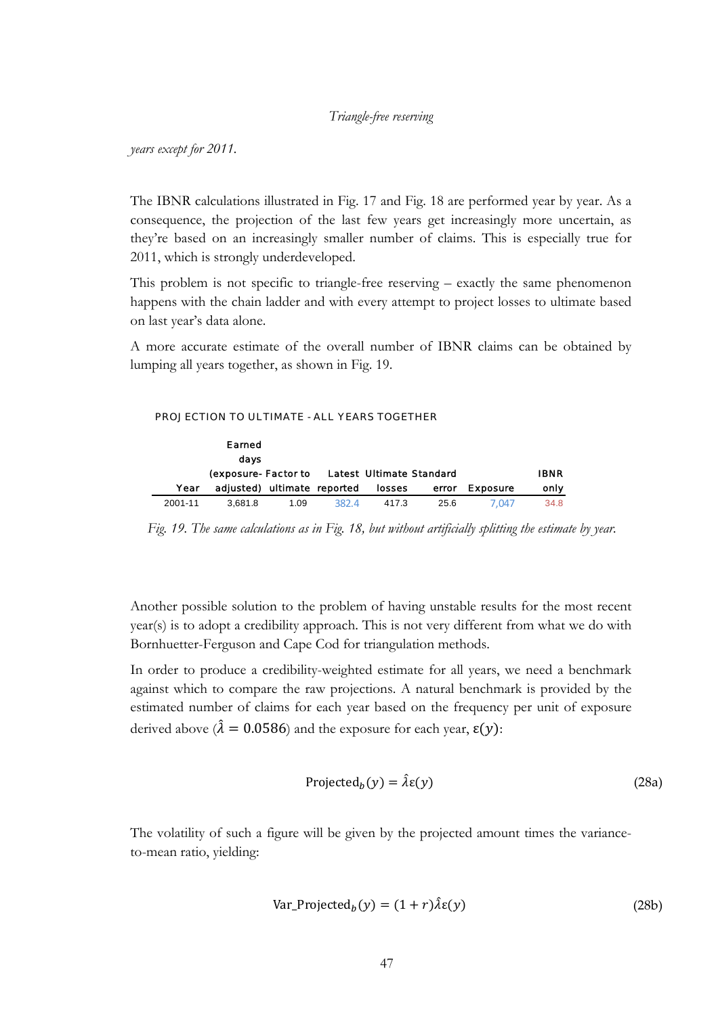*years except for 2011.*

The IBNR calculations illustrated in Fig. 17 and Fig. 18 are performed year by year. As a consequence, the projection of the last few years get increasingly more uncertain, as they're based on an increasingly smaller number of claims. This is especially true for 2011, which is strongly underdeveloped.

This problem is not specific to triangle-free reserving – exactly the same phenomenon happens with the chain ladder and with every attempt to project losses to ultimate based on last year's data alone.

A more accurate estimate of the overall number of IBNR claims can be obtained by lumping all years together, as shown in Fig. 19.

#### PROJECTION TO ULTIMATE - ALL YEARS TOGETHER

|         | <b>Earned</b>               |      |       |        |                                 |                 |             |
|---------|-----------------------------|------|-------|--------|---------------------------------|-----------------|-------------|
|         | days                        |      |       |        |                                 |                 |             |
|         | (exposure- Factor to        |      |       |        | <b>Latest Ultimate Standard</b> |                 | <b>IBNR</b> |
| Year    | adjusted) ultimate reported |      |       | losses | error                           | <b>Exposure</b> | only        |
| 2001-11 | 3.681.8                     | 1.09 | 382.4 | 417.3  | 25.6                            | 7.047           | 34.8        |

*Fig. 19. The same calculations as in Fig. 18, but without artificially splitting the estimate by year.* 

Another possible solution to the problem of having unstable results for the most recent year(s) is to adopt a credibility approach. This is not very different from what we do with Bornhuetter-Ferguson and Cape Cod for triangulation methods.

estimated number of claims for each year based on the frequency per unit of exposure In order to produce a credibility-weighted estimate for all years, we need a benchmark against which to compare the raw projections. A natural benchmark is provided by the derived above ( $\hat{\lambda} = 0.0586$ ) and the exposure for each year,  $\varepsilon(y)$ :

$$
Projected_b(y) = \hat{\lambda}\varepsilon(y)
$$
\n(28a)

The volatility of such a figure will be given by the projected amount times the varianceto-mean ratio, yielding:

$$
Var\_Projected_b(y) = (1+r)\hat{\lambda}\varepsilon(y)
$$
\n(28b)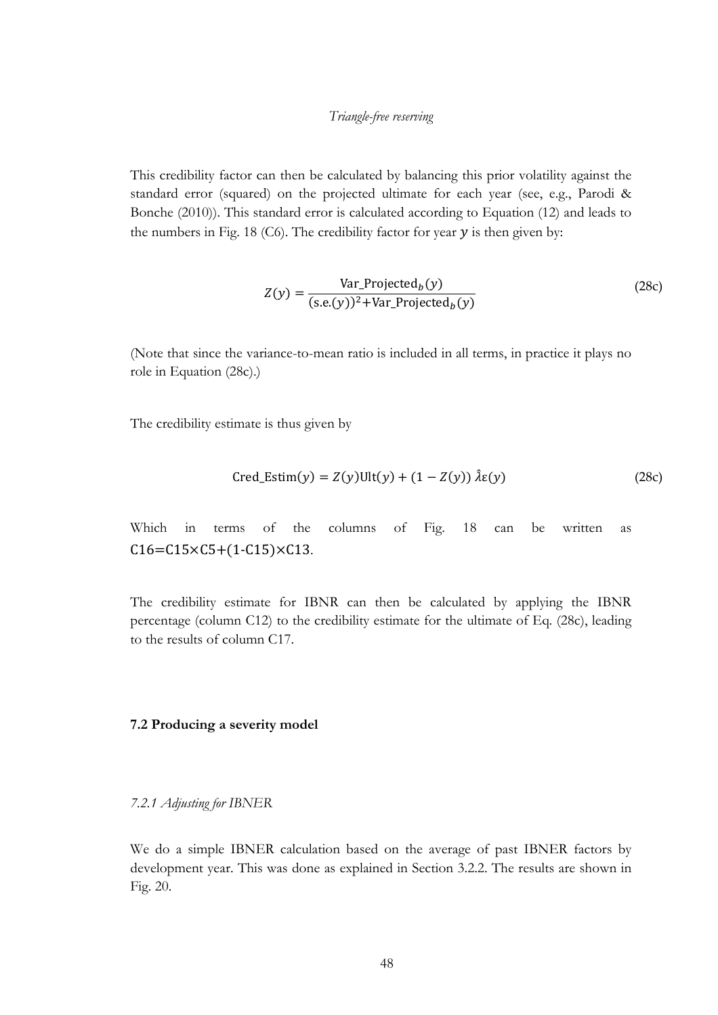This credibility factor can then be calculated by balancing this prior volatility against the standard error (squared) on the projected ultimate for each year (see, e.g., Parodi & Bonche (2010)). This standard error is calculated according to Equation (12) and leads to the numbers in Fig. 18 (C6). The credibility factor for year  $y$  is then given by:

$$
Z(y) = \frac{\text{Var\_Projected}_b(y)}{(\text{s.e.}(y))^2 + \text{Var\_Projected}_b(y)}
$$
(28c)

(Note that since the variance-to-mean ratio is included in all terms, in practice it plays no role in Equation  $(28c)$ .)

The credibility estimate is thus given by

$$
Cred\_Estim(y) = Z(y)Ult(y) + (1 - Z(y)) \hat{\lambda} \varepsilon(y)
$$
\n(28c)

Which in terms of the columns of Fig. 18 can be written as  $C16 = C15 \times C5 + (1 - C15) \times C13$ .

The credibility estimate for IBNR can then be calculated by applying the IBNR to the results of column C17. percentage (column C12) to the credibility estimate for the ultimate of Eq. (28c), leading

### **7.2 Producing a severity model**

### *7.2.1 Adjusting for IBNER*

We do a simple IBNER calculation based on the average of past IBNER factors by development year. This was done as explained in Section 3.2.2. The results are shown in Fig. 20.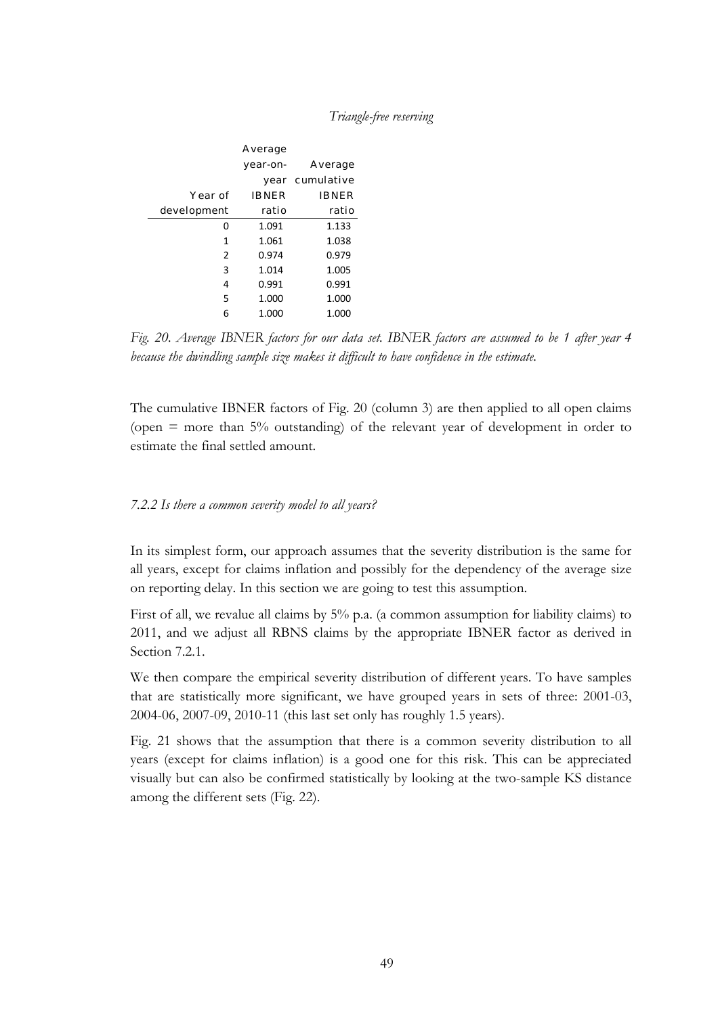|                | Average      |              |
|----------------|--------------|--------------|
|                | year-on-     | Average      |
|                | year         | cumulative   |
| Year of        | <b>IBNER</b> | <b>IBNER</b> |
| development    | ratio        | ratio        |
| 0              | 1.091        | 1.133        |
| 1              | 1.061        | 1.038        |
| $\mathfrak{p}$ | 0.974        | 0.979        |
| 3              | 1.014        | 1.005        |
| 4              | 0.991        | 0.991        |
| 5              | 1.000        | 1.000        |
| 6              | 1.000        | 1.000        |

*Fig. 20. Average IBNER factors for our data set. IBNER factors are assumed to be 1 after year 4 because the dwindling sample size makes it difficult to have confidence in the estimate.* 

The cumulative IBNER factors of Fig. 20 (column 3) are then applied to all open claims (open  $=$  more than 5% outstanding) of the relevant year of development in order to estimate the final settled amount.

### *7.2.2 Is there a common severity model to all years?*

In its simplest form, our approach assumes that the severity distribution is the same for all years, except for claims inflation and possibly for the dependency of the average size on reporting delay. In this section we are going to test this assumption.

2011, and we adjust all RBNS claims by the appropriate IBNER factor as derived in First of all, we revalue all claims by 5% p.a. (a common assumption for liability claims) to Section 7.2.1.

that are statistically more significant, we have grouped years in sets of three: 2001-03, We then compare the empirical severity distribution of different years. To have samples 2004-06, 2007-09, 2010-11 (this last set only has roughly 1.5 years).

years (except for claims inflation) is a good one for this risk. This can be appreciated Fig. 21 shows that the assumption that there is a common severity distribution to all visually but can also be confirmed statistically by looking at the two-sample KS distance among the different sets (Fig. 22).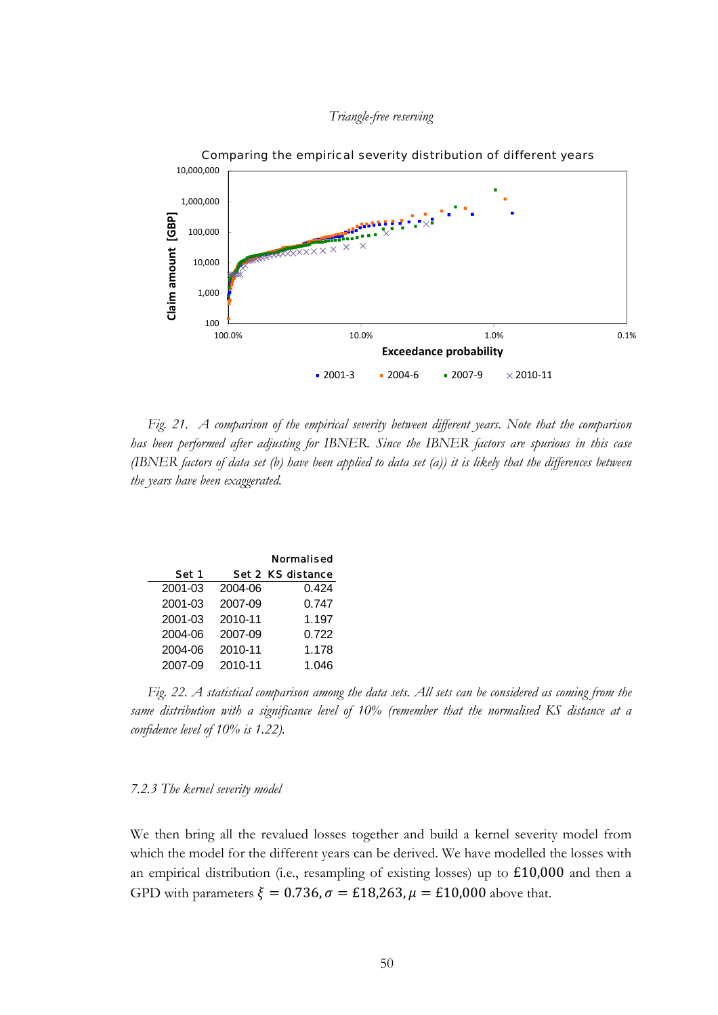



Comparing the empirical severity distribution of different years

*Fig. 21. A comparison of the empirical severity between different years. Note that the comparison has been performed after adjusting for IBNER. Since the IBNER factors are spurious in this case (IBNER factors of data set (b) have been applied to data set (a)) it is likely that the differences between the years have been exaggerated.* 

|         |         | <b>Normalised</b> |
|---------|---------|-------------------|
| Set 1   |         | Set 2 KS distance |
| 2001-03 | 2004-06 | 0.424             |
| 2001-03 | 2007-09 | 0.747             |
| 2001-03 | 2010-11 | 1.197             |
| 2004-06 | 2007-09 | 0.722             |
| 2004-06 | 2010-11 | 1.178             |
| 2007-09 | 2010-11 | 1.046             |

*Fig. 22. A statistical comparison among the data sets. All sets can be considered as coming from the same distribution with a significance level of 10% (remember that the normalised KS distance at a confidence level of 10% is 1.22).* 

#### *7.2.3 The kernel severity model*

GPD with parameters  $\xi = 0.736$ ,  $\sigma = \text{\textsterling}18,263$ ,  $\mu = \text{\textsterling}10,000$  above that. We then bring all the revalued losses together and build a kernel severity model from which the model for the different years can be derived. We have modelled the losses with an empirical distribution (i.e., resampling of existing losses) up to £10,000 and then a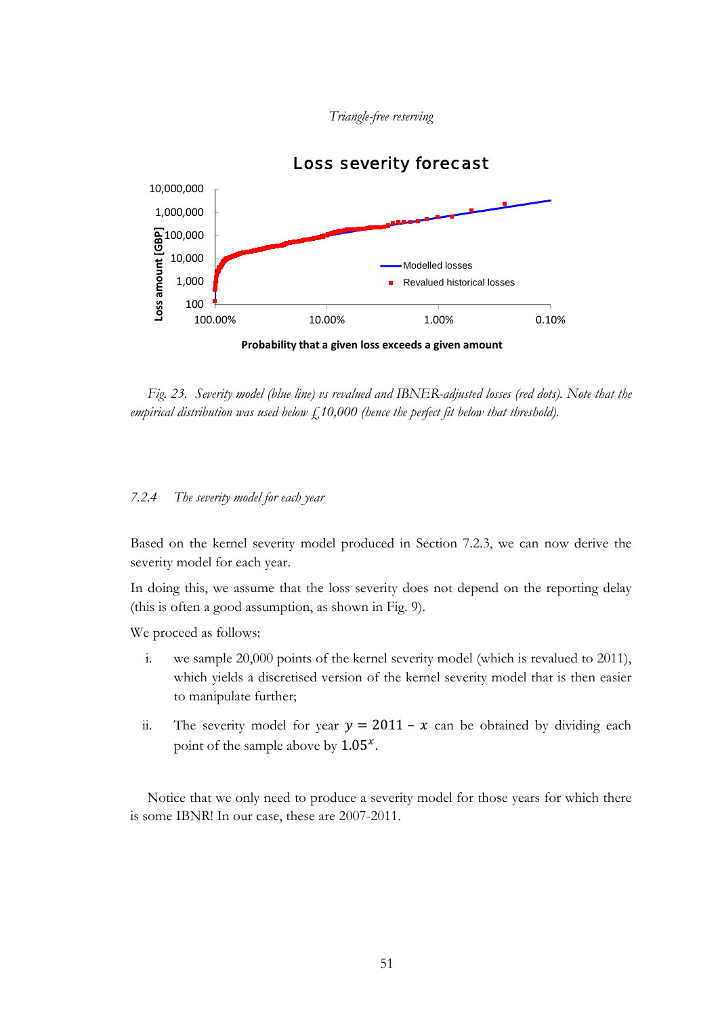



*Fig. 23. Severity model (blue line) vs revalued and IBNER-adjusted losses (red dots). Note that the empirical distribution was used below £10,000 (hence the perfect fit below that threshold).*

## *7.2.4 The severity model for each year*

Based on the kernel severity model produced in Section 7.2.3, we can now derive the severity model for each year.

In doing this, we assume that the loss severity does not depend on the reporting delay (this is often a good assumption, as shown in Fig. 9).

We proceed as follows:

- i. we sample 20,000 points of the kernel severity model (which is revalued to 2011), which yields a discretised version of the kernel severity model that is then easier to manipulate further;
- ii. The severity model for year  $y = 2011 x$  can be obtained by dividing each point of the sample above by  $1.05^x$ .

Notice that we only need to produce a severity model for those years for which there is some IBNR! In our case, these are 2007-2011.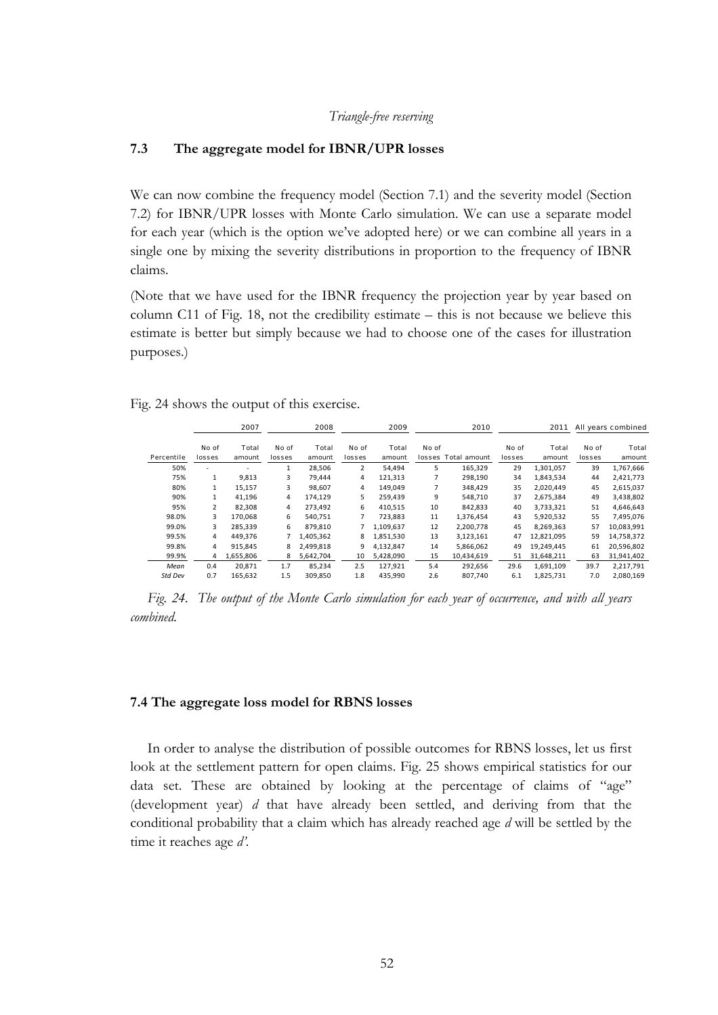#### **7.3 The aggregate model for IBNR/UPR losses**

We can now combine the frequency model (Section 7.1) and the severity model (Section 7.2) for IBNR/UPR losses with Monte Carlo simulation. We can use a separate model for each year (which is the option we've adopted here) or we can combine all years in a single one by mixing the severity distributions in proportion to the frequency of IBNR claims.

(Note that we have used for the IBNR frequency the projection year by year based on column C11 of Fig. 18, not the credibility estimate – this is not because we believe this estimate is better but simply because we had to choose one of the cases for illustration purposes.)

Fig. 24 shows the output of this exercise.

|            |              | 2007      |              | 2008      |                | 2009      |       | 2010                |        | 2011       |        | All years combined |
|------------|--------------|-----------|--------------|-----------|----------------|-----------|-------|---------------------|--------|------------|--------|--------------------|
|            | No of        | Total     | No of        | Total     | No of          | Total     | No of |                     | No of  | Total      | No of  | Total              |
| Percentile | losses       | amount    | losses       | amount    | losses         | amount    |       | losses Total amount | losses | amount     | losses | amount             |
| 50%        |              |           | $\mathbf{1}$ | 28,506    | $\overline{2}$ | 54,494    | 5     | 165,329             | 29     | 1,301,057  | 39     | 1,767,666          |
| 75%        | 1            | 9.813     | 3            | 79.444    | 4              | 121.313   | 7     | 298.190             | 34     | 1.843.534  | 44     | 2.421.773          |
| 80%        | $\mathbf{1}$ | 15,157    | 3            | 98,607    | 4              | 149,049   | 7     | 348,429             | 35     | 2,020,449  | 45     | 2,615,037          |
| 90%        | 1            | 41,196    | 4            | 174,129   | 5              | 259,439   | 9     | 548,710             | 37     | 2,675,384  | 49     | 3,438,802          |
| 95%        | 2            | 82.308    | 4            | 273.492   | 6              | 410.515   | 10    | 842,833             | 40     | 3.733.321  | 51     | 4,646,643          |
| 98.0%      | 3            | 170.068   | 6            | 540.751   | 7              | 723,883   | 11    | 1,376,454           | 43     | 5,920,532  | 55     | 7,495,076          |
| 99.0%      | 3            | 285.339   | 6            | 879.810   | 7              | 1.109.637 | 12    | 2,200,778           | 45     | 8.269.363  | 57     | 10,083,991         |
| 99.5%      | 4            | 449.376   |              | 1.405.362 | 8              | 1,851,530 | 13    | 3,123,161           | 47     | 12.821.095 | 59     | 14,758,372         |
| 99.8%      | 4            | 915.845   | 8            | 2,499,818 | 9              | 4,132,847 | 14    | 5,866,062           | 49     | 19.249.445 | 61     | 20,596,802         |
| 99.9%      | 4            | 1,655,806 | 8            | 5,642,704 | 10             | 5,428,090 | 15    | 10,434,619          | 51     | 31,648,211 | 63     | 31,941,402         |
| Mean       | 0.4          | 20.871    | 1.7          | 85.234    | 2.5            | 127.921   | 5.4   | 292.656             | 29.6   | 1.691.109  | 39.7   | 2.217.791          |
| Std Dev    | 0.7          | 165,632   | 1.5          | 309.850   | 1.8            | 435,990   | 2.6   | 807,740             | 6.1    | 1,825,731  | 7.0    | 2,080,169          |

*Fig. 24. The output of the Monte Carlo simulation for each year of occurrence, and with all years combined.*

#### **7.4 The aggregate loss model for RBNS losses**

In order to analyse the distribution of possible outcomes for RBNS losses, let us first look at the settlement pattern for open claims. Fig. 25 shows empirical statistics for our data set. These are obtained by looking at the percentage of claims of "age" (development year) *d* that have already been settled, and deriving from that the conditional probability that a claim which has already reached age *d* will be settled by the time it reaches age *d'.*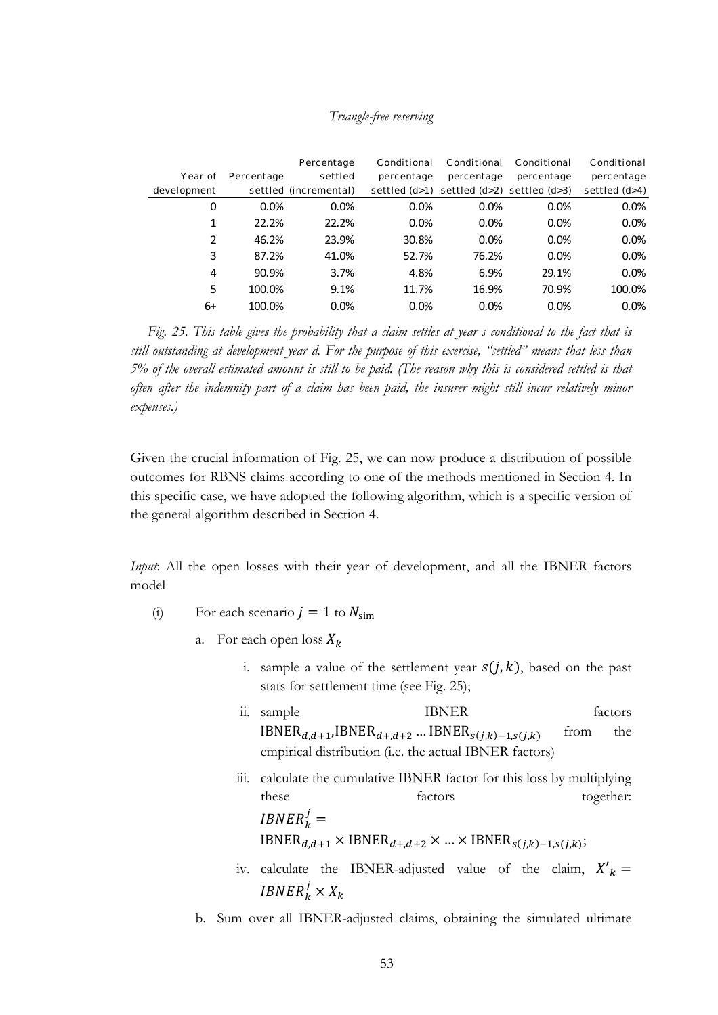| Year of<br>development | Percentage | Percentage<br>settled<br>settled (incremental) | Conditional<br>percentage | Conditional<br>percentage<br>settled $(d>1)$ settled $(d>2)$ settled $(d>3)$ | Conditional<br>percentage | Conditional<br>percentage<br>settled (d>4) |
|------------------------|------------|------------------------------------------------|---------------------------|------------------------------------------------------------------------------|---------------------------|--------------------------------------------|
| 0                      | 0.0%       | $0.0\%$                                        | 0.0%                      | $0.0\%$                                                                      | $0.0\%$                   | 0.0%                                       |
| 1                      | 22.2%      | 22.2%                                          | 0.0%                      | $0.0\%$                                                                      | $0.0\%$                   | 0.0%                                       |
| 2                      | 46.2%      | 23.9%                                          | 30.8%                     | $0.0\%$                                                                      | 0.0%                      | $0.0\%$                                    |
| 3                      | 87.2%      | 41.0%                                          | 52.7%                     | 76.2%                                                                        | $0.0\%$                   | 0.0%                                       |
| 4                      | 90.9%      | 3.7%                                           | 4.8%                      | 6.9%                                                                         | 29.1%                     | 0.0%                                       |
| 5                      | 100.0%     | 9.1%                                           | 11.7%                     | 16.9%                                                                        | 70.9%                     | 100.0%                                     |
| 6+                     | 100.0%     | 0.0%                                           | 0.0%                      | 0.0%                                                                         | 0.0%                      | 0.0%                                       |

*Fig. 25. This table gives the probability that a claim settles at year s conditional to the fact that is still outstanding at development year d. For the purpose of this exercise, "settled" means that less than 5% of the overall estimated amount is still to be paid. (The reason why this is considered settled is that often after the indemnity part of a claim has been paid, the insurer might still incur relatively minor expenses.)* 

Given the crucial information of Fig. 25, we can now produce a distribution of possible outcomes for RBNS claims according to one of the methods mentioned in Section 4. In this specific case, we have adopted the following algorithm, which is a specific version of the general algorithm described in Section 4.

*Input*: All the open losses with their year of development, and all the IBNER factors model

- (i) For each scenario  $j = 1$  to  $N_{sim}$ 
	- a. For each open loss  $X_k$ 
		- i. sample a value of the settlement year  $s(i, k)$ , based on the past stats for settlement time (see Fig. 25);
		- empirical distribution (i.e. the actual IBNER factors) ii. sample IBNER factors  $IBNER_{d,d+1}, IBNER_{d+d+2}$  ...  $IBNER_{s(i,k)-1,s(i,k)}$  from the
		- iii. calculate the cumulative IBNER factor for this loss by multiplying  $IBNER_k^j =$  $IBNER_{d,d+1} \times IBNER_{d+d+2} \times ... \times IBNER_{s(i,k)-1,s(i,k)};$ these factors together:
		- iv. calculate the IBNER-adjusted value of the claim,  $X'_k =$ IBNE $R_k^j \times X_k$
	- b. Sum over all IBNER-adjusted claims, obtaining the simulated ultimate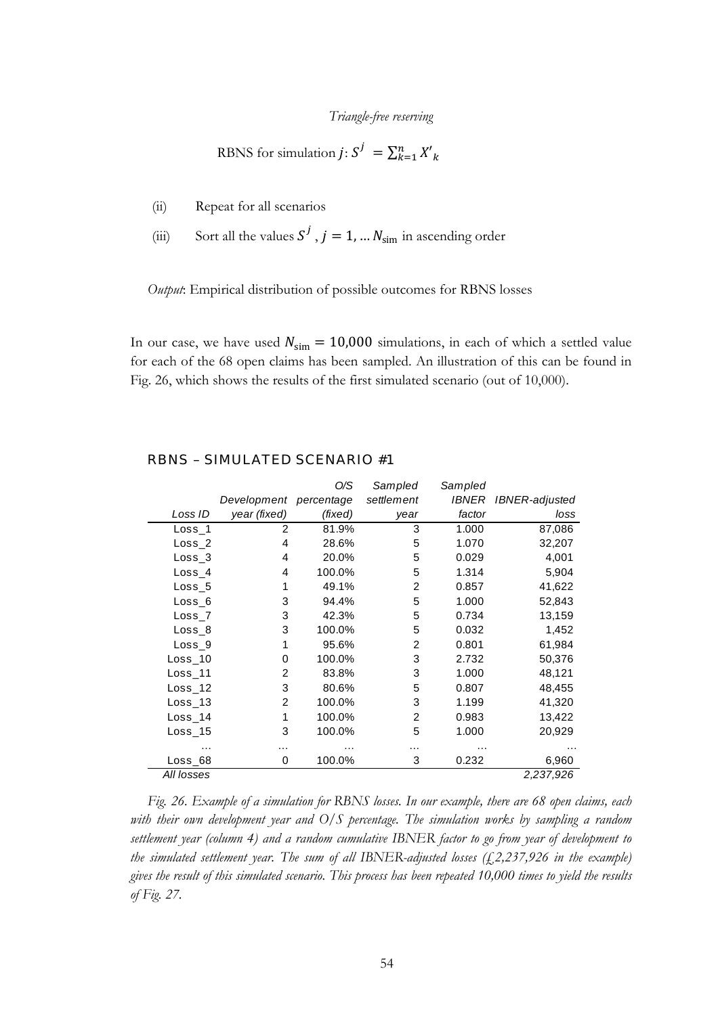RBNS for simulation  $j: S^j = \sum_{k=1}^n X'_k$ 

(ii) Rep eat for all scenarios

(iii) Sort all the values  $S^j$ ,  $j = 1, ... N_{\text{sim}}$  in ascending order

Output: Empirical distribution of possible outcomes for RBNS losses

In our case, we have used  $N_{sim} = 10,000$  simulations, in each of which a settled value for each of the 68 open claims has been sampled. An illustration of this can be found in Fig. 26, which shows the results of the first simulated scenario (out of 10,000).

|            |                        | O/S     | Sampled    | Sampled      |                |
|------------|------------------------|---------|------------|--------------|----------------|
|            | Development percentage |         | settlement | <i>IBNER</i> | IBNER-adjusted |
| Loss ID    | year (fixed)           | (fixed) | year       | factor       | loss           |
| $Loss-1$   | $\overline{2}$         | 81.9%   | 3          | 1.000        | 87,086         |
| $Loss_2$   | 4                      | 28.6%   | 5          | 1.070        | 32,207         |
| $Loss_3$   | 4                      | 20.0%   | 5          | 0.029        | 4,001          |
| $Loss_4$   | 4                      | 100.0%  | 5          | 1.314        | 5,904          |
| $Loss_5$   | 1                      | 49.1%   | 2          | 0.857        | 41,622         |
| Loss_6     | 3                      | 94.4%   | 5          | 1.000        | 52,843         |
| $Loss_7$   | 3                      | 42.3%   | 5          | 0.734        | 13,159         |
| $Loss_8$   | 3                      | 100.0%  | 5          | 0.032        | 1,452          |
| $Loss_9$   |                        | 95.6%   | 2          | 0.801        | 61,984         |
| $Loss_10$  | 0                      | 100.0%  | 3          | 2.732        | 50,376         |
| $Loss-11$  | 2                      | 83.8%   | 3          | 1.000        | 48,121         |
| $Loss_12$  | 3                      | 80.6%   | 5          | 0.807        | 48,455         |
| $Loss_13$  | 2                      | 100.0%  | 3          | 1.199        | 41,320         |
| $Loss_14$  | 1                      | 100.0%  | 2          | 0.983        | 13,422         |
| $Loss_15$  | 3                      | 100.0%  | 5          | 1.000        | 20,929         |
| .          | .                      |         | .          |              |                |
| Loss_68    | 0                      | 100.0%  | 3          | 0.232        | 6,960          |
| All losses |                        |         |            |              | 2,237,926      |

#### RBNS – SIMULATED SCENARIO #1

*Fig. 26. Example of a simulation for RBNS losses. In our example, there are 68 open claims, each*  with their own development year and O/S percentage. The simulation works by sampling a random *settlement year (column 4) and a random cumulative IBNER factor to go from year of development to the simulated settlement year. The sum of all IBNER-adjusted losses (£2,237,926 in the example) gives the result of this simulated scenario. This process has been repeated 10,000 times to yield the results of Fig. 27.*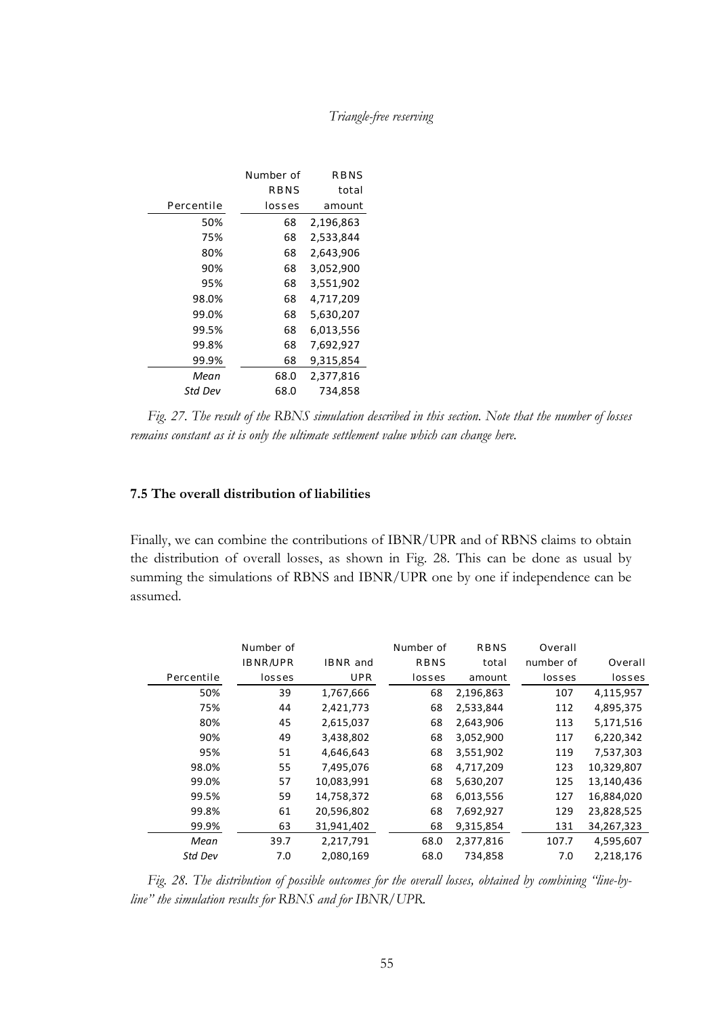|            | Number of   | <b>RBNS</b> |
|------------|-------------|-------------|
|            | <b>RBNS</b> | total       |
| Percentile | losses      | amount      |
| 50%        | 68          | 2,196,863   |
| 75%        | 68          | 2,533,844   |
| 80%        | 68          | 2,643,906   |
| 90%        | 68          | 3,052,900   |
| 95%        | 68          | 3,551,902   |
| 98.0%      | 68          | 4,717,209   |
| 99.0%      | 68          | 5,630,207   |
| 99.5%      | 68          | 6,013,556   |
| 99.8%      | 68          | 7,692,927   |
| 99.9%      | 68          | 9,315,854   |
| Mean       | 68.0        | 2,377,816   |
| Std Dev    | 68.0        | 734,858     |

*Fig. 27. The result of the RBNS simulation described in this section. Note that the number of losses remains constant as it is only the ultimate settlement value which can change here.* 

## **7.5 The overall distribution of liabilities**

Finally, we can combine the contributions of IBNR/UPR and of RBNS claims to obtain the distribution of overall losses, as shown in Fig. 28. This can be done as usual by summing the simulations of RBNS and IBNR/UPR one by one if independence can be assumed.

|            | Number of       |                 | Number of   | <b>RBNS</b> | Overall       |              |
|------------|-----------------|-----------------|-------------|-------------|---------------|--------------|
|            | <b>IBNR/UPR</b> | <b>IBNR</b> and | <b>RBNS</b> | total       | number of     | Overall      |
| Percentile | <b>losses</b>   | <b>UPR</b>      | losses      | amount      | <b>losses</b> | losses       |
| 50%        | 39              | 1,767,666       | 68          | 2,196,863   | 107           | 4,115,957    |
| 75%        | 44              | 2,421,773       | 68          | 2,533,844   | 112           | 4,895,375    |
| 80%        | 45              | 2,615,037       | 68          | 2,643,906   | 113           | 5,171,516    |
| 90%        | 49              | 3,438,802       | 68          | 3,052,900   | 117           | 6,220,342    |
| 95%        | 51              | 4,646,643       | 68          | 3,551,902   | 119           | 7,537,303    |
| 98.0%      | 55              | 7,495,076       | 68          | 4,717,209   | 123           | 10,329,807   |
| 99.0%      | 57              | 10,083,991      | 68          | 5,630,207   | 125           | 13,140,436   |
| 99.5%      | 59              | 14,758,372      | 68          | 6,013,556   | 127           | 16,884,020   |
| 99.8%      | 61              | 20,596,802      | 68          | 7,692,927   | 129           | 23,828,525   |
| 99.9%      | 63              | 31,941,402      | 68          | 9,315,854   | 131           | 34, 267, 323 |
| Mean       | 39.7            | 2,217,791       | 68.0        | 2,377,816   | 107.7         | 4,595,607    |
| Std Dev    | 7.0             | 2,080,169       | 68.0        | 734,858     | 7.0           | 2,218,176    |

*Fig. 28. The distribution of possible outcomes for the overall losses, obtained by combining "line-byline" the simulation results for RBNS and for IBNR/UPR.*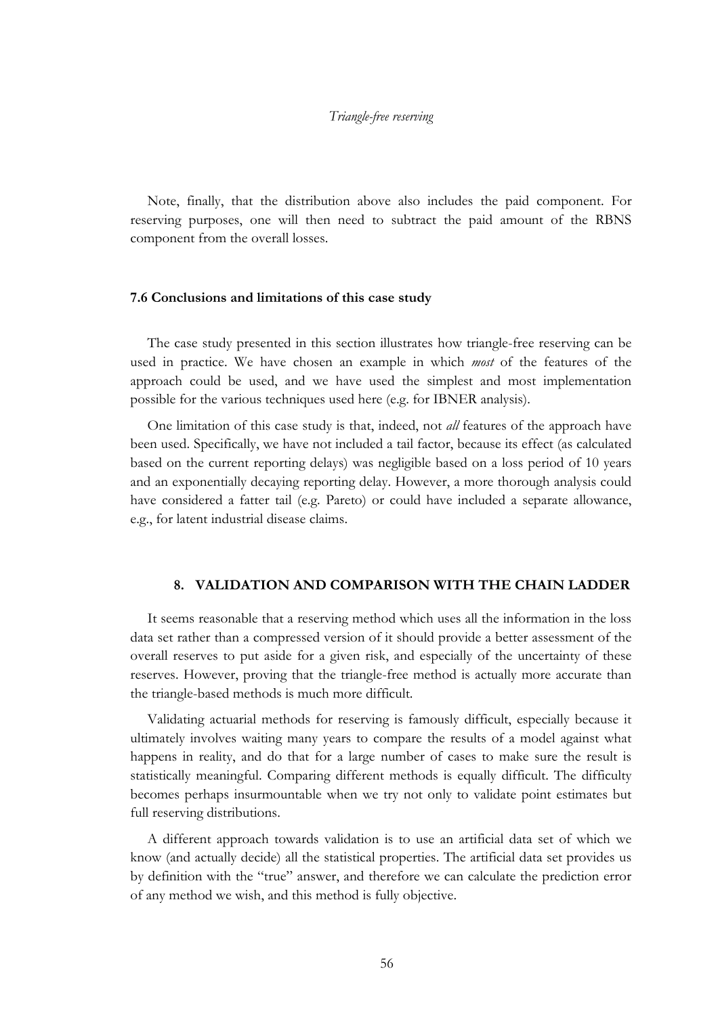Note, finally, that the distribution above also includes the paid component. For reserving purposes, one will then need to subtract the paid amount of the RBNS co mponent from the overall losses.

#### **7.6 Conclusions and limitations of this case study**

The case study presented in this section illustrates how triangle-free reserving can be used in practice. We have chosen an example in which *most* of the features of the app roach could be used, and we have used the simplest and most implementation possible for the various techniques used here (e.g. for IBNER analysis).

been used. Specifically, we have not included a tail factor, because its effect (as calculated bas ed on the current reporting delays) was negligible based on a loss period of 10 years One limitation of this case study is that, indeed, not *all* features of the approach have and an exponentially decaying reporting delay. However, a more thorough analysis could have considered a fatter tail (e.g. Pareto) or could have included a separate allowance, e.g., for latent industrial disease claims.

### **8. VALIDATION AND COMPARISON WITH THE CHAIN LADDER**

It seems reasonable that a reserving method which uses all the information in the loss data set rather than a compressed version of it should provide a better assessment of the ov erall reserves to put aside for a given risk, and especially of the uncertainty of these reserves. However, proving that the triangle-free method is actually more accurate than the triangle-based methods is much more difficult.

ultimately involves waiting many years to compare the results of a model against what hap pens in reality, and do that for a large number of cases to make sure the result is Validating actuarial methods for reserving is famously difficult, especially because it statistically meaningful. Comparing different methods is equally difficult. The difficulty becomes perhaps insurmountable when we try not only to validate point estimates but full reserving distributions.

know (and actually decide) all the statistical properties. The artificial data set provides us by definition with the "true" answer, and therefore we can calculate the prediction error A different approach towards validation is to use an artificial data set of which we of any method we wish, and this method is fully objective.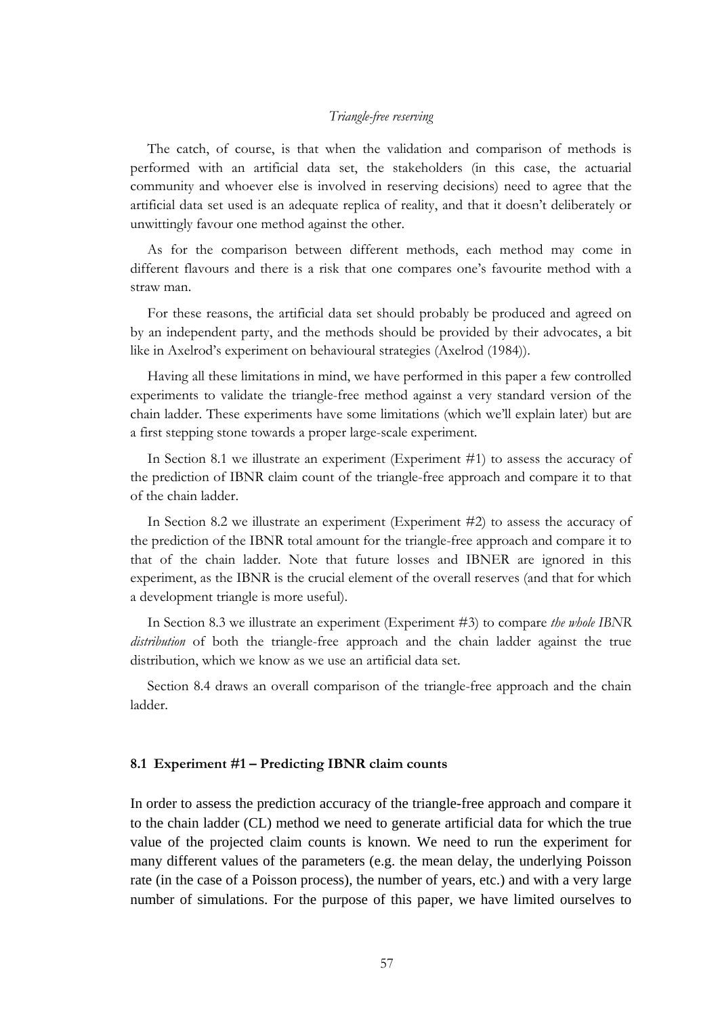performed with an artificial data set, the stakeholders (in this case, the actuarial co mmunity and whoever else is involved in reserving decisions) need to agree that the The catch, of course, is that when the validation and comparison of methods is artificial data set used is an adequate replica of reality, and that it doesn't deliberately or unwittingly favour one method against the other.

different flavours and there is a risk that one compares one's favourite method with a str aw man. As for the comparison between different methods, each method may come in

by an independent party, and the methods should be provided by their advocates, a bit lik e in Axelrod's experiment on behavioural strategies (Axelrod (1984)). For these reasons, the artificial data set should probably be produced and agreed on

experiments to validate the triangle-free method against a very standard version of the ch ain ladder. These experiments have some limitations (which we'll explain later) but are Having all these limitations in mind, we have performed in this paper a few controlled a first stepping stone towards a proper large-scale experiment.

the prediction of IBNR claim count of the triangle-free approach and compare it to that of the chain ladder. In Section 8.1 we illustrate an experiment (Experiment #1) to assess the accuracy of

the prediction of the IBNR total amount for the triangle-free approach and compare it to tha t of the chain ladder. Note that future losses and IBNER are ignored in this In Section 8.2 we illustrate an experiment (Experiment #2) to assess the accuracy of experiment, as the IBNR is the crucial element of the overall reserves (and that for which a development triangle is more useful).

distribution of both the triangle-free approach and the chain ladder against the true In Section 8.3 we illustrate an experiment (Experiment #3) to compare *the whole IBNR*  distribution, which we know as we use an artificial data set.

Section 8.4 draws an overall comparison of the triangle-free approach and the chain ladder.

#### **8.1 Experiment #1 – Predicting IBNR claim counts**

In order to assess the prediction accuracy of the triangle-free approach and compare it to the chain ladder (CL) method we need to generate artificial data for which the true value of the projected claim counts is known. We need to run the experiment for many different values of the parameters (e.g. the mean delay, the underlying Poisson rate (in the case of a Poisson process), the number of years, etc.) and with a very large number of simulations. For the purpose of this paper, we have limited ourselves to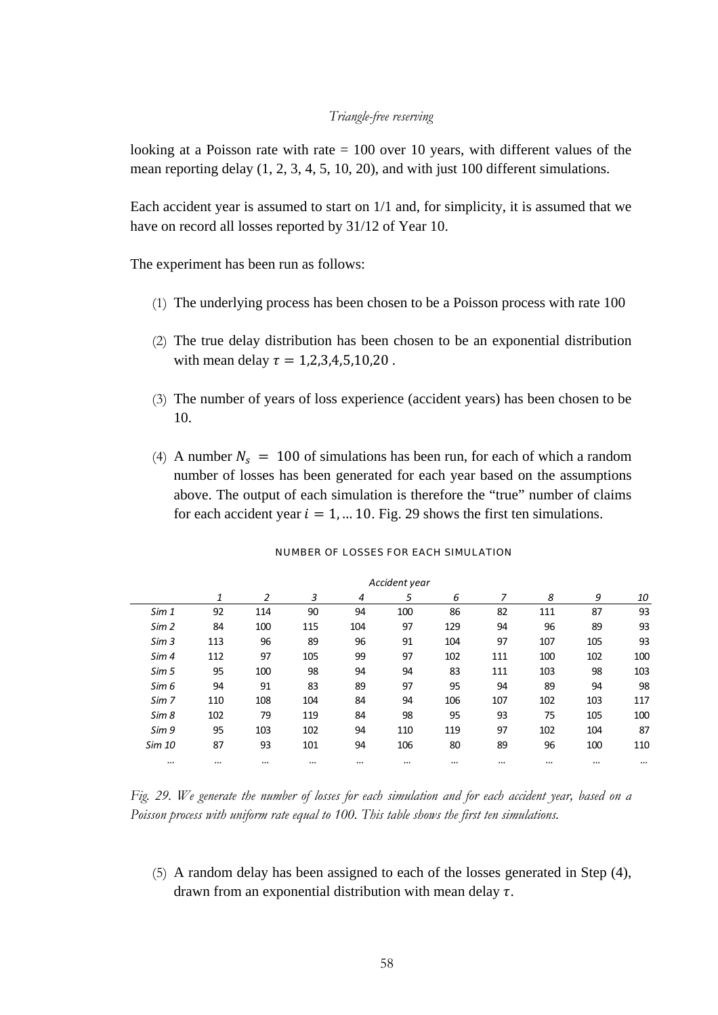looking at a Poisson rate with rate  $= 100$  over 10 years, with different values of the mean reporting delay (1, 2, 3, 4, 5, 10, 20), and with just 100 different simulations.

Each accident year is assumed to start on 1/1 and, for simplicity, it is assumed that we have on record all losses reported by 31/12 of Year 10.

The experiment has been run as follows:

- (1) The underlying process has been chosen to be a Poisson process with rate  $100$
- with mean delay  $\tau = 1,2,3,4,5,10,20$ . (2) The true delay distribution has been chosen to be an exponential distribution
- $(3)$  The number of years of loss experience (accident years) has been chosen to be 10.
- (4) A number  $N_s = 100$  of simulations has been run, for each of which a random number of losses has been generated for each year based on the assumptions above. The output of each simulation is therefore the "true" number of claims for each accident year  $i = 1, ... 10$ . Fig. 29 shows the first ten simulations.

|                  | Accident year |     |     |     |     |          |     |          |          |          |
|------------------|---------------|-----|-----|-----|-----|----------|-----|----------|----------|----------|
|                  | 1             | 2   | 3   | 4   | 5   | 6        |     | 8        | 9        | 10       |
| Sim 1            | 92            | 114 | 90  | 94  | 100 | 86       | 82  | 111      | 87       | 93       |
| Sim <sub>2</sub> | 84            | 100 | 115 | 104 | 97  | 129      | 94  | 96       | 89       | 93       |
| Sim 3            | 113           | 96  | 89  | 96  | 91  | 104      | 97  | 107      | 105      | 93       |
| Sim 4            | 112           | 97  | 105 | 99  | 97  | 102      | 111 | 100      | 102      | 100      |
| Sim <sub>5</sub> | 95            | 100 | 98  | 94  | 94  | 83       | 111 | 103      | 98       | 103      |
| Sim 6            | 94            | 91  | 83  | 89  | 97  | 95       | 94  | 89       | 94       | 98       |
| Sim <sub>7</sub> | 110           | 108 | 104 | 84  | 94  | 106      | 107 | 102      | 103      | 117      |
| Sim <sub>8</sub> | 102           | 79  | 119 | 84  | 98  | 95       | 93  | 75       | 105      | 100      |
| Sim 9            | 95            | 103 | 102 | 94  | 110 | 119      | 97  | 102      | 104      | 87       |
| Sim 10           | 87            | 93  | 101 | 94  | 106 | 80       | 89  | 96       | 100      | 110      |
|                  |               |     |     |     |     | $\cdots$ |     | $\cdots$ | $\cdots$ | $\cdots$ |

#### NUMBER OF LOSSES FOR EACH SIMULATION

*Fig. 29. We generate the number of losses for each simulation and for each accident year, based on a*  Poisson process with uniform rate equal to 100. This table shows the first ten simulations.

(5) A random delay has been assigned to each of the losses generated in Step (4), drawn from an exponential distribution with mean delay  $\tau$ .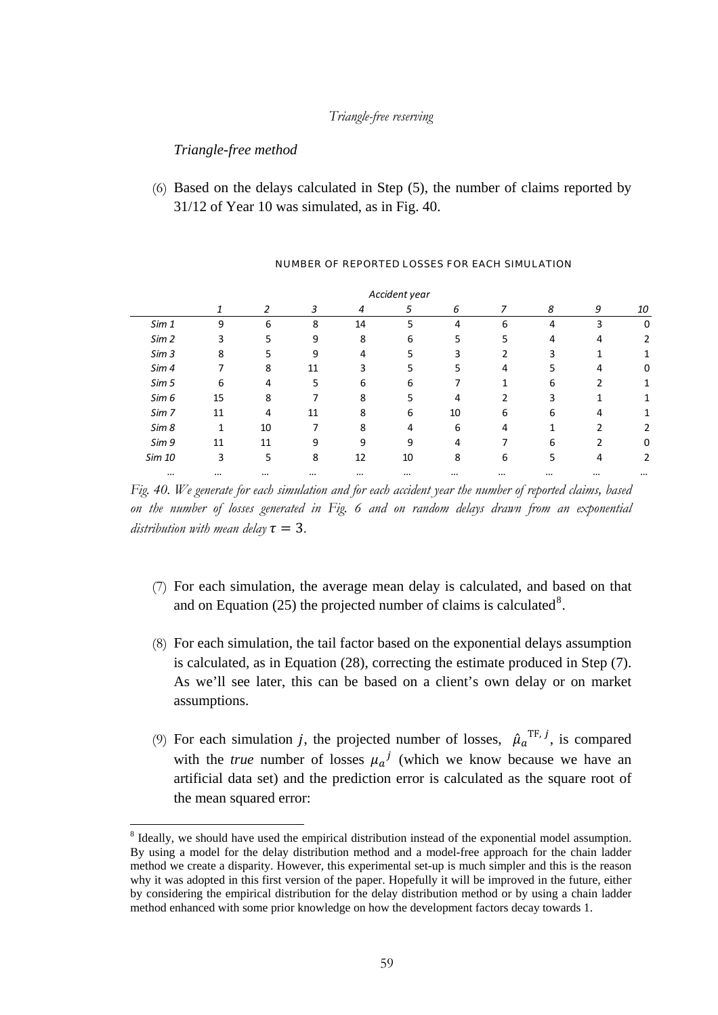## *Triangle-free method*

 $\overline{a}$ 

 $(6)$  Based on the delays calculated in Step  $(5)$ , the number of claims reported by  $31/12$  of Year 10 was simulated, as in Fig. 40.

|                  | Accident year |          |    |          |          |          |               |   |   |          |
|------------------|---------------|----------|----|----------|----------|----------|---------------|---|---|----------|
|                  |               | 2        | 3  | 4        | 5        | 6        |               | 8 | 9 | 10       |
| Sim 1            | 9             | 6        | 8  | 14       | 5        | 4        | 6             | 4 | 3 | 0        |
| Sim 2            | 3             | 5        | 9  | 8        | 6        | 5        | 5             | 4 | 4 |          |
| Sim 3            | 8             | 5        | 9  | 4        | 5        | 3        | C             | 3 |   |          |
| Sim 4            |               | 8        | 11 | 3        | 5        |          | 4             |   | 4 | O        |
| Sim 5            | 6             | 4        | 5  | 6        | 6        |          | 1             | 6 | ∍ |          |
| Sim 6            | 15            | 8        |    | 8        | 5        | 4        | $\mathcal{P}$ |   |   |          |
| Sim <sub>7</sub> | 11            | 4        | 11 | 8        | 6        | 10       | 6             | 6 | 4 |          |
| Sim 8            | $\mathbf{1}$  | 10       |    | 8        | 4        | 6        | 4             |   | ∍ |          |
| Sim 9            | 11            | 11       | 9  | 9        | 9        | 4        | 7             | 6 | າ | 0        |
| Sim 10           | 3             | 5        | 8  | 12       | 10       | 8        | 6             | 5 |   |          |
| $\cdots$         | $\cdots$      | $\cdots$ |    | $\cdots$ | $\cdots$ | $\cdots$ | $\cdots$      |   |   | $\cdots$ |

#### NUMBER OF REPORTED LOSSES FOR EACH SIMULATION

*Fig. 40. We generate for each simulation and for each accident year the number of reported claims, based on the number of losses generated in Fig. 6 and on random delays drawn from an exponential distribution with mean delay*  $\tau = 3$ .

- (7) For each simulation, the average mean delay is calculated, and based on that and on Equation (25) the projected number of claims is calculated<sup>8</sup>.
- is calculated, as in Equation  $(28)$ , correcting the estimate produced in Step  $(7)$ . As we'll see later, this can be based on a client's own delay or on market (8) For each simulation, the tail factor based on the exponential delays assumption assumptions.
- (9) For each simulation *j*, the projected number of losses,  $\hat{\mu}_a^{\text{TF},j}$ , is compared with the *true* number of losses  $\mu_a^j$  (which we know because we have an artificial data set) and the prediction error is calculated as the square root of the mean squared error:

<sup>&</sup>lt;sup>8</sup> Ideally, we should have used the empirical distribution instead of the exponential model assumption. By using a model for the delay distribution method and a model-free approach for the chain ladder method we create a disparity. However, this experimental set-up is much simpler and this is the reason why it was adopted in this first version of the paper. Hopefully it will be improved in the future, either by considering the empirical distribution for the delay distribution method or by using a chain ladder method enhanced with some prior knowledge on how the development factors decay towards 1.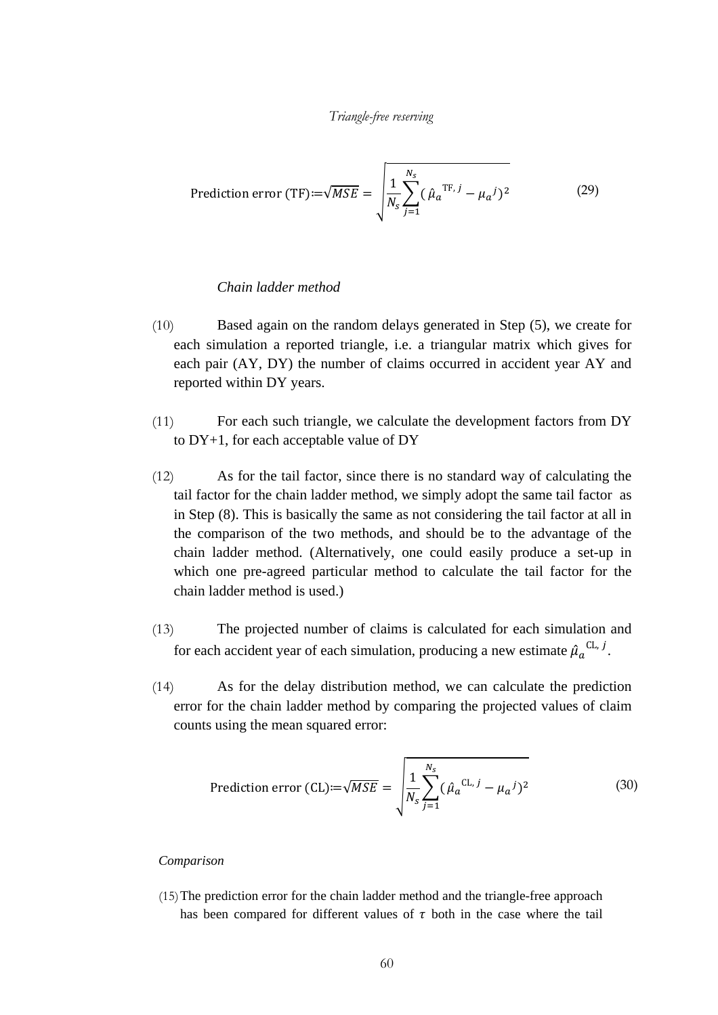$$
\text{ Prediction error (TF)} := \sqrt{MSE} = \sqrt{\frac{1}{N_s} \sum_{j=1}^{N_s} (\hat{\mu}_a^{\text{TF}, j} - \mu_a^{\text{}})^2}
$$
\n<sup>(29)</sup>

### *Chain ladder method*

- (10) Based again on the random delays generated in Step (5), we create for each simulation a reported triangle, i.e. a triangular matrix which gives for each pair (AY, DY) the number of claims occurred in accident year AY and reported within DY years.
- (11) For each such triangle, we calculate the development factors from DY to DY+1, for each acceptable value of DY
- (12) As for the tail factor, since there is no standard way of calculating the in Step  $(8)$ . This is basically the same as not considering the tail factor at all in the comparison of the two methods, and should be to the advantage of the tail factor for the chain ladder method, we simply adopt the same tail factor as chain ladder method. (Alternatively, one could easily produce a set-up in which one pre-agreed particular method to calculate the tail factor for the chain ladder method is used.)
- (13) The projected number of claims is calculated for each simulation and for each accident year of each simulation, producing a new estimate  $\hat{\mu}_a^{\text{CL},j}$ .
- (14) As for the delay distribution method, we can calculate the prediction error for the chain ladder method by comparing the projected values of claim counts using the mean squared error:

$$
\text{ Prediction error (CL)} := \sqrt{MSE} = \sqrt{\frac{1}{N_s} \sum_{j=1}^{N_s} (\hat{\mu}_a^{\text{CL}, j} - \mu_a^{\text{J}})^2}
$$
(30)

#### *Comparison*

(15)The prediction error for the chain ladder method and the triangle-free approach has been compared for different values of  $\tau$  both in the case where the tail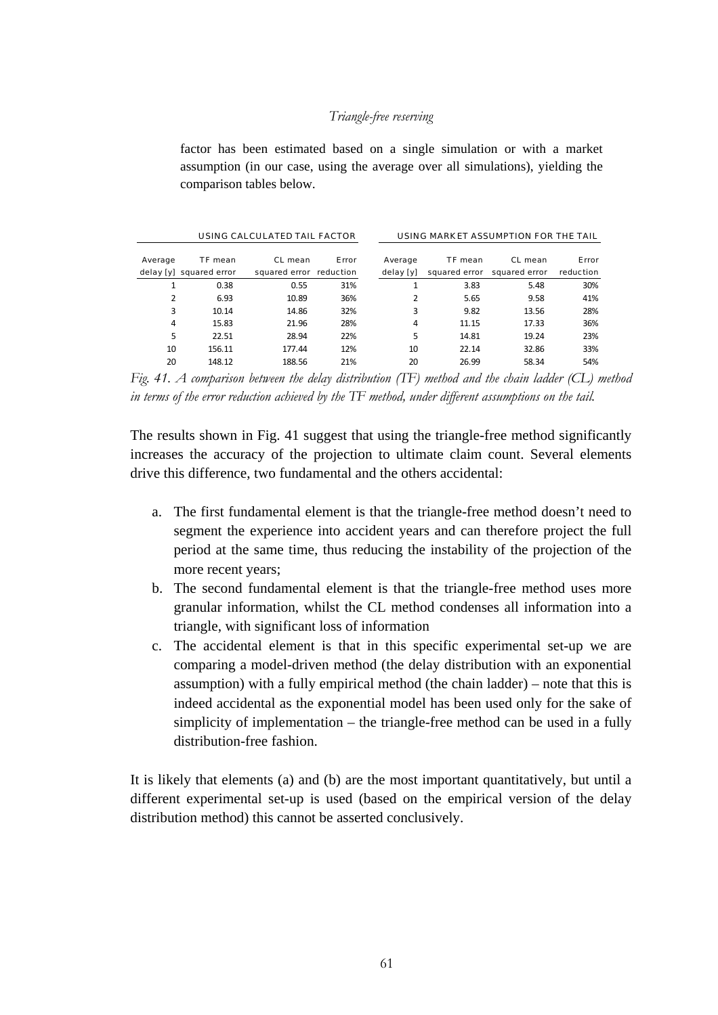factor has been estimated based on a single simulation or with a market assumption (in our case, using the average over all simulations), yielding the comparison tables below.

|         |                         | USING CALCULATED TAIL FACTOR |       | USING MARKET ASSUMPTION FOR THE TAIL |         |                             |           |  |  |
|---------|-------------------------|------------------------------|-------|--------------------------------------|---------|-----------------------------|-----------|--|--|
| Average | TF mean                 | CL mean                      | Error | Average                              | TF mean | CL mean                     | Error     |  |  |
|         | delay [y] squared error | squared error reduction      |       | delay [y]                            |         | squared error squared error | reduction |  |  |
| 1       | 0.38                    | 0.55                         | 31%   |                                      | 3.83    | 5.48                        | 30%       |  |  |
| 2       | 6.93                    | 10.89                        | 36%   | 2                                    | 5.65    | 9.58                        | 41%       |  |  |
| 3       | 10.14                   | 14.86                        | 32%   | 3                                    | 9.82    | 13.56                       | 28%       |  |  |
| 4       | 15.83                   | 21.96                        | 28%   | 4                                    | 11.15   | 17.33                       | 36%       |  |  |
| 5       | 22.51                   | 28.94                        | 22%   | 5                                    | 14.81   | 19.24                       | 23%       |  |  |
| 10      | 156.11                  | 177.44                       | 12%   | 10                                   | 22.14   | 32.86                       | 33%       |  |  |
| 20      | 148.12                  | 188.56                       | 21%   | 20                                   | 26.99   | 58.34                       | 54%       |  |  |

*Fig. 41. A comparison between the delay distribution (TF) method and the chain ladder (CL) method in terms of the error reduction achieved by the TF method, under different assumptions on the tail.*

The results shown in Fig. 41 suggest that using the triangle-free method significantly increases the accuracy of the projection to ultimate claim count. Several elements drive this difference, two fundamental and the others accidental:

- a. The first fundamental element is that the triangle-free method doesn't need to segment the experience into accident years and can therefore project the full period at the same time, thus reducing the instability of the projection of the more recent years;
- b. The second fundamental element is that the triangle-free method uses more granular information, whilst the CL method condenses all information into a triangle, with significant loss of information
- c. The accidental element is that in this specific experimental set-up we are comparing a model-driven method (the delay distribution with an exponential assumption) with a fully empirical method (the chain ladder) – note that this is indeed accidental as the exponential model has been used only for the sake of simplicity of implementation – the triangle-free method can be used in a fully distribution-free fashion.

It is lik ely that elements (a) and (b) are the most important quantitatively, but until a differen t experimental set-up is used (based on the empirical version of the delay distribu tion method) this cannot be asserted conclusively.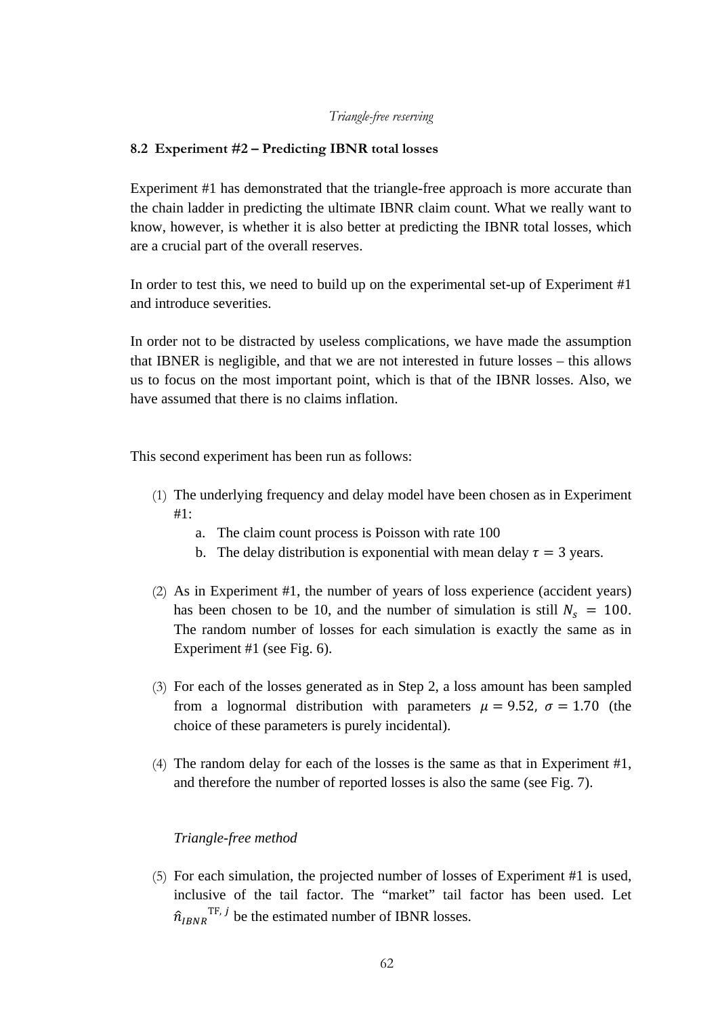## **.2 Experiment #2 – Predicting IBNR total losses 8**

Experiment #1 has demonstrated that the triangle-free approach is more accurate than the chain ladder in predicting the ultimate IBNR claim count. What we really want to know, however, is whether it is also better at predicting the IBNR total losses, which are a crucial part of the overall reserves.

In order to test this, we need to build up on the experimental set-up of Experiment #1 and introduce severities.

In order not to be distracted by useless complications, we have made the assumption us to focus on the most important point, which is that of the IBNR losses. Also, we have assumed that there is no claims inflation. that IBNER is negligible, and that we are not interested in future losses – this allows

This second experiment has been run as follows:

- (1) The underlying frequency and delay model have been chosen as in Experiment #1:
	- a. The claim count process is Poisson with rate 100
	- b. The delay distribution is exponential with mean delay  $\tau = 3$  years.
- $(2)$  As in Experiment #1, the number of years of loss experience (accident years) has been chosen to be 10, and the number of simulation is still  $N_s = 100$ . The random number of losses for each simulation is exactly the same as in Experiment #1 (see Fig. 6).
- choice of these parameters is purely incidental). (3) For each of the losses generated as in Step 2, a loss amount has been sampled from a lognormal distribution with parameters  $\mu = 9.52$ ,  $\sigma = 1.70$  (the
- and therefore the number of reported losses is also the same (see Fig. 7). (4) The random delay for each of the losses is the same as that in Experiment #1,

## *Triangle-free method*

 $(5)$  For each simulation, the projected number of losses of Experiment #1 is used, inclusive of the tail factor. The "market" tail factor has been used. Let  $\hat{n}_{IBNR}^{\text{TF}, j}$  be the estimated number of IBNR losses.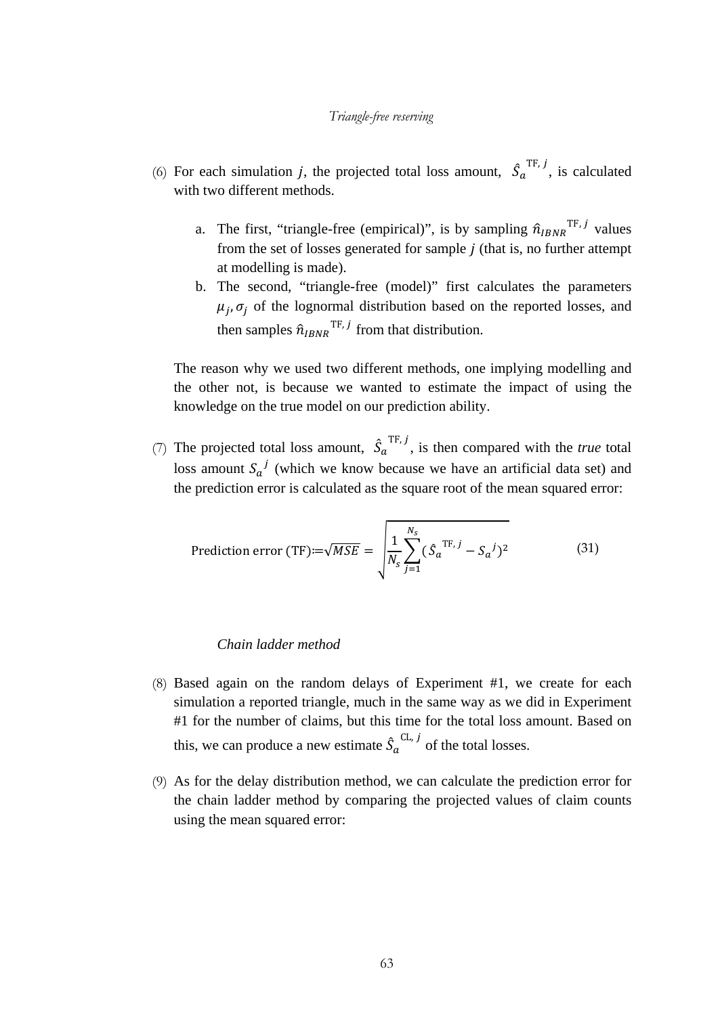- (6) For each simulation *j*, the projected total loss amount,  $\hat{S}_a^{\text{TF}, j}$ , is calculated with two different methods.
	- a. The first, "triangle-free (empirical)", is by sampling  $\hat{n}_{IBNR}^{\text{TF}, j}$  values at modelling is made). from the set of losses generated for sample  $j$  (that is, no further attempt
	- b. The second, "triangle-free (model)" first calculates the parameters  $\mu_i$ ,  $\sigma_i$  of the lognormal distribution based on the reported losses, and then samples  $\hat{n}_{IBNR}^{\text{TF}, j}$  from that distribution.

The reason why we used two different methods, one implying modelling and the other no t, is because we wanted to estimate the impact of using the knowledge on the true model on our prediction ability.

(7) The projected total loss amount,  $\hat{S}_a^{TF, j}$ , is then compared with the *true* total the prediction error is calculated as the square root of the mean squared error: loss amount  $S_a{}^j$  (which we know because we have an artificial data set) and

$$
\text{ Prediction error (TF)} := \sqrt{MSE} = \sqrt{\frac{1}{N_s} \sum_{j=1}^{N_s} (\hat{S}_a^{\text{TF}, j} - S_a^{\text{ }j})^2}
$$
\n(31)

## *Chain ladder method*

- (8) Based again on the random delays of Experiment #1, we create for each simulation a reported triangle, much in the same way as we did in Experiment #1 for the number of claims, but this time for the total loss amount. Based on this, we can produce a new estimate  $\hat{S}_a^{\text{CL}, j}$  of the total losses.
- (9) As for the delay distribution method, we can calculate the prediction error for the chain ladder method by comparing the projected values of claim counts using the mean squared error: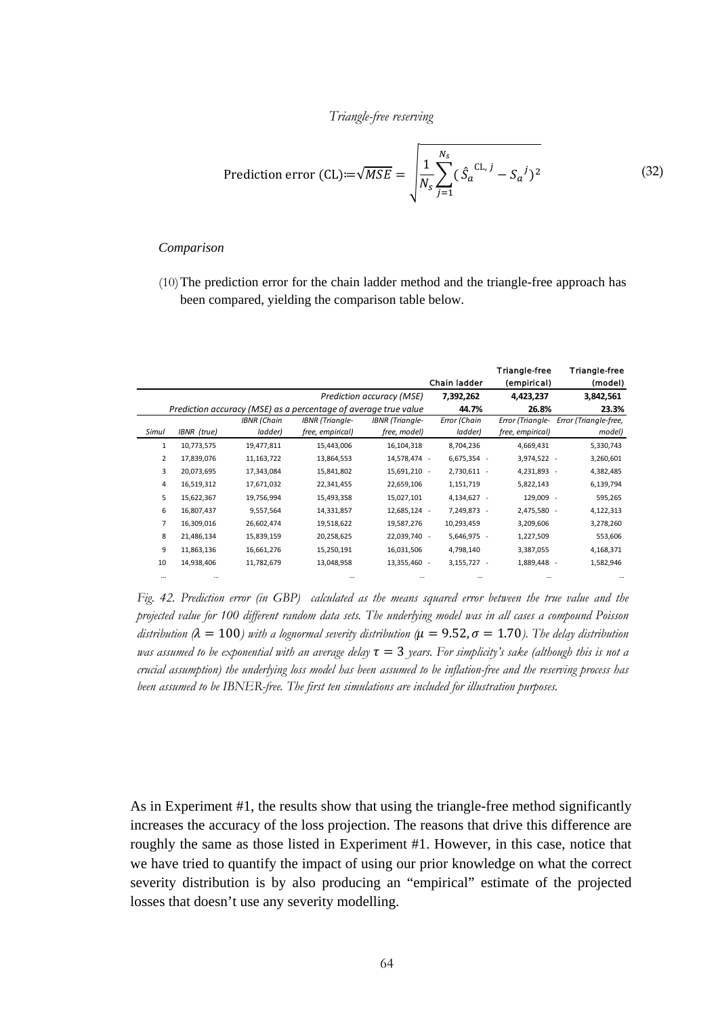$$
\text{Prediction error (CL)} := \sqrt{MSE} = \sqrt{\frac{1}{N_s} \sum_{j=1}^{N_s} (\hat{S}_a^{\text{CL}, j} - S_a^{\text{ }j})^2}
$$
\n
$$
(32)
$$

#### *Comparison*

(10)The prediction error for the chain ladder method and the triangle-free approach has been compared, yielding the comparison table below.

|                           |                                                                 |                    |                        |                        | <b>Chain ladder</b> | <b>Triangle-free</b><br>(empirical) | <b>Triangle-free</b><br>(model) |
|---------------------------|-----------------------------------------------------------------|--------------------|------------------------|------------------------|---------------------|-------------------------------------|---------------------------------|
| Prediction accuracy (MSE) |                                                                 |                    |                        |                        | 7,392,262           | 4,423,237                           | 3,842,561                       |
|                           | Prediction accuracy (MSE) as a percentage of average true value |                    |                        |                        |                     | 26.8%                               | 23.3%                           |
|                           |                                                                 | <b>IBNR</b> (Chain | <b>IBNR</b> (Triangle- | <b>IBNR</b> (Triangle- | Error (Chain        | Error (Triangle-                    | Error (Triangle-free,           |
| Simul                     | <b>IBNR</b> (true)                                              | ladder)            | free, empirical)       | free, model)           | ladder)             | free, empirical)                    | model)                          |
| $\mathbf{1}$              | 10,773,575                                                      | 19,477,811         | 15,443,006             | 16,104,318             | 8,704,236           | 4,669,431                           | 5,330,743                       |
| $\overline{2}$            | 17,839,076                                                      | 11,163,722         | 13,864,553             | 14,578,474 -           | 6,675,354 -         | 3,974,522 -                         | 3,260,601                       |
| 3                         | 20,073,695                                                      | 17,343,084         | 15,841,802             | 15,691,210 -           | 2,730,611 -         | 4,231,893 -                         | 4,382,485                       |
| 4                         | 16,519,312                                                      | 17,671,032         | 22,341,455             | 22,659,106             | 1,151,719           | 5,822,143                           | 6,139,794                       |
| 5                         | 15,622,367                                                      | 19,756,994         | 15,493,358             | 15,027,101             | 4,134,627 -         | 129,009 -                           | 595,265                         |
| 6                         | 16,807,437                                                      | 9,557,564          | 14,331,857             | 12,685,124 -           | 7,249,873 -         | 2,475,580 -                         | 4,122,313                       |
| 7                         | 16,309,016                                                      | 26,602,474         | 19,518,622             | 19,587,276             | 10,293,459          | 3,209,606                           | 3,278,260                       |
| 8                         | 21,486,134                                                      | 15,839,159         | 20,258,625             | 22,039,740 -           | 5,646,975 -         | 1,227,509                           | 553,606                         |
| 9                         | 11,863,136                                                      | 16,661,276         | 15,250,191             | 16,031,506             | 4,798,140           | 3,387,055                           | 4,168,371                       |
| 10                        | 14,938,406                                                      | 11,782,679         | 13,048,958             | 13,355,460 -           | 3,155,727 -         | 1,889,448 -                         | 1,582,946                       |
| $\cdots$                  | $\cdots$                                                        |                    | $\cdots$               |                        |                     | $\cdots$                            | $\cdots$                        |

distribution ( $\lambda = 100$ ) with a lognormal severity distribution ( $\mu = 9.52$ ,  $\sigma = 1.70$ ). The delay distribution *Fig. 42. Prediction error (in GBP) calculated as the means squared error between the true value and the projected value for 100 different random data sets. The underlying model was in all cases a compound Poisson was assumed to be exponential with an average delay*  $\tau = 3$  *years. For simplicity's sake (although this is not a crucial assumption) the underlying loss model has been assumed to be inflation-free and the reserving process has been assumed to be IBNER-free. The first ten simulations are included for illustration purposes.* 

As in Experiment #1, the results show that using the triangle-free method significantly increases the accuracy of the loss projection. The reasons that drive this difference are roughly the same as those listed in Experiment #1. However, in this case, notice that we have tried to quantify the impact of using our prior knowledge on what the correct severity distribution is by also producing an "empirical" estimate of the projected losses that doesn't use any severity modelling.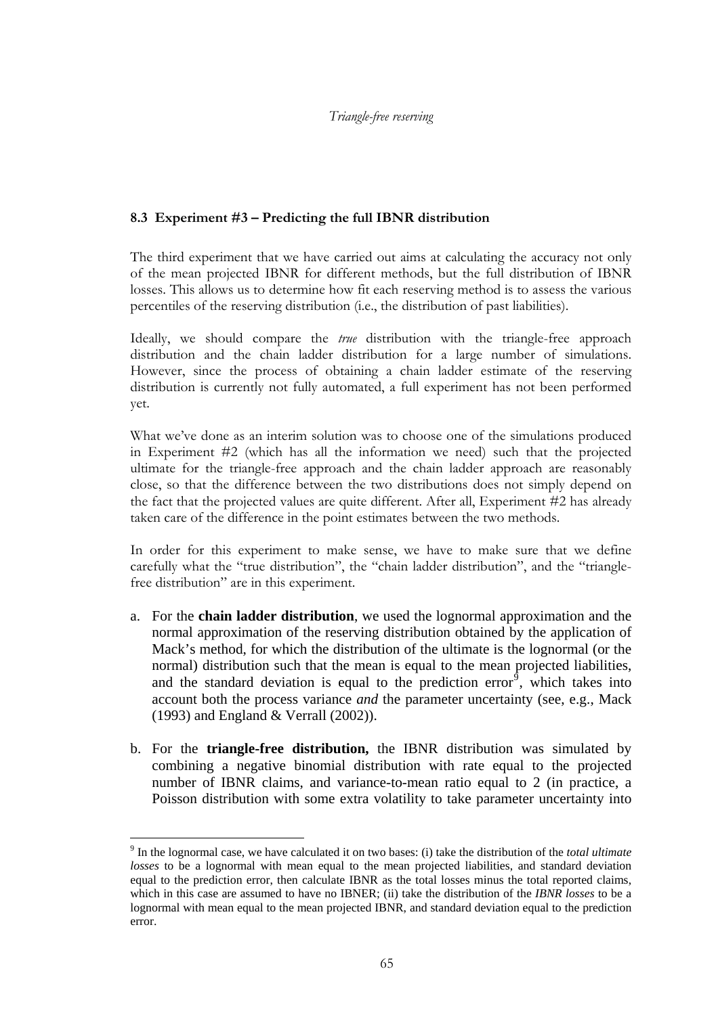# **8.3 Experiment #3 – Predicting the full IBNR distribution**

The third experiment that we have carried out aims at calculating the accuracy not only of the mean projected IBNR for different methods, but the full distribution of IBNR losses. This allows us to determine how fit each reserving method is to assess the various percentiles of the reserving distribution (i.e., the distribution of past liabilities).

Ideally, we should compare the *true* distribution with the triangle-free approach distribution and the chain ladder distribution for a large number of simulations. However, since the process of obtaining a chain ladder estimate of the reserving distribution is currently not fully automated, a full experiment has not been performed yet.

What we've done as an interim solution was to choose one of the simulations produced in Experiment #2 (which has all the information we need) such that the projected ultimate for the triangle-free approach and the chain ladder approach are reasonably close, so that the difference between the two distributions does not simply depend on the fact that the projected values are quite different. After all, Experiment #2 has already taken care of the difference in the point estimates between the two methods.

In order for this experiment to make sense, we have to make sure that we define carefully what the "true distribution", the "chain ladder distribution", and the "trianglefree distribution" are in this experiment.

- a. For the **chain ladder distribution**, we used the lognormal approximation and the normal approximation of the reserving distribution obtained by the application of Mack's method, for which the distribution of the ultimate is the lognormal (or the normal) distribution such that the mean is equal to the mean projected liabilities, and the standard deviation is equal to the prediction error<sup>[9](#page-66-0)</sup>, which takes into account both the process variance *and* the parameter uncertainty (see, e.g., Mack (1993) and England & Verrall (2002)).
- b. For the **triangle-free distribution,** the IBNR distribution was simulated by combining a negative binomial distribution with rate equal to the projected number of IBNR claims, and variance-to-mean ratio equal to 2 (in practice, a Poisson distribution with some extra volatility to take parameter uncertainty into

 $\overline{a}$ 

<span id="page-66-0"></span><sup>9</sup> In the lognormal case, we have calculated it on two bases: (i) take the distribution of the *total ultimate losses* to be a lognormal with mean equal to the mean projected liabilities, and standard deviation equal to the prediction error, then calculate IBNR as the total losses minus the total reported claims, which in this case are assumed to have no IBNER; (ii) take the distribution of the *IBNR losses* to be a lognormal with mean equal to the mean projected IBNR, and standard deviation equal to the prediction error.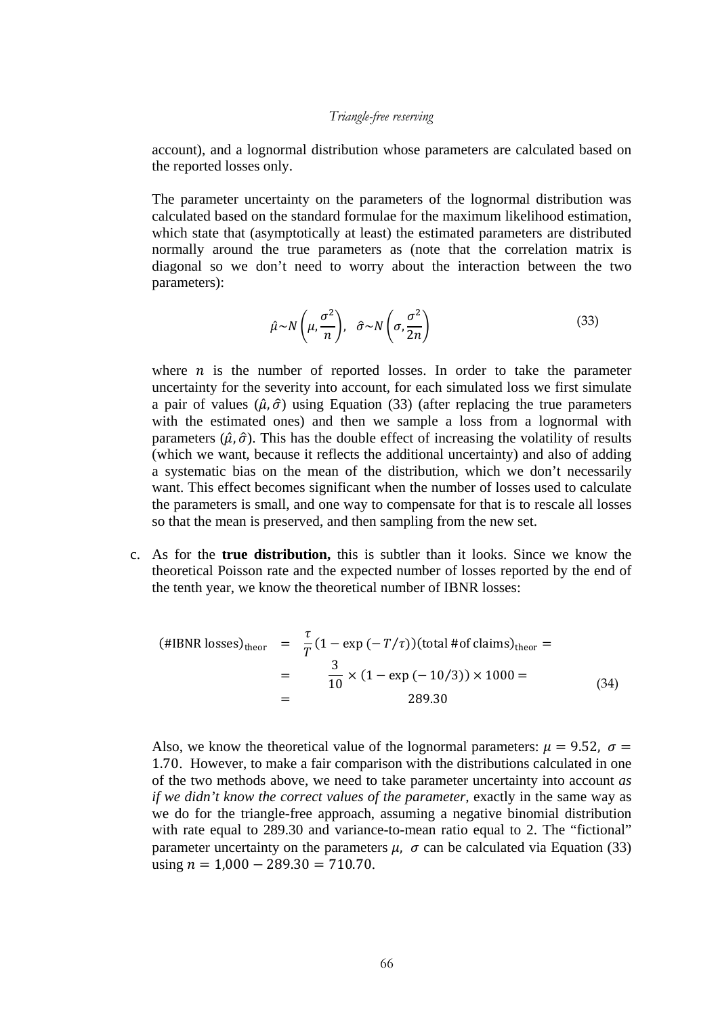account), and a lognormal distribution whose parameters are calculated based on the reported losses only.

The parameter uncertainty on the parameters of the lognormal distribution was calculated based on the standard formulae for the maximum likelihood estimation, which state that (asymptotically at least) the estimated parameters are distributed normally around the true parameters as (note that the correlation matrix is diagonal so we don't need to worry about the interaction between the two parameters):

$$
\hat{\mu} \sim N\left(\mu, \frac{\sigma^2}{n}\right), \quad \hat{\sigma} \sim N\left(\sigma, \frac{\sigma^2}{2n}\right) \tag{33}
$$

where  $n$  is the number of reported losses. In order to take the parameter a pair of values  $(\hat{\mu}, \hat{\sigma})$  using Equation (33) (after replacing the true parameters parameters  $(\hat{\mu}, \hat{\sigma})$ . This has the double effect of increasing the volatility of results uncertainty for the severity into account, for each simulated loss we first simulate with the estimated ones) and then we sample a loss from a lognormal with (which we want, because it reflects the additional uncertainty) and also of adding a systematic bias on the mean of the distribution, which we don't necessarily want. This effect becomes significant when the number of losses used to calculate the parameters is small, and one way to compensate for that is to rescale all losses so that the mean is preserved, and then sampling from the new set.

c. As for the **true distribution,** this is subtler than it looks. Since we know the theoretical Poisson rate and the expected number of losses reported by the end of the tenth year, we know the theoretical number of IBNR losses:

$$
(\text{HIBNR losses})_{\text{theor}} = \frac{\tau}{T} (1 - \exp(-T/\tau)) (\text{total } \# \text{of claims})_{\text{theor}} =
$$
  
= 
$$
\frac{3}{10} \times (1 - \exp(-10/3)) \times 1000 =
$$
  
= 289.30 (34)

1.70. However, to make a fair comparison with the distributions calculated in one parameter uncertainty on the parameters  $\mu$ ,  $\sigma$  can be calculated via Equation (33) using  $n = 1,000 - 289.30 = 710.70$ . Also, we know the theoretical value of the lognormal parameters:  $\mu = 9.52$ ,  $\sigma =$ of the two methods above, we need to take parameter uncertainty into account *as if we didn't know the correct values of the parameter, exactly in the same way as* we do for the triangle-free approach, assuming a negative binomial distribution with rate equal to 289.30 and variance-to-mean ratio equal to 2. The "fictional"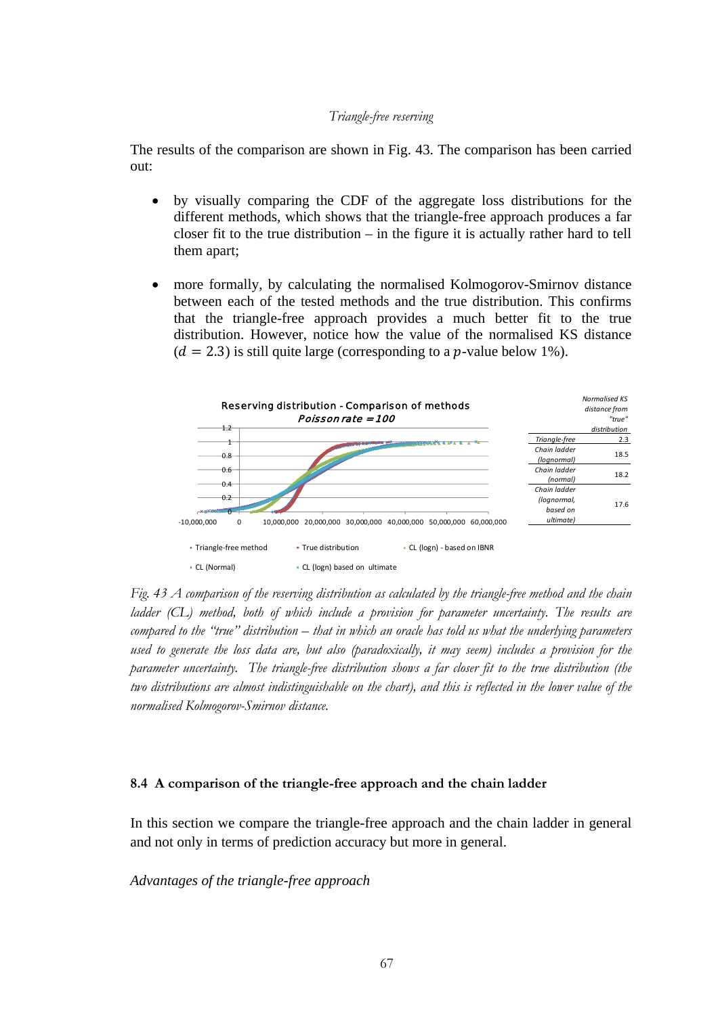The results of the comparison are shown in Fig. 43. The comparison has been carried out:

- by visually comparing the CDF of the aggregate loss distributions for the different methods, which shows that the triangle-free approach produces a far closer fit to the true distribution – in the figure it is actually rather hard to tell them apart;
- $(d = 2.3)$  is still quite large (corresponding to a p-value below 1%). • more formally, by calculating the normalised Kolmogorov-Smirnov distance between each of the tested methods and the true distribution. This confirms that the triangle-free approach provides a much better fit to the true distribution. However, notice how the value of the normalised KS distance



*Fig. 43 A comparison of the reserving distribution as calculated by the triangle-free method and the chain ladder (CL) method, both of which include a provision for parameter uncertainty. The results are compared to the "true" distribution – that in which an oracle has told us what the underlying parameters used to generate the loss data are, but also (paradoxically, it may seem) includes a provision for the parameter uncertainty. The triangle-free distribution shows a far closer fit to the true distribution (the two distributions are almost indistinguishable on the chart), and this is reflected in the lower value of the normalised Kolmogorov-Smirnov distance.* 

### **8.4 A comparison of the triangle-free approach and the chain ladder**

In this section we compare the triangle-free approach and the chain ladder in general and not only in terms of prediction accuracy but more in general.

## *Advantages of the triangle-free approach*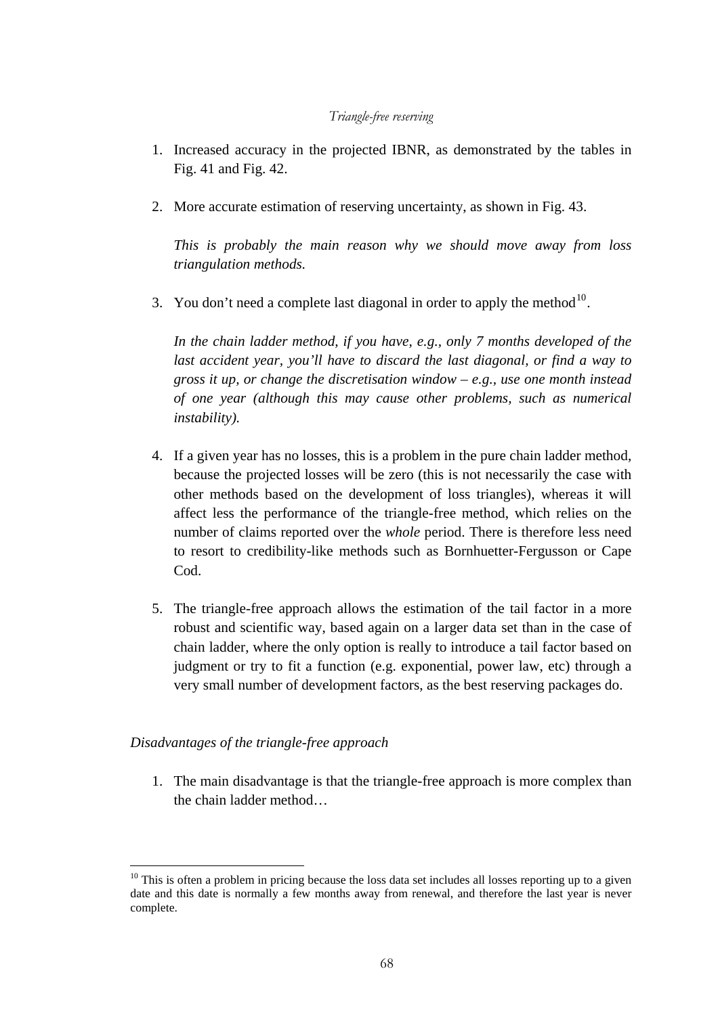- 1. Increased accuracy in the projected IBNR, as demonstrated by the tables in Fig. 41 and Fig. 42.
- 2. More accurate estimation of reserving uncertainty, as shown in Fig. 43.

*This is probably the main reason why we should move away from loss triangulation methods.* 

3. You don't need a complete last diagonal in order to apply the method<sup>[10](#page-69-0)</sup>.

*In the chain ladder method, if you have, e.g., only 7 months developed of the last accident year, you'll have to discard the last diagonal, or find a way to gross it up, or change the discretisation window – e.g., use one month instead of one year (although this may cause other problems, such as numerical instability).* 

- 4. If a given year has no losses, this is a problem in the pure chain ladder method, because the projected losses will be zero (this is not necessarily the case with other methods based on the development of loss triangles), whereas it will affect less the performance of the triangle-free method, which relies on the number of claims reported over the *whole* period. There is therefore less need to resort to credibility-like methods such as Bornhuetter-Fergusson or Cape Cod.
- 5. The triangle-free approach allows the estimation of the tail factor in a more robust and scientific way, based again on a larger data set than in the case of chain ladder, where the only option is really to introduce a tail factor based on judgment or try to fit a function (e.g. exponential, power law, etc) through a very small number of development factors, as the best reserving packages do.

# *Disadvantages of the triangle-free approach*

 $\overline{a}$ 

1. The main disadvantage is that the triangle-free approach is more complex than the chain ladder method…

<span id="page-69-0"></span> $10$  This is often a problem in pricing because the loss data set includes all losses reporting up to a given date and this date is normally a few months away from renewal, and therefore the last year is never complete.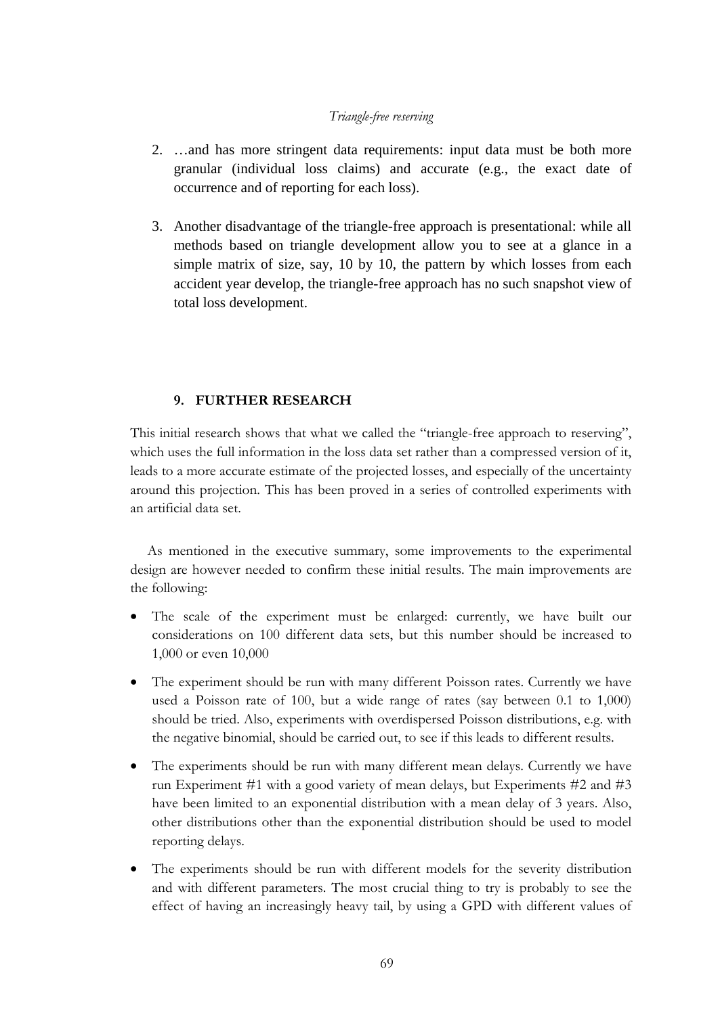- 2. …and has more stringent data requirements: input data must be both more granular (individual loss claims) and accurate (e.g., the exact date of occurrence and of reporting for each loss).
- 3. Another disadvantage of the triangle-free approach is presentational: while all methods based on triangle development allow you to see at a glance in a simple matrix of size, say, 10 by 10, the pattern by which losses from each accident year develop, the triangle-free approach has no such snapshot view of total loss development.

# **9. FURTHER RESEARCH**

This initial research shows that what we called the "triangle-free approach to reserving", which uses the full information in the loss data set rather than a compressed version of it, leads to a more accurate estimate of the projected losses, and especially of the uncertainty around this projection. This has been proved in a series of controlled experiments with an artificial data set.

As mentioned in the executive summary, some improvements to the experimental design are however needed to confirm these initial results. The main improvements are the following:

- The scale of the experiment must be enlarged: currently, we have built our considerations on 100 different data sets, but this number should be increased to 1,000 or even 10,000
- The experiment should be run with many different Poisson rates. Currently we have used a Poisson rate of 100, but a wide range of rates (say between 0.1 to 1,000) should be tried. Also, experiments with overdispersed Poisson distributions, e.g. with the negative binomial, should be carried out, to see if this leads to different results.
- The experiments should be run with many different mean delays. Currently we have run Experiment #1 with a good variety of mean delays, but Experiments #2 and #3 have been limited to an exponential distribution with a mean delay of 3 years. Also, other distributions other than the exponential distribution should be used to model reporting delays.
- The experiments should be run with different models for the severity distribution and with different parameters. The most crucial thing to try is probably to see the effect of having an increasingly heavy tail, by using a GPD with different values of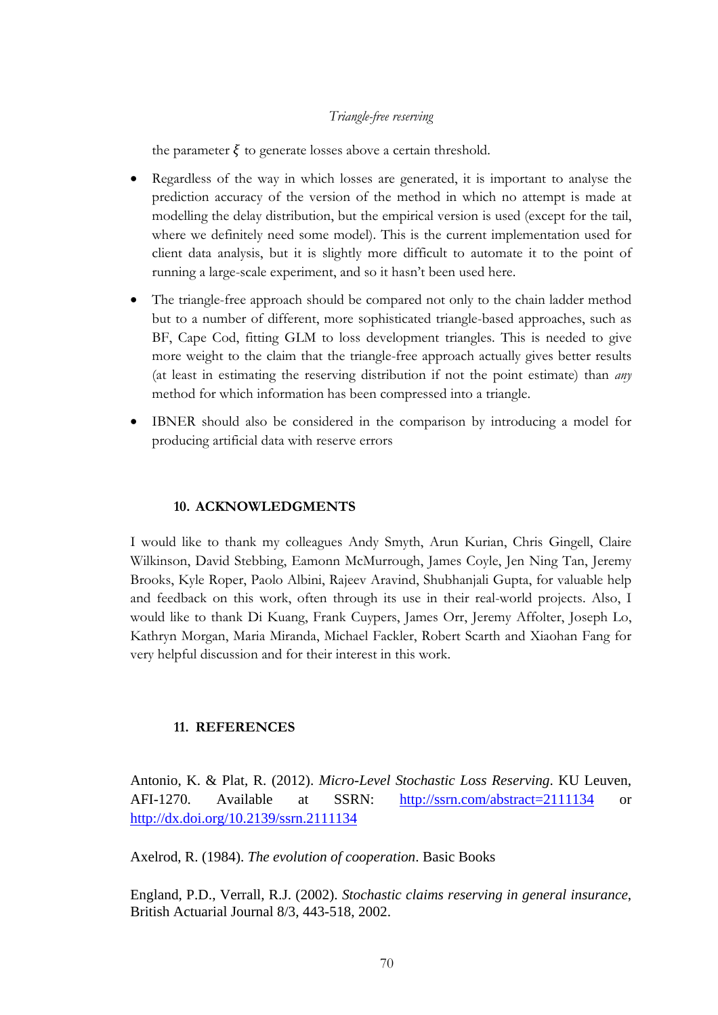the parameter  $\xi$  to generate losses above a certain threshold.

- Regardless of the way in which losses are generated, it is important to analyse the prediction accuracy of the version of the method in which no attempt is made at modelling the delay distribution, but the empirical version is used (except for the tail, where we definitely need some model). This is the current implementation used for client data analysis, but it is slightly more difficult to automate it to the point of running a large-scale experiment, and so it hasn't been used here.
- The triangle-free approach should be compared not only to the chain ladder method but to a number of different, more sophisticated triangle-based approaches, such as BF, Cape Cod, fitting GLM to loss development triangles. This is needed to give more weight to the claim that the triangle-free approach actually gives better results (at least in estimating the reserving distribution if not the point estimate) than *any*  method for which information has been compressed into a triangle.
- IBNER should also be considered in the comparison by introducing a model for producing artificial data with reserve errors

## **10. ACKNOWLEDGMENTS**

I would like to thank my colleagues Andy Smyth, Arun Kurian, Chris Gingell, Claire Wilkinson, David Stebbing, Eamonn McMurrough, James Coyle, Jen Ning Tan, Jeremy Brooks, Kyle Roper, Paolo Albini, Rajeev Aravind, Shubhanjali Gupta, for valuable help and feedback on this work, often through its use in their real-world projects. Also, I would like to thank Di Kuang, Frank Cuypers, James Orr, Jeremy Affolter, Joseph Lo, Kathryn Morgan, Maria Miranda, Michael Fackler, Robert Scarth and Xiaohan Fang for very helpful discussion and for their interest in this work.

## **11. REFERENCES**

Antonio, K. & Plat, R. (2012). *Micro-Level Stochastic Loss Reserving*. KU Leuven, AFI-1270. Available at SSRN: <http://ssrn.com/abstract=2111134> or <http://dx.doi.org/10.2139/ssrn.2111134>

Axelrod, R. (1984). *The evolution of cooperation*. Basic Books

England, P.D., Verrall, R.J. (2002). *Stochastic claims reserving in general insurance*, British Actuarial Journal 8/3, 443-518, 2002.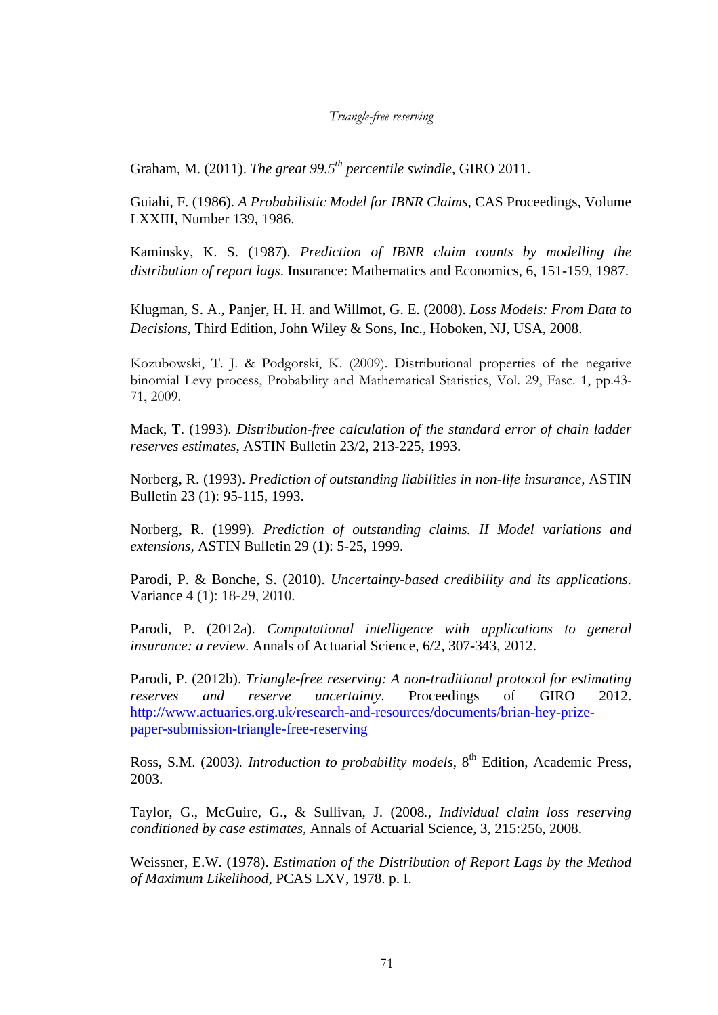# *Triangle-free reserving*

Graham, M. (2011). *The great 99.5th percentile swindle,* GIRO 2011.

Guiahi, F. (1986). *[A Probabilistic Model for IBNR Claims](http://www.casact.org/pubs/proceed/proceed86/86093.pdf)*, CAS Proceedings, Volume LXXIII, Number 139, 1986.

Kaminsky, K. S. (1987). *Prediction of IBNR claim counts by modelling the distribution of report lags*. Insurance: Mathematics and Economics, 6, 151-159, 1987.

Klugman, S. A., Panjer, H. H. and Willmot, G. E. (2008). *Loss Models: From Data to Decisions*, Third Edition, John Wiley & Sons, Inc., Hoboken, NJ, USA, 2008.

Kozubowski, T. J. & Podgorski, K. (2009). Distributional properties of the negative binomial Levy process, Probability and Mathematical Statistics, Vol. 29, Fasc. 1, pp.43- 71, 2009.

Mack, T. (1993). *Distribution-free calculation of the standard error of chain ladder reserves estimates*, ASTIN Bulletin 23/2, 213-225, 1993.

Norberg, R. (1993). *Prediction of outstanding liabilities in non-life insurance,* ASTIN Bulletin 23 (1): 95-115, 1993.

Norberg, R. (1999). *Prediction of outstanding claims. II Model variations and extensions,* ASTIN Bulletin 29 (1): 5-25, 1999.

Parodi, P. & Bonche, S. (2010). *Uncertainty-based credibility and its applications.*  Variance 4 (1): 18-29, 2010.

Parodi, P. (2012a). *Computational intelligence with applications to general insurance: a review*. Annals of Actuarial Science, 6/2, 307-343, 2012.

Parodi, P. (2012b). *Triangle-free reserving: A non-traditional protocol for estimating reserves and reserve uncertainty*. Proceedings of GIRO 2012. [http://www.actuaries.org.uk/research-and-resources/documents/brian-hey-prize](http://www.actuaries.org.uk/research-and-resources/documents/brian-hey-prize-paper-submission-triangle-free-reserving)[paper-submission-triangle-free-reserving](http://www.actuaries.org.uk/research-and-resources/documents/brian-hey-prize-paper-submission-triangle-free-reserving)

Ross, S.M. (2003). *Introduction to probability models*, 8<sup>th</sup> Edition, Academic Press, 2003.

Taylor, G., McGuire, G., & Sullivan, J. (2008*., Individual claim loss reserving conditioned by case estimates,* Annals of Actuarial Science, 3, 215:256, 2008.

Weissner, E.W. (1978). *Estimation of the Distribution of Report Lags by the Method of Maximum Likelihood*, PCAS LXV, 1978. p. I.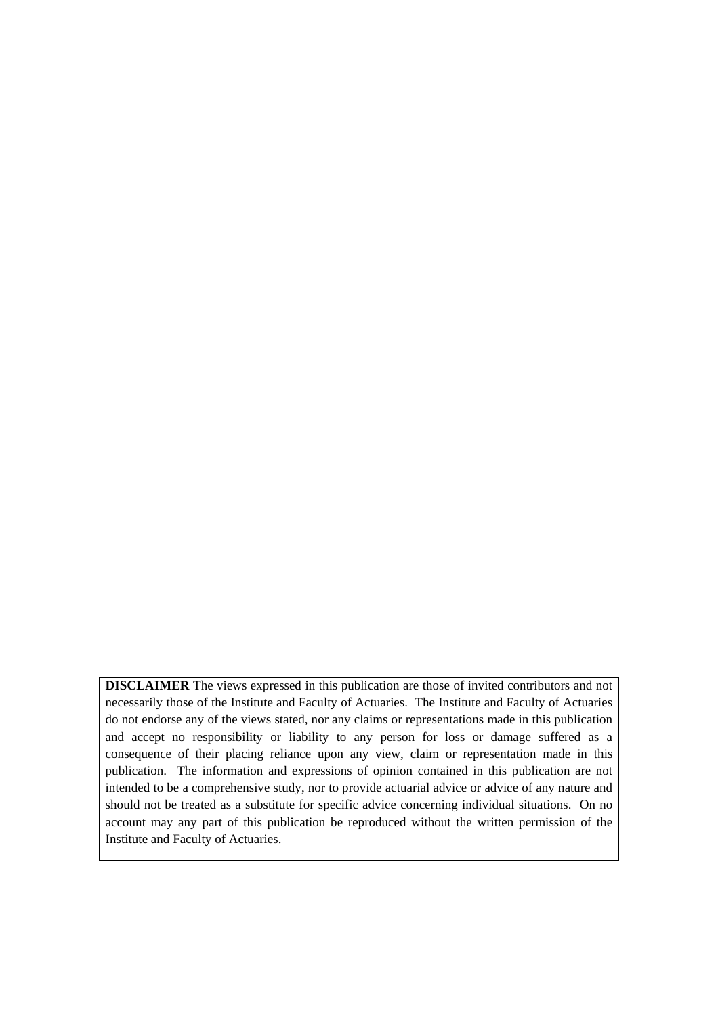**DISCLAIMER** The views expressed in this publication are those of invited contributors and not necessarily those of the Institute and Faculty of Actuaries. The Institute and Faculty of Actuaries do not endorse any of the views stated, nor any claims or representations made in this publication and accept no responsibility or liability to any person for loss or damage suffered as a consequence of their placing reliance upon any view, claim or representation made in this publication. The information and expressions of opinion contained in this publication are not intended to be a comprehensive study, nor to provide actuarial advice or advice of any nature and should not be treated as a substitute for specific advice concerning individual situations. On no account may any part of this publication be reproduced without the written permission of the Institute and Faculty of Actuaries.